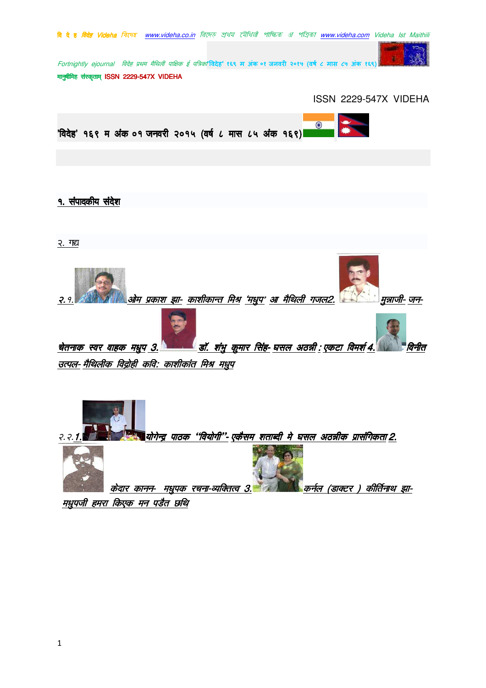

<u>मधुपजी हमरा किएक मन पडैत छथि</u>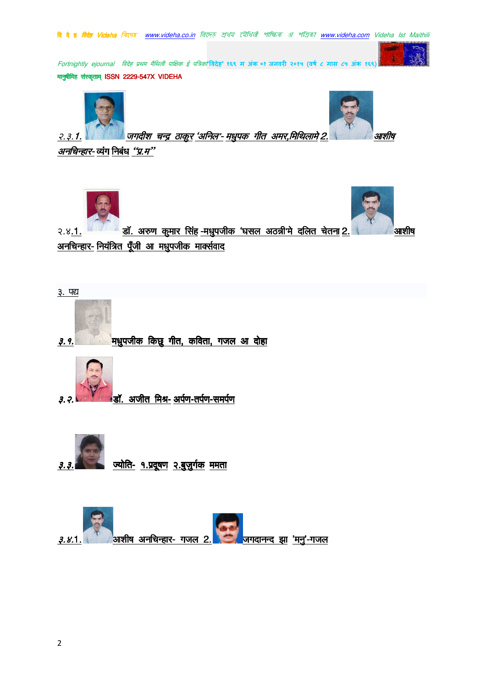



२.३.1. जिल्लाको जगदीश चन्द्र ठाकूर 'अनिल'- मधुपक गीत अमर,मिथिलामे 2. असमियलामे वाली आशीष

अनचिन्हार- व्यंग निबंध *"प्र.म*"









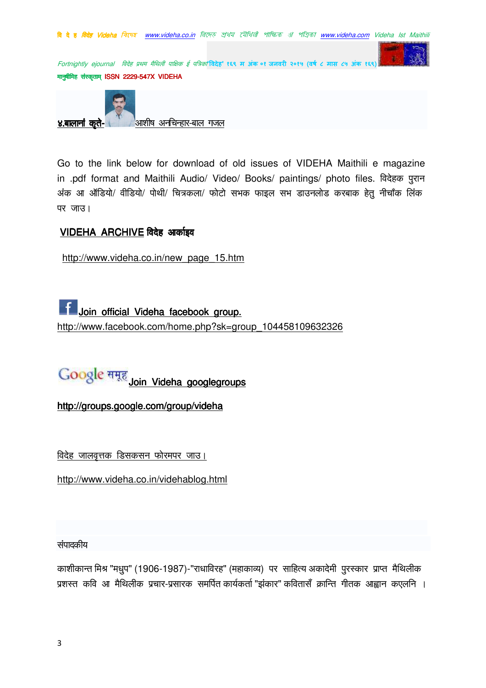



Go to the link below for download of old issues of VIDEHA Maithili e magazine in .pdf format and Maithili Audio/ Video/ Books/ paintings/ photo files. िवदेहक पुरान अंक आ ऑडियो/ वीडियो/ पोथी/ चित्रकला/ फोटो सभक फाइल सभ डाउनलोड करबाक हेतु नीचाँक लिंक पर जाउ।

### VIDEHA ARCHIVE िवदेह आकäइव आकäइव

http://www.videha.co.in/new\_page\_15.htm

# f Join official Videha facebook group.

http://www.facebook.com/home.php?sk=group\_104458109632326

# Google समूह Join Videha googlegroups

http://groups.google.com/group/videha

विदेह जालवृत्तक डिसकसन फोरमपर जाउ।

http://www.videha.co.in/videhablog.html

#### संपादकीय

काशीकान्त मिश्र "मधुप" (1906-1987)-"राधाविरह" (महाकाव्य) पर साहित्य अकादेमी पुरस्कार प्राप्त मैथिलीक प्रशस्त कवि आ मैथिलीक प्रचार-प्रसारक समर्पित कार्यकर्ता "झंकार" कवितासँ क्रान्ति गीतक आह्वान कएलनि ।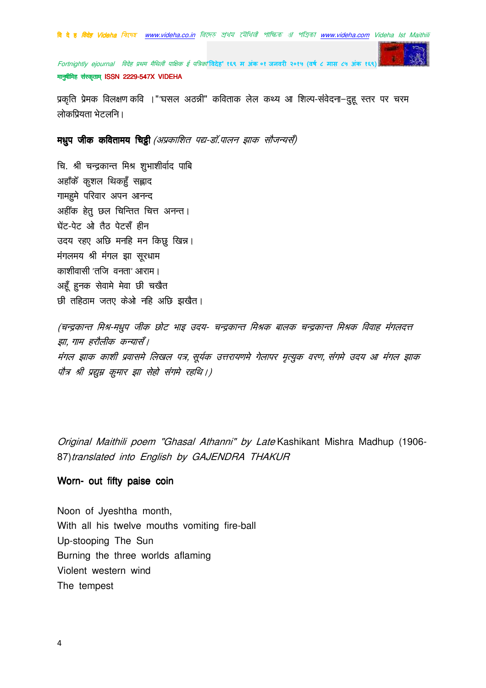

प्रकृति प्रेमक विलक्षण कवि ।"'घसल अठन्नी" कविताक लेल कथ्य आ शिल्प-संवेदना–दुहू स्तर पर चरम लोकियता भेटलिन।

मधुप जीक कवितामय चिट्ठी *(अप्रकाशित पद्य-डॉ.पालन झाक सौजन्यसँ)* 

चि. श्री चन्द्रकान्त मिश्र शुभाशीर्वाद पाबि अहॉकेँ कुशल थिकहुँ सह्लाद गामहुमे परिवार अपन आनन्द अहींक हेतु छल चिन्तित चित्त अनन्त। घेंट-पेट ओ तैठ पेटसँ हीन उदय रहए अछि मनहि मन किछू खिन्न। मंगलमय Vी मंगल झा सूरधाम काशीवासी 'तिज वनता' आराम। अहँ हुनक सेवामे मेवा छी चखैत छी तिहठाम जतए केओ निह अिछ झखैत।

(चन्द्रकान्त मिश्र-मधुप जीक छोट भाइ उदय- चन्द्रकान्त मिश्रक बालक चन्द्रकान्त मिश्रक विवाह मंगलदत्त झा, गाम हरौलीक कन्यासँ। मंगल झाक काशी प्रवासमे लिखल पत्र, सूर्यक उत्तरायणमे गेलापर मृत्युक वरण, संगमे उदय आ मंगल झाक पौत्र श्री प्रद्युम्न कुमार झा सेहो संगमे रहथि।)

Original Maithili poem "Ghasal Athanni" by Late Kashikant Mishra Madhup (1906- 87) translated into English by GAJENDRA THAKUR

#### Worn- out fifty paise coin

Noon of Jyeshtha month, With all his twelve mouths vomiting fire-ball Up-stooping The Sun Burning the three worlds aflaming Violent western wind The tempest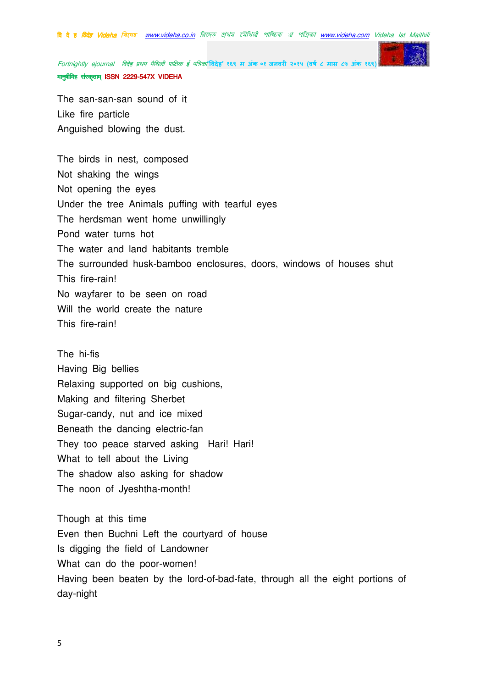Fortnightly ejournal िवद ेह थम म ैिथली पाि'क ई पि\*का**'वदेह' १६९ म अंक ०१ जनवर २०१५ (वष ८ मास ८५ अंक १६९)** मानुषीमिह संस्कृताम् ISSN 2229-547X VIDEHA

The san-san-san sound of it Like fire particle Anguished blowing the dust.

The birds in nest, composed Not shaking the wings Not opening the eyes Under the tree Animals puffing with tearful eyes The herdsman went home unwillingly Pond water turns hot The water and land habitants tremble The surrounded husk-bamboo enclosures, doors, windows of houses shut This fire-rain! No wayfarer to be seen on road Will the world create the nature This fire-rain!

The hi-fis Having Big bellies Relaxing supported on big cushions, Making and filtering Sherbet Sugar-candy, nut and ice mixed Beneath the dancing electric-fan They too peace starved asking Hari! Hari! What to tell about the Living The shadow also asking for shadow The noon of Jyeshtha-month!

Though at this time Even then Buchni Left the courtyard of house Is digging the field of Landowner What can do the poor-women! Having been beaten by the lord-of-bad-fate, through all the eight portions of day-night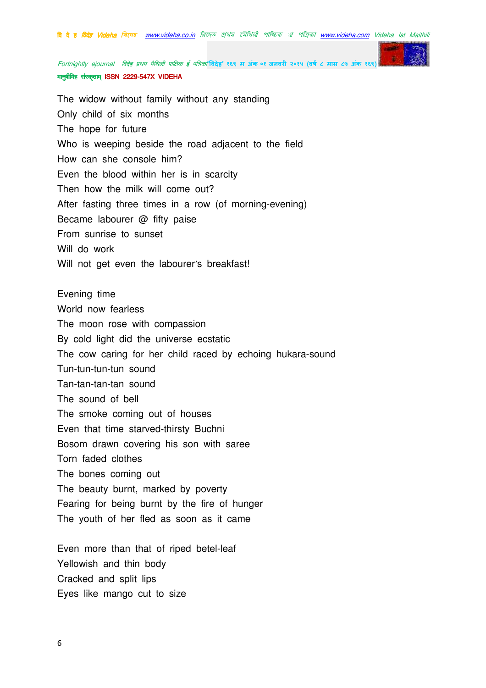Fortnightly ejournal िवद ेह थम म ैिथली पाि'क ई पि\*का**'वदेह' १६९ म अंक ०१ जनवर २०१५ (वष ८ मास ८५ अंक १६९)** मानुषीमिह संस्कृताम् ISSN 2229-547X VIDEHA

The widow without family without any standing Only child of six months The hope for future Who is weeping beside the road adjacent to the field How can she console him? Even the blood within her is in scarcity Then how the milk will come out? After fasting three times in a row (of morning-evening) Became labourer @ fifty paise From sunrise to sunset Will do work Will not get even the labourer's breakfast! Evening time World now fearless The moon rose with compassion By cold light did the universe ecstatic The cow caring for her child raced by echoing hukara-sound Tun-tun-tun-tun sound Tan-tan-tan-tan sound The sound of bell The smoke coming out of houses Even that time starved-thirsty Buchni Bosom drawn covering his son with saree Torn faded clothes The bones coming out The beauty burnt, marked by poverty Fearing for being burnt by the fire of hunger The youth of her fled as soon as it came

Even more than that of riped betel-leaf Yellowish and thin body Cracked and split lips Eyes like mango cut to size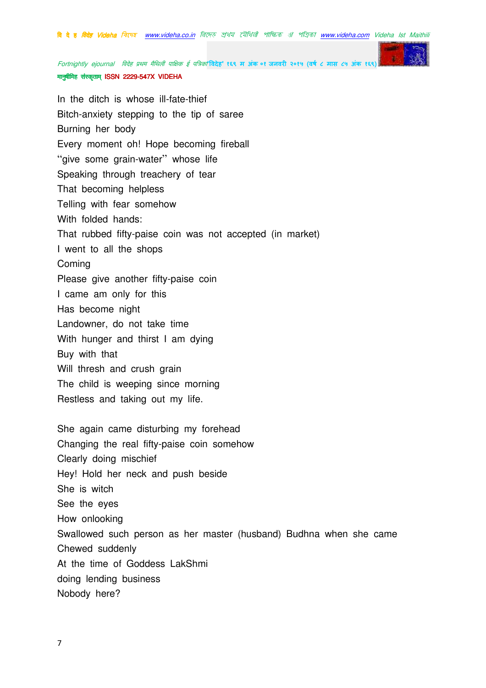Fortnightly ejournal िवद ेह थम म ैिथली पाि'क ई पि\*का**'वदेह' १६९ म अंक ०१ जनवर २०१५ (वष ८ मास ८५ अंक १६९)** मानुषीमिह संस्कृताम् ISSN 2229-547X VIDEHA

In the ditch is whose ill-fate-thief Bitch-anxiety stepping to the tip of saree Burning her body Every moment oh! Hope becoming fireball "give some grain-water" whose life Speaking through treachery of tear That becoming helpless Telling with fear somehow With folded hands: That rubbed fifty-paise coin was not accepted (in market) I went to all the shops Coming Please give another fifty-paise coin I came am only for this Has become night Landowner, do not take time With hunger and thirst I am dying Buy with that Will thresh and crush grain The child is weeping since morning Restless and taking out my life. She again came disturbing my forehead

Changing the real fifty-paise coin somehow Clearly doing mischief Hey! Hold her neck and push beside She is witch See the eyes How onlooking Swallowed such person as her master (husband) Budhna when she came Chewed suddenly At the time of Goddess LakShmi doing lending business Nobody here?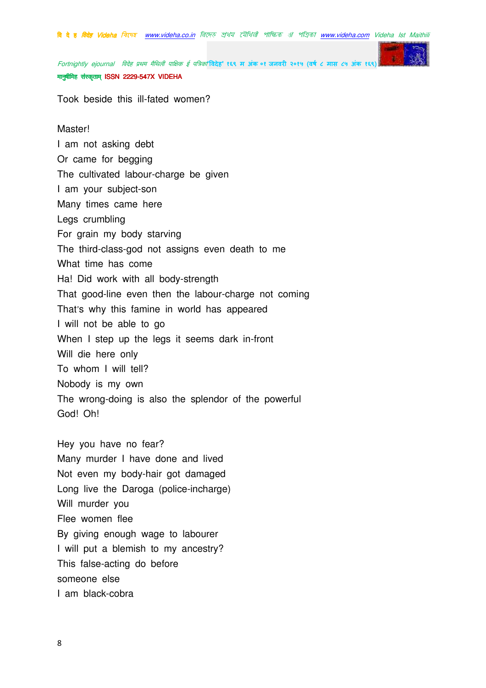Fortnightly ejournal िवद ेह थम म ैिथली पाि'क ई पि\*का**'वदेह' १६९ म अंक ०१ जनवर २०१५ (वष ८ मास ८५ अंक १६९)** मानुषीमिह संस्कृताम् ISSN 2229-547X VIDEHA

Took beside this ill-fated women?

#### Master!

I am not asking debt Or came for begging The cultivated labour-charge be given I am your subject-son Many times came here Legs crumbling For grain my body starving The third-class-god not assigns even death to me What time has come Ha! Did work with all body-strength That good-line even then the labour-charge not coming That's why this famine in world has appeared I will not be able to go When I step up the legs it seems dark in-front Will die here only To whom I will tell? Nobody is my own The wrong-doing is also the splendor of the powerful God! Oh!

Hey you have no fear? Many murder I have done and lived Not even my body-hair got damaged Long live the Daroga (police-incharge) Will murder you Flee women flee By giving enough wage to labourer I will put a blemish to my ancestry? This false-acting do before someone else I am black-cobra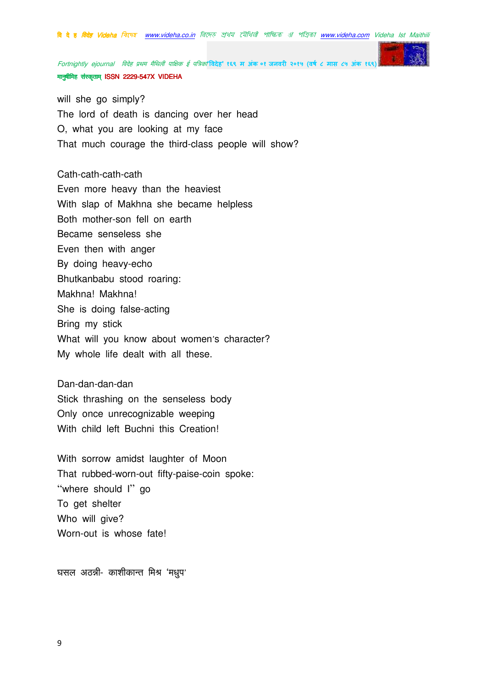Fortnightly ejournal िवद ेह थम म ैिथली पाि'क ई पि\*का**'वदेह' १६९ म अंक ०१ जनवर २०१५ (वष ८ मास ८५ अंक १६९)** मानुषीमिह संस्कृताम् ISSN 2229-547X VIDEHA

will she go simply? The lord of death is dancing over her head O, what you are looking at my face That much courage the third-class people will show?

Cath-cath-cath-cath

Even more heavy than the heaviest With slap of Makhna she became helpless Both mother-son fell on earth Became senseless she Even then with anger By doing heavy-echo Bhutkanbabu stood roaring: Makhna! Makhna! She is doing false-acting Bring my stick What will you know about women's character? My whole life dealt with all these.

Dan-dan-dan-dan Stick thrashing on the senseless body Only once unrecognizable weeping With child left Buchni this Creation!

With sorrow amidst laughter of Moon That rubbed-worn-out fifty-paise-coin spoke: "where should I" go To get shelter Who will give? Worn-out is whose fate!

घसल अठन्नी- काशीकान्त मिश्र 'मधुप'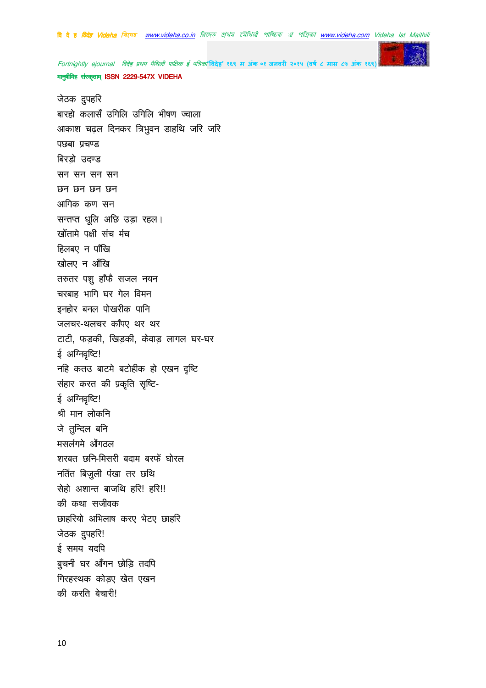Fortnightly ejournal िवद ेह थम म ैिथली पाि'क ई पि\*का**'वदेह' १६९ म अंक ०१ जनवर २०१५ (वष ८ मास ८५ अंक १६९)** मानुषीमिह संस्कृताम् ISSN 2229-547X VIDEHA



जेठक दुपहिर बारहो कलासँ उगिलि उगिलि भीषण ज्वाला आकाश चढ़ल दिनकर त्रिभुवन डाहथि जरि जरि पछबा प्रचण्ड बिरडो उदण्ड सन सन सन सन छन छन छन छन आिगक कण सन सन्तप्त धूलि अछि उड़ा रहल। खोंतामे पक्षी संच मंच हिलबए न पाँखि खोलए न आँिख तरुतर पशु हाँफै सजल नयन चरबाह भािग घर गेल िवमन इनहोर बनल पोखरीक पािन जलचर-थलचर काँपए थर थर टाटी, फड़की, िखड़की, केवाड़ लागल घर-घर ई अग्निवृष्टि! नहि कतउ बाटमे बटोहीक हो एखन दृष्टि संहार करत की प्रकृति सृष्टि-ई अग्निवृष्टि! Vी मान लोकिन जे तुन्दिल बनि मसलंगमे ओंगठल शरबत छनि-मिसरी बदाम बरफें घोरल नर्तित बिजुली पंखा तर छथि सेहो अशान्त बाजथि हरि! हरि!! की कथा सजीवक छाहिरयो अिभलाष करए भेटए छाहिर जेठक दुपहिर! ई समय यदिप बुचनी घर आँगन छोिड़ तदिप गिरहस्थक कोड़ए खेत एखन की करित बेचारी!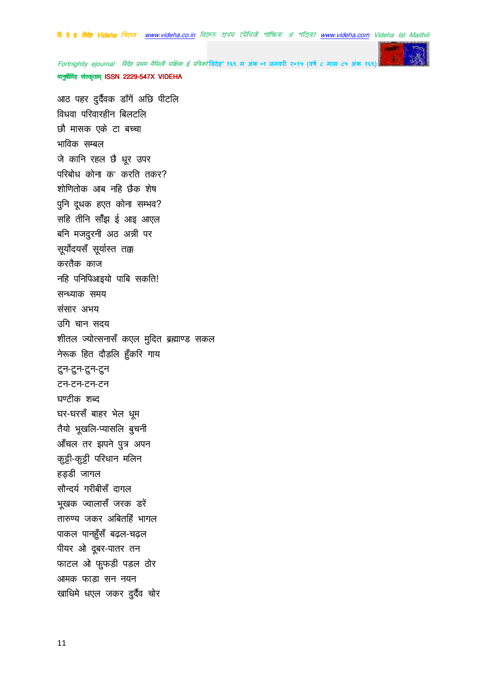Fortnightly ejournal िवद ेह थम म ैिथली पाि'क ई पि\*का**'वदेह' १६९ म अंक ०१ जनवर २०१५ (वष ८ मास ८५ अंक १६९)** मानुषीमिह संस्कृताम् ISSN 2229-547X VIDEHA

आठ पहर दुर्दैवक डाँगें अछि पीटलि िवधवा पिरवारहीन िबलटिल छौ मासक एके टा बच्चा भाविक सम्बल जे कानि रहल छै धूर उपर पिरबोध कोना क' करित तकर? शोणितोक आब नहि छैक शेष पुनि दूधक हएत कोना सम्भव? सहि तीनि साँँझ ई आइ आएल बनि मजदुरनी अठ अन्नी पर सूर्योदयसँ सूर्यास्त तक्क करतैक काज निह पिनिपआइयो पािब सकित! सन्ध्याक समय संसार अभय उिग चान सदय शीतल ज्योत्सनासँ कएल मुदित ब्रह्माण्ड सकल नेरूक हित दौड़लि हुँकरि गाय टुन-टुन-टुन-टुन टन-टन-टन-टन घण्टीक शब्द घर-घरसँ बाहर भेल धूम तैयो भूखलि-प्यासलि बुचनी आँचल तर झपने पुत्र अपन कुæी-कुæी पिरधान मिलन हøडी जागल सौन्दर्य गरीबीसँ दागल भूखक ज्वालासँ जरक डरें तारुण्य जकर अबितर्हि भागल पाकल पानहुँसँ बढ़ल-चढ़ल पीयर ओ दूबर-पातर तन फाटल ओ फुफड़ी पड़ल ठोर आमक फाड़ा सन नयन खाधिमे धएल जकर दुर्दैव चोर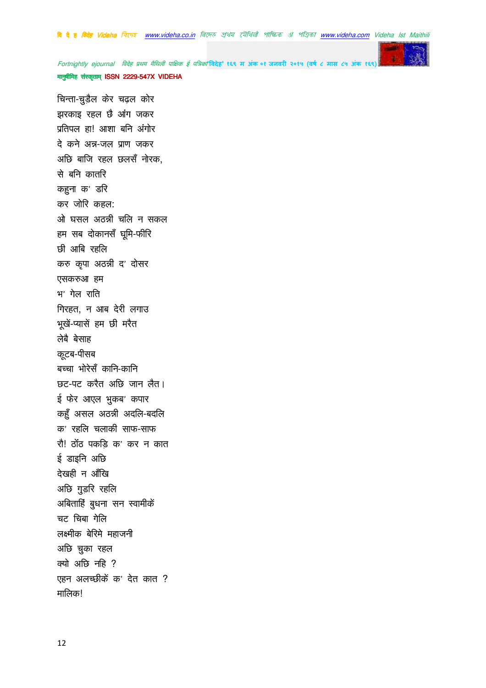Fortnightly ejournal िवद ेह थम म ैिथली पाि'क ई पि\*का**'वदेह' १६९ म अंक ०१ जनवर २०१५ (वष ८ मास ८५ अंक १६९)** मानुषीमिह संस्कृताम् ISSN 2229-547X VIDEHA

चिन्ता-चुड़ैल केर चढ़ल कोर झरकाइ रहल छ ै आंग जकर ितपल हा! आशा बिन अंगोर दे कने अन्न-जल प्राण जकर अिछ बािज रहल छलसँ नोरक, से बिन कातिर कहुना क' डरि कर जोिर कहल: ओ घसल अठन्नी चलि न सकल हम सब दोकानसँ घूमि-फीरि छी आिब रहिल करु कृपा अठन्नी द' दोसर एसकरुआ हम भ' गेल राित िगरहत, न आब देरी लगाउ भूखें-प्यासें हम छी मरैत लेबै बेसाह कूटब-पीसब बच्चा भोरेसँ कानि-कानि छट-पट करैत अछि जान लैत। ई फेर आएल भुकब' कपार कहूँ असल अठन्नी अदलि-बदलि क' रहिल चलाकी साफ-साफ रौ! ठॲठ पकिड़ क' कर न कात ई डाइिन अिछ देखही न आँिख अिछ गुड़िर रहिल अबिताहिं बुधना सन स्वामीकें चट िचबा गेिल ल¿मीक बेिरमे महाजनी अछि चुका रहल क्यो अछि नहि ? एहन अलच्छीकें क' देत कात ? मालिक!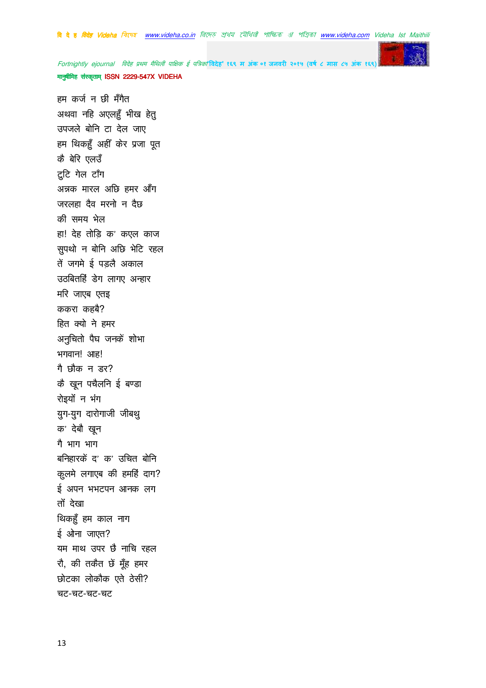Fortnightly ejournal िवद ेह थम म ैिथली पाि'क ई पि\*का**'वदेह' १६९ म अंक ०१ जनवर २०१५ (वष ८ मास ८५ अंक १६९)**

#### मानुषीमिह संस्कृताम् ISSN 2229-547X VIDEHA

हम कर्ज न छी मँगैत अथवा निह अएलहु ँ भीख हेतु उपजल े बोिन टा देल जाए हम थिकहूँ अहीं केर प्रजा पूत कै बेिर एलउ ँ ट ुिट गेल टÜग अन्नक मारल अछि हमर आँग जरलहा दैव मरनो न दैछ की समय भेल हा! देह तोिड़ क' कएल काज सुपथो न बोनि अछि भेटि रहल तें जगमे ई पड़लै अकाल उठबितर्हि डेग लागए अन्हार मिर जाएब एतइ ककरा कहबै? िहत pयो ने हमर अनुचितो पैघ जनकें शोभा भगवान! आह! गै छौक न डर? कै खून पचैलनि ई बण्डा रोइयों न भंग युग-युग दारोगाजी जीबथु क' देबौ खून गै भाग भाग बनिहारकें द' क' उचित बोनि कुलमे लगाएब की हमिहं दाग? ई अपन भभटपन आनक लग तों देखा िथकहु ँ हम काल नाग ई ओना जाएत? यम माथ उपर छ ै नािच रहल रौ, की तकैत छें मूँह हमर छोटका लोकौक एते ठेसी? चट-चट-चट-चट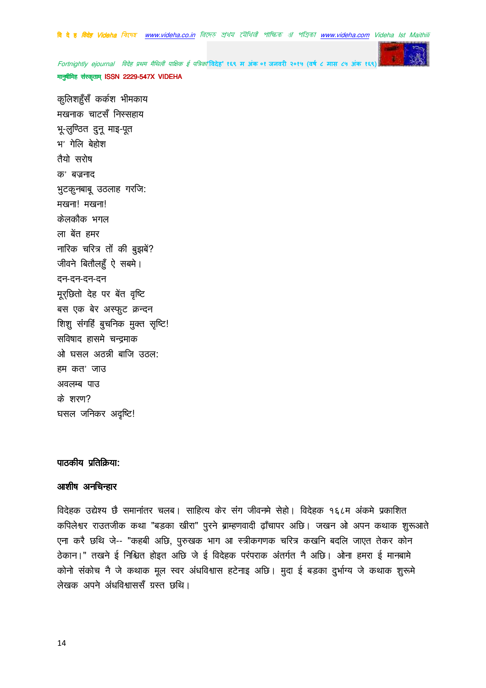Fortnightly ejournal िवद ेह थम म ैिथली पाि'क ई पि\*का**'वदेह' १६९ म अंक ०१ जनवर २०१५ (वष ८ मास ८५ अंक १६९)**

#### मानुषीमिह संस्कृताम् ISSN 2229-547X VIDEHA

कुलिशहुँसँ कर्कश भीमकाय मखनाक चाटसँ निस्सहाय भू-लुिØठत दुनू माइ-पूत भ' गेिल बेहोश त ैयो सरोष क' बज्रनाद भुटकुनबाबू उठलाह गरिज: मखना! मखना! केलकौक भगल ला बेंत हमर नारिक चरित्र तों की बुझबें? जीवने िबतौलहु ँ ऐ सबमे। दन-दन-दन-दन मुरुछितो देह पर बेंत वृष्टि बस एक बेर अस्फूट क्रन्दन शिशु संगर्हि बुचनिक मुक्त सृष्टि! सविषाद हासमे चन्द्रमाक ओ घसल अठन्नी बाजि उठल: हम कत' जाउ अवल¶ब पाउ के शरण? घसल जनिकर अदृष्टि!

#### पातकीय पतिकिया:

#### आशीष अनचिन्हार

विदेहक उद्येश्य छै समानांतर चलब। साहित्य केर संग जीवनमे सेहो। विदेहक १६८म अंकमे प्रकाशित कपिलेश्वर राउतजीक कथा "बड़का खीरा" पुरने ब्राम्हणवादी ढाँचापर अछि। जखन ओ अपन कथाक शुरूआते एना करै छथि जे-- "कहबी अछि, पुरुखक भाग आ स्त्रीकगणक चरित्र कखनि बदलि जाएत तेकर कोन ठेकान।" तखने ई निश्चित होइत अछि जे ई विदेहक परंपराक अंतर्गत नै अछि। ओना हमरा ई मानबामे कोनो संकोच नै जे कथाक मूल स्वर अंधविश्वास हटेनाइ अछि। मुदा ई बड़का दुर्भाग्य जे कथाक शुरूमे लेखक अपने अंधविशाससँ ग्रस्त छथि।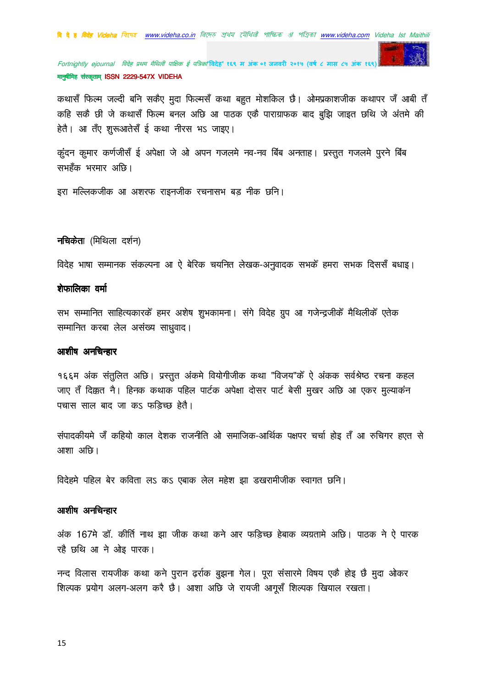Fortnightly ejournal िवद ेह थम म ैिथली पाि'क ई पि\*का**'वदेह' १६९ म अंक ०१ जनवर २०१५ (वष ८ मास ८५ अंक १६९)** मानुषीमिह संस्कृताम् ISSN 2229-547X VIDEHA

कथासँ फिल्म जल्दी बनि सकैए मुदा फिल्मसँ कथा बहुत मोशकिल छै। ओमप्रकाशजीक कथापर जँ आबी तँ कहि सकै छी जे कथासँ फिल्म बनल अछि आ पाठक एकै पाराग्राफक बाद बुझि जाइत छथि जे अंतमे की हेतै। आ तँए शुरूआतेसँ ई कथा नीरस भऽ जाइए।

कृंदन कृमार कर्णजीसँ ई अपेक्षा जे ओ अपन गजलमे नव-नव बिंब अनताह। प्रस्तुत गजलमे पुरने बिंब सभहँक भरमार अछि।

इरा मिòलकजीक आ अशरफ राइनजीक रचनासभ बड़ नीक छिन।

#### **नचिकेता** (मिथिला दर्शन)

विदेह भाषा सम्मानक संकल्पना आ ऐ बेरिक चयनित लेखक-अनुवादक सभकें हमरा सभक दिससँ बधाइ।

#### शेफािलका वमä शेफािलका वमä

सभ सम्मानित साहित्यकारकेँ हमर अशेष शुभकामना। संगे विदेह ग्रुप आ गजेन्द्रजीकेँ मैथिलीकेँ एतेक सम्मानित करबा लेल असंख्य साधुवाद।

#### आशीष अनचिन्हार

१६६म अंक संतुलित अछि। प्रस्तुत अंकमे वियोगीजीक कथा "विजय"कँ ऐ अंकक सर्वश्रेष्ठ रचना कहल जाए तँ दिक्कत नै। हिनक कथाक पहिल पार्टक अपेक्षा दोसर पार्ट बेसी मुखर अछि आ एकर मुल्याकंन पचास साल बाद जा कऽ फिड़µछ हेतै।

संपादकीयमे जँ कहियो काल देशक राजनीति ओ समाजिक-आर्थिक पक्षपर चर्चा होइ तँ आ रुचिगर हएत से आशा अछि।

िवदेहमे पिहल बेर किवता लऽ कऽ एबाक लेल महेश झा डखरामीजीक 0वागत छिन।

#### आशीष अनचिन्हार

अंक 167मे डॉ. कीर्ति नाथ झा जीक कथा कने आर फड़िच्छ हेबाक व्यग्रतामे अछि। पाठक ने ऐ पारक रहै छिथ आ ने ओइ पारक।

नन्द विलास रायजीक कथा कने पुरान ढ़र्राक बुझना गेल। पूरा संसारमे विषय एकै होइ छै मुदा ओकर शिल्पक प्रयोग अलग-अलग करै छै। आशा अछि जे रायजी आगूसँ शिल्पक खियाल रखता।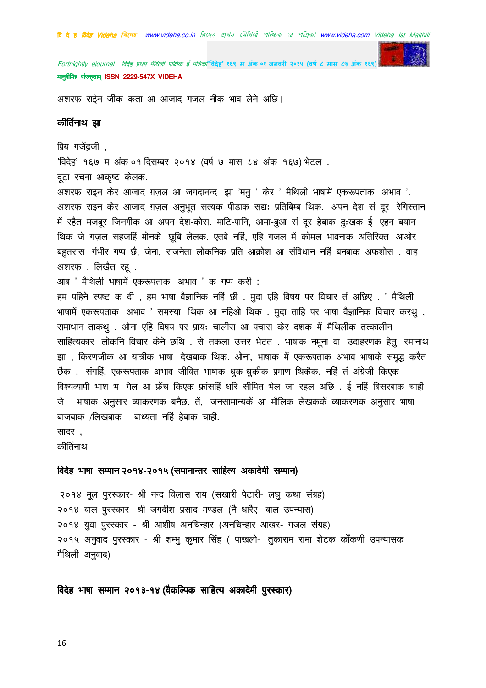Fortnightly ejournal िवद ेह थम म ैिथली पाि'क ई पि\*का**'वदेह' १६९ म अंक ०१ जनवर २०१५ (वष ८ मास ८५ अंक १६९)** मानुषीमिह संस्कृताम् ISSN 2229-547X VIDEHA

अशरफ राईन जीक कता आ आजाद गजल नीक भाव लेने अिछ।

#### कीर्तिनाथ झा

प्रिय गजेंद्रजी ,

'विदेह' १६७ म अंक ०१ दिसम्बर २०१४ (वर्ष ७ मास ८४ अंक १६७) भेटल .

दटा रचना आकृष्ट केलक.

अशरफ राइन केर आजाद ग़ज़ल आ जगदानन्द झा 'मनु ' केर ' मैथिली भाषामें एकरूपताक अभाव '. अशरफ राइन केर आजाद ग़ज़ल अनुभूत सत्यक पीड़ाक सद्यः प्रतिबिम्ब थिक. अपन देश सं दूर रेगिस्तान में रहैत मजबूर जिनगीक आ अपन देश-कोस. माटि-पानि, आमा-बुआ सं दूर हेबाक दुःखक ई एहन बयान थिक जे ग़ज़ल सहजहिं मोनके छूबि लेलक. एतबे नहिं, एहि गजल में कोमल भावनाक अतिरिक्त आओर बहुतरास गंभीर गप्प छै, जेना, राजनेता लोकनिक प्रति आक्रोश आ संविधान नहिं बनबाक अफशोस . वाह अशरफ . िलखैत रहू .

आब ' मैथिली भाषामें एकरूपताक अभाव ' क गप्प करी :

हम पहिने स्पष्ट क दी , हम भाषा वैज्ञानिक नहिं छी . मुदा एहि विषय पर विचार तं अछिए . ' मैथिली भाषामें एकरूपताक अभाव ' समस्या थिक आ नहिओ थिक . मुदा ताहि पर भाषा वैज्ञानिक विचार करथु , समाधान ताकथु . ओना एहि विषय पर प्रायः चालीस आ पचास केर दशक में मैथिलीक तत्कालीन साहित्यकार लोकनि विचार केने छथि . से तकला उत्तर भेटत . भाषाक नमूना वा उदाहरणक हेतु रमानाथ झा , किरणजीक आ यात्रीक भाषा देखबाक थिक. ओना, भाषाक में एकरूपताक अभाव भाषाके समृद्ध करैत छैक . संगहिं, एकरूपताक अभाव जीवित भाषाक धुक-धुकीक प्रमाण थिकैक. नहिं तं अंग्रेजी किएक विश्यव्यापी भाश भ गेल आ फ्रेंच किएक फ्रांसहिं धरि सीमित भेल जा रहल अछि . ई नहिं बिसरबाक चाही जे भाषाक अनुसार व्याकरणक बनैछ. तें, जनसामान्यकें आ मौलिक लेखककें व्याकरणक अनुसार भाषा बाजबाक /िलखबाक बाºयता निहं हेबाक चाही.

सादर ,

कीर्तिनाथ

#### विदेह भाषा सम्मान २०१४-२०१५ (समानान्तर साहित्य अकादेमी सम्मान)

२०१४ मूल पुरस्कार- श्री नन्द विलास राय (सखारी पेटारी- लघु कथा संग्रह) २०१४ बाल पुरस्कार- श्री जगदीश प्रसाद मण्डल (नै धारैए- बाल उपन्यास) २०१४ युवा पुरस्कार - श्री आशीष अनचिन्हार (अनचिन्हार आखर- गजल संग्रह) २०१५ अनुवाद पुरस्कार - श्री शम्भु कूमार सिंह ( पाखलो- तुकाराम रामा शेटक कोंकणी उपन्यासक मैिथली अनुवाद)

विदेह भाषा सम्मान २०१३-१४ (वैकल्पिक साहित्य अकादेमी पुरस्कार)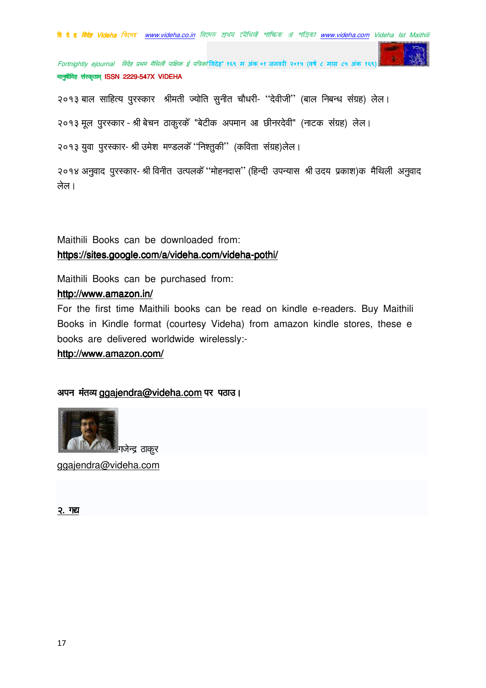

२०१३ मूल पुरस्कार - श्री बेचन ठाकुरकें "बेटीक अपमान आ छीनरदेवी" (नाटक संग्रह) लेल।

२०१३ युवा पुरस्कार- श्री उमेश मण्डलकेँ "निश्तुकी" (कविता संग्रह)लेल।

२०१४ अनुवाद पुरस्कार- श्री विनीत उत्पलकेँ "मोहनदास" (हिन्दी उपन्यास श्री उदय प्रकाश)क मैथिली अनुवाद लेल।

Maithili Books can be downloaded from:

# https://sites.google.com/a/videha.com/videha-pothi/

Maithili Books can be purchased from:

## http://www.amazon.in/

For the first time Maithili books can be read on kindle e-readers. Buy Maithili Books in Kindle format (courtesy Videha) from amazon kindle stores, these e books are delivered worldwide wirelessly:-

http://www.amazon.com/

# अपन मंतव्य ggajendra@videha.com पर पठाउ।



ggajendra@videha.com

२. गद्य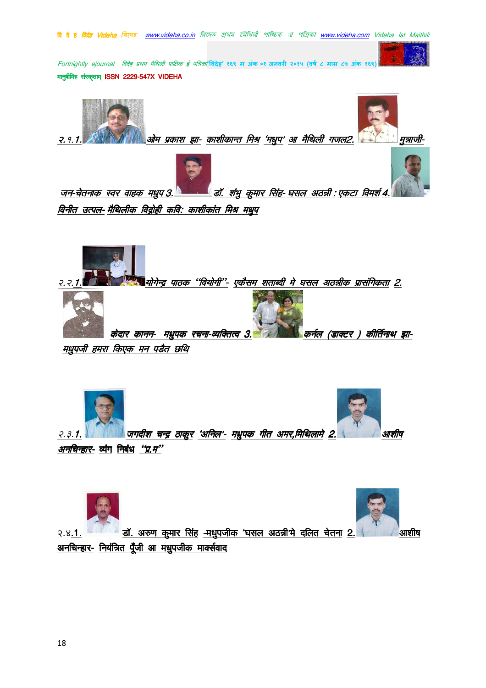

२.४.1. डॉ. अरुण कुमार सिंह -मधुपजीक 'घसल अठन्नी'मे दलित चेतना 2. असी की आशीष <u>अनचिन्हार- नियंत्रित पूँजी आ मधुपजीक मार्क्सवाद</u>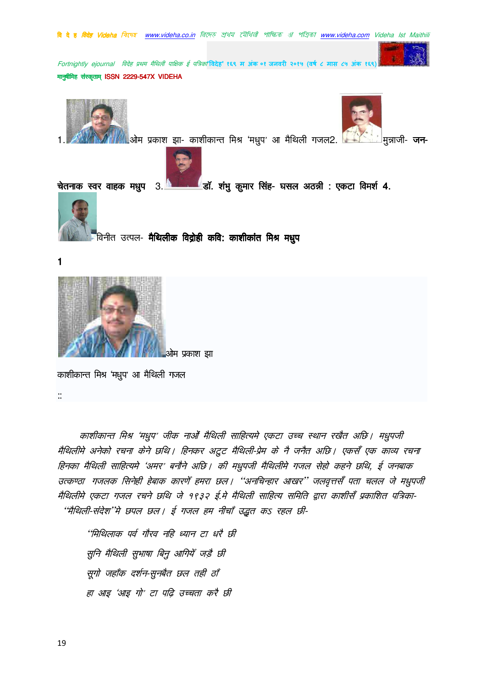

::

काशीकान्त मिश्र 'मधुप' जीक नाओं मैथिली साहित्यमे एकटा उच्च स्थान रखैत अछि। मधुपजी मैथिलीमे अनेको रचना केने छथि। हिनकर अटुट मैथिली-प्रेम के नै जनैत अछि। एकसँ एक काव्य रचना हिनका मैथिली साहित्यमे 'अमर' बनौने अछि। की मधुपजी मैथिलीमे गजल सेहो कहने छथि, ई जनबाक उत्कण्ठा गजलक सिनेही हेबाक कारणेँ हमरा छल। "अनचिन्हार आखर" जलवृत्तसँ पता चलल जे मधुपजी मैथिलीमे एकटा गजल रचने छथि जे १९३२ ई.मे मैथिली साहित्य समिति द्वारा काशीसँ प्रकाशित पत्रिका-"मैथिली-संदेश"मे छपल छल। ई गजल हम नीचाँ उद्धत कऽ रहल छी-

"मिथिलाक पर्व गौरव नहि ध्यान टा धरै छी सुनि मैथिली सुभाषा बिनु आगियेँ जड़ै छी सूगो जहाँक दर्शन-सुनबैत छल तही ठाँ हा आइ 'आइ गो' टा पढि उच्चता करै छी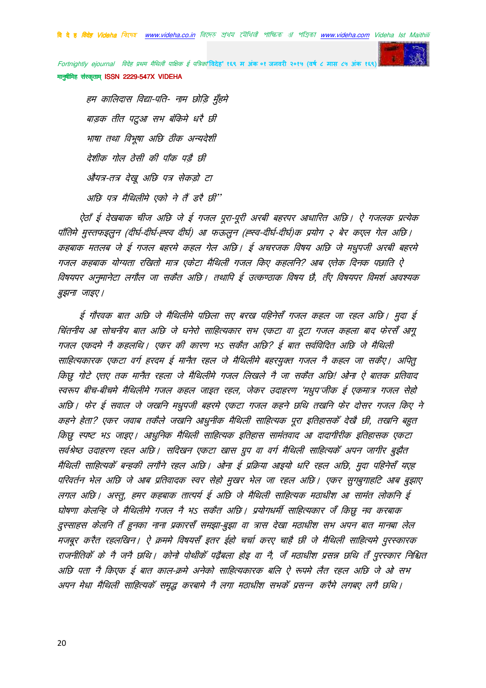Fortnightly ejournal िवद ेह थम म ैिथली पाि'क ई पि\*का**'वदेह' १६९ म अंक ०१ जनवर २०१५ (वष ८ मास ८५ अंक १६९)** मानुषीमिह संस्कृताम् ISSN 2229-547X VIDEHA

हम कालिदास विद्या-पति- नाम छोड़ि मुँहमे बाड़क तीत पटुआ सभ बंिकमे धरै छी भाषा तथा विभुषा अछि ठीक अन्यदेशी देशीक गोल ठेसी की पाँक पड़े छी औयत्र-तत्र देखू अछि पत्र सेकड़ो टा अछि पत्र मैथिलीमे एको ने तैं डरै छी"

ऐठाँ ई देखबाक चीज अछि जे ई गजल पूरा-पूरी अरबी बहरपर आधारित अछि। ऐ गजलक प्रत्येक पाँतिमे मुस्तफइलुन (दीर्घ-दीर्घ-ह्स्ख दीर्घ) आ फऊलुन (ह्स्ख-दीर्घ-दीर्घ)क प्रयोग २ बेर कएल गेल अछि। कहबाक मतलब जे ई गजल बहरमे कहल गेल अछि। ई अचरजक विषय अछि जे मधुपजी अरबी बहरमे गजल कहबाक योग्यता रखितो मात्र एकेटा मैथिली गजल किए कहलनि? आब एतेक दिनक पछाति ऐ विषयपर अनुमानेटा लगौल जा सकैत अछि। तथापि ई उत्कृण्ठाक विषय छै, तँए विषयपर विमर्श आवश्यक बुझना जाइए।

ई गौरवक बात अछि जे मैथिलीमे पछिला सए बरख पहिनेसँ गजल कहल जा रहल अछि। मुदा ई चिंतनीय आ सोचनीय बात अछि जे घनेरो साहित्यकार सभ एकटा वा दूटा गजल कहला बाद फेरसँ आगू गजल एकदमे नै कहलथि। एकर की कारण भऽ सकैत अछि? ई बात सर्वविदित अछि जे मैथिली साहित्यकारक एकटा वर्ग हरदम ई मानैत रहल जे मैथिलीमे बहरयुक्त गजल नै कहल जा सकैए। अपितु किछू गोटे एतए तक मानैत रहला जे मैथिलीमे गजल लिखले नै जा सकैत अछि! ओना ऐ बातक प्रतिवाद स्वरूप बीच-बीचमे मैथिलीमे गजल कहल जाइत रहल, जेकर उदाहरण 'मधुप'जीक ई एकमात्र गजल सेहो अछि। फेर ई सवाल जे जखनि मधुपजी बहरमे एकटा गजल कहने छथि तखनि फेर दोसर गजल किए ने कहने हेता? एकर जवाब तकैले जखनि आधुनीक मैथिली साहित्यक पूरा इतिहासकेँ देखै छी, तखनि बहुत किछू स्पष्ट भऽ जाइए। आधुनिक मैथिली साहित्यक इतिहास सामंतवाद आ दादागीरीक इतिहासक एकटा सर्वश्रेष्ठ उदाहरण रहल अछि। सदिखन एकटा खास ग्रुप वा वर्ग मैथिली साहित्यकेँ अपन जागीर बुझैत मैथिली साहित्यकैं बन्हकी लगौने रहल अछि। ओना ई प्रक्रिया आइयो धरि रहल अछि, मुदा पहिनेसँ यएह परिवर्तन भेल अछि जे आब प्रतिवादक स्वर सेहो मुखर भेल जा रहल अछि। एकर सुगबुगाहटि आब बुझाए लगल अछि। अस्तु, हमर कहबाक तात्पर्य ई अछि जे मैथिली साहित्यक मठाधीश आ सामंत लोकनि ई घोषणा केलन्हि जे मैथिलीमे गजल नै भऽ सकैत अछि। प्रयोगधर्मी साहित्यकार जँ किछू नव करबाक दुस्साहस केलनि तँ हुनका नाना प्रकारसँ समझा-बुझा वा त्रास देखा मठाधीश सभ अपन बात मानबा लेल मजबूर करैत रहलखिन। ऐ क्रममे विषयसँ इतर ईहो चर्चा करए चाहै छी जे मैथिली साहित्यमे पुरस्कारक राजनीतिकैं के नै जनै छथि। कोनो पोथीकैं पढ़ैबला होइ वा नै, जैं मठाधीश प्रसन्न छथि तैं पुरस्कार निश्चित अछि पता नै किएक ई बात काल-क्रमे अनेको साहित्यकारक बलि ऐ रूपमे लैत रहल अछि जे ओ सभ अपन मेधा मैथिली साहित्यकेँ समृद्ध करबामे नै लगा मठाधीश सभकेँ प्रसन्न करैमे लगबए लगै छथि।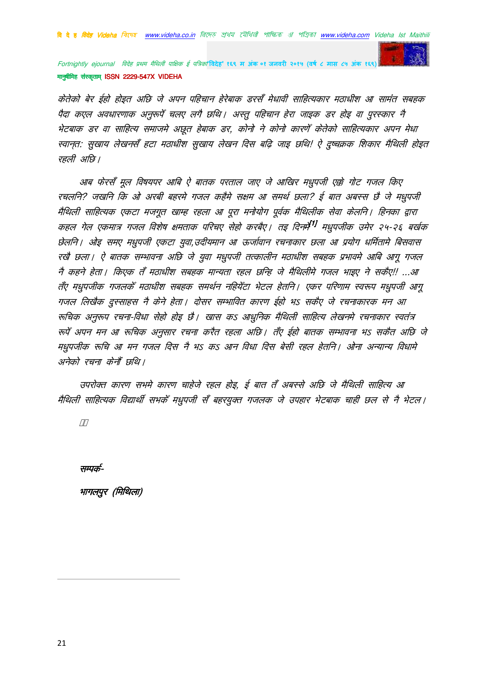Fortnightly ejournal िवद ेह थम म ैिथली पाि'क ई पि\*का**'वदेह' १६९ म अंक ०१ जनवर २०१५ (वष ८ मास ८५ अंक १६९)** मानुषीमिह संस्कृताम् ISSN 2229-547X VIDEHA

केतेको बेर ईहो होइत अछि जे अपन पहिचान हेरेबाक डरसँ मेधावी साहित्यकार मठाधीश आ सामंत सबहक पैदा कएल अवधारणाक अनुरूपें चलए लगै छथि। अस्तु पहिचान हेरा जाइक डर होइ वा पुरस्कार नै भेटबाक डर वा साहित्य समाजमे अछूत हेबाक डर, कोनो ने कोनो कारणेँ केतेको साहित्यकार अपन मेधा स्वान्त: सुखाय लेखनसँ हटा मठाधीश सुखाय लेखन दिस बढ़ि जाइ छथि! ऐ दुष्चक्रक शिकार मैथिली होइत रहली अमि ।

आब फेरसँ मूल विषयपर आबि ऐ बातक परताल जाए जे आखिर मधुपजी एक्के गोट गजल किए रचलनि? जखनि कि ओ अरबी बहरमे गजल कहैमे सक्षम आ समर्थ छला? ई बात अबस्स छै जे मधुपजी मैथिली साहित्यक एकटा मजगूत खाम्ह रहला आ पूरा मनोयोग पूर्वक मैथिलीक सेवा केलनि। हिनका द्वारा कहल गेल एकमात्र गजल विशेष क्षमताक परिचए सेहो करबैए। तइ दिनर्मै<sup>11</sup> मधुपजीक उमेर २५-२६ बर्खक छेलनि। ओइ समए मधुपजी एकटा युवा,उदीयमान आ ऊर्जावान रचनाकार छला आ प्रयोग धर्मितामे बिसवास रखै छला। ऐ बातक सम्भावना अछि जे युवा मधुपजी तत्कालीन मठाधीश सबहक प्रभावमे आबि आगू गजल नै कहने हेता। किएक तँ मठाधीश सबहक मान्यता रहल छन्हि जे मैथिलीमे गजल भाइए ने सकैए!! ...आ तँए मधुपजीक गजलकेँ मठाधीश सबहक समर्थन नहियेँटा भेटल हेतनि। एकर परिणाम स्वरूप मधुपजी आगू गजल लिखैक दुस्साहस नै केने हेता। दोसर सम्भावित कारण ईहो भऽ सकैए जे रचनाकारक मन आ रूचिक अनुरूप रचना-विधा सेहो होइ छै। खास कऽ आधुनिक मैथिली साहित्य लेखनमे रचनाकार स्वतंत्र रूपैं अपन मन आ रूचिक अनुसार रचना करैत रहला अछि। तँए ईहो बातक सम्भावना भऽ सकैत अछि जे मधुपजीक रूचि आ मन गजल दिस नै भऽ कऽ आन विधा दिस बेसी रहल हेतनि। ओना अन्यान्य विधामे अनेको रचना केनैँ छथि।

उपरोक्त कारण सभमे कारण चाहेजे रहल होइ, ई बात तँ अबस्से अछि जे मैथिली साहित्य आ मैथिली साहित्यक विद्यार्थी सभकेँ मधुपजी सँ बहरयुक्त गजलक जे उपहार भेटबाक चाही छल से नै भेटल।

 $I\!\!I\!\!I$ 

सम्पर्क-

भागलपुर (मिथिला)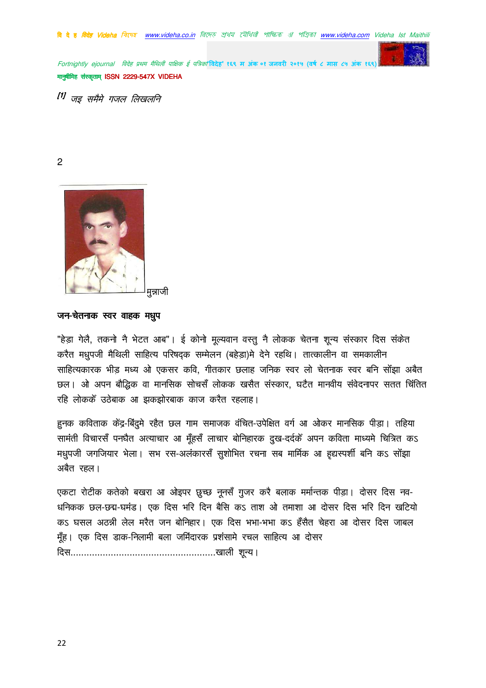**वि दे ह** *विदेह Videha दिफ्ट <u>www.videha.co.in</u> तिरमरु शेथ***य यৌथिती পাক্ষিক \$1 পত্রিকা <u>www.videha.com</u> Videha Ist Maithili** Fortnightly ejournal िवद ेह थम म ैिथली पाि'क ई पि\*का**'वदेह' १६९ म अंक ०१ जनवर २०१५ (वष ८ मास ८५ अंक १६९)** मानुषीमिह संस्कृताम् ISSN 2229-547X VIDEHA

<sup>[1]</sup> जइ समैमे गजल लिखलनि

2



जन-चेतनाक स्वर वाहक मधुप

"हेड़ा गेलै, तकनो नै भेटत आब"। ई कोनो मूल्यवान वस्तु नै लोकक चेतना शून्य संस्कार दिस संकेत करैत मधपजी मैथिली साहित्य परिषदक सम्मेलन (बहेडा)मे देने रहथि। तात्कालीन वा समकालीन साहित्यकारक भीड़ मध्य ओ एकसर कवि, गीतकार छलाह जनिक स्वर लो चेतनाक स्वर बनि सोंझा अबैत छल। ओ अपन बौद्धिक वा मानसिक सोचसँ लोकक खसैत संस्कार, घटैत मानवीय संवेदनापर सतत चिंतित रहि लोककेँ उठेबाक आ झकझोरबाक काज करैत रहलाह।

हुनक कविताक केंद्र-बिंदुमे रहैत छल गाम समाजक वंचित-उपेक्षित वर्ग आ ओकर मानसिक पीड़ा। तहिया सामंती विचारसँ पनघैत अत्याचार आ मुँहसँ लाचार बोनिहारक दुख-दर्दकँ अपन कविता माध्यमे चित्रित कऽ मधुपजी जगजियार भेला। सभ रस-अलंकारसँ सुशोभित रचना सब मार्मिक आ ह़द्यस्पर्शी बनि कऽ सोंझा अबैत रहल।

एकटा रोटीक कतेको बखरा आ ओइपर छूच्छ नूनसँ गुजर करै बलाक मर्मान्तक पीड़ा। दोसर दिस नव-धनिकक छल-छद्म-घमंड। एक दिस भरि दिन बैसि कऽ ताश ओ तमाशा आ दोसर दिस भरि दिन खटियो कऽ घसल अठन्नी लेल मरैत जन बोनिहार। एक दिस भभा-भभा कऽ हँसैत चेहरा आ दोसर दिस जाबल मूँह। एक दिस डाक-निलामी बला जर्मिदारक प्रशंसामे रचल साहित्य आ दोसर िदस......................................................खाली श ूUय।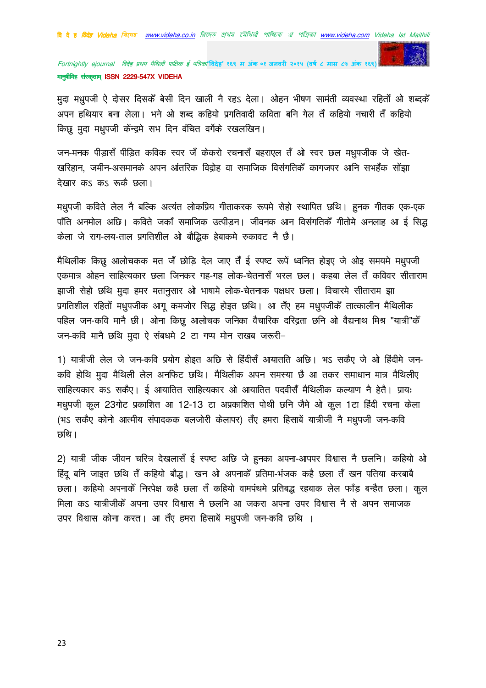Fortnightly ejournal िवद ेह थम म ैिथली पाि'क ई पि\*का**'वदेह' १६९ म अंक ०१ जनवर २०१५ (वष ८ मास ८५ अंक १६९)** मानुषीमिह संस्कृताम् ISSN 2229-547X VIDEHA

मुदा मधुपजी ऐ दोसर दिसकें बेसी दिन खाली नै रहऽ देला। ओहन भीषण सामंती व्यवस्था रहितों ओ शब्दकें अपन हथियार बना लेला। भने ओ शब्द कहियो प्रगतिवादी कविता बनि गेल तँ कहियो नचारी तँ कहियो किछू मुदा मधुपजी केंन्द्रमे सभ दिन वंचित वर्गेके रखलखिन।

जन-मनक पीड़ासँ पीड़ित कविक स्वर जँ केकरो रचनासँ बहराएल तँ ओ स्वर छल मधुपजीक जे खेत-खरिहान, जमीन-असमानके अपन आंतरिक विद्रोह वा समाजिक विसंगतिकेँ कागजपर आनि सभहँक सोंझा देखार कऽ कऽ ½कै छला।

मधुपजी कविते लेल नै बल्कि अत्यंत लोकप्रिय गीताकरक रूपमे सेहो स्थापित छथि। हुनक गीतक एक-एक पाँति अनमोल अछि। कविते जकाँ समाजिक उत्पीड़न। जीवनक आन विसंगतिक ँगीतोमे अनलाह आ ई सिद्ध केला जे राग-लय-ताल प्रगतिशील ओ बौद्धिक हेबाकमे रुकावट नै छै।

मैथिलीक किछु आलोचकक मत जँ छोड़ि देल जाए तँ ई स्पष्ट रूपें ध्वनित होइए जे ओइ समयमे मधुपजी एकमात्र ओहन साहित्यकार छला जिनकर गह-गह लोक-चेतनासँ भरल छल। कहबा लेल तँ कविवर सीताराम झाजी सेहो छथि मदा हमर मतानसार ओ भाषामे लोक-चेतनाक पक्षधर छला। विचारमे सीताराम झा प्रगतिशील रहितों मधुपजीक आगू कमजोर सिद्ध होइत छथि। आ तँए हम मधुपजीकेँ तात्कालीन मैथिलीक पहिल जन-कवि मानै छी। ओना किछु आलोचक जनिका वैचारिक दरिद्रता छनि ओ वैद्यनाथ मिश्र "यात्री"कँ जन-कवि मानै छथि मदा ऐ संबधमे 2 टा गप्प मोन राखब जरूरी–

1) यात्रीजी लेल जे जन-कवि प्रयोग होइत अछि से हिंदीसँ आयातति अछि। भऽ सकैए जे ओ हिंदीमे जन-कवि होथि मुदा मैथिली लेल अनफिट छथि। मैथिलीक अपन समस्या छै आ तकर समाधान मात्र मैथिलीए साहित्यकार कऽ सकैए। ई आयातित साहित्यकार ओ आयातित पदवीसँ मैथिलीक कल्याण नै हेतै। प्रायः मधुपजी कूल 23गोट प्रकाशित आ 12-13 टा अप्रकाशित पोथी छनि जैमे ओ कूल 1टा हिंदी रचना केला (भऽ सकैए कोनो आत्मीय संपादकक बलजोरी केलापर) तँए हमरा हिसाबें यात्रीजी नै मधुपजी जन-कवि छिथ।

2) यात्री जीक जीवन चरित्र देखलासँ ई स्पष्ट अछि जे हुनका अपना-आपपर विश्वास नै छलनि। कहियो ओ हिंदू बनि जाइत छथि तँ कहियो बौद्ध। खन ओ अपनाकेँ प्रतिमा-भंजक कहै छला तँ खन पतिया करबाबै छला। कहियो अपनाकेँ निरपेक्ष कहै छला तँ कहियो वामपंथमे प्रतिबद्ध रहबाक लेल फाँड़ बन्हैत छला। कुल मिला कऽ यात्रीजीकेँ अपना उपर विश्वास नै छलनि आ जकरा अपना उपर विश्वास नै से अपन समाजक उपर विश्वास कोना करत। आ तँए हमरा हिसाबें मधुपजी जन-कवि छथि ।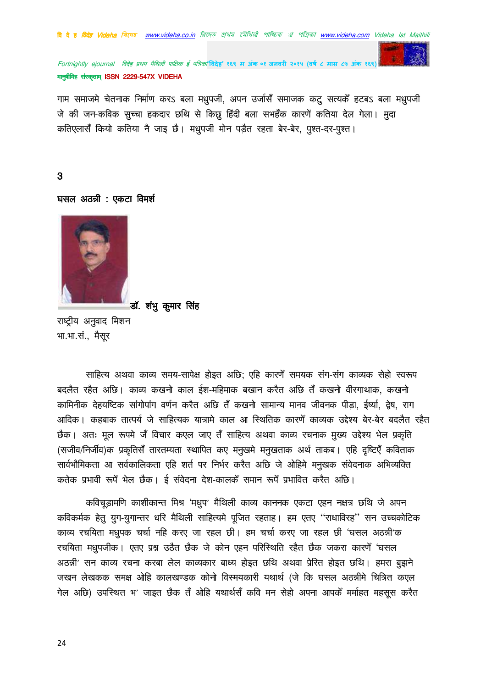

गाम समाजमे चेतनाक निर्माण करऽ बला मधुपजी, अपन उर्जासँ समाजक कटु सत्यकेँ हटबऽ बला मधुपजी जे की जन-कविक सुच्चा हकदार छथि से किछू हिंदी बला सभहँक कारणें कतिया देल गेला। मुदा कतिएलासँ कियो कतिया नै जाइ छै। मधुपजी मोन पड़ैत रहता बेर-बेर, पुश्त-दर-पुश्त।

3

घसल अठन्नी : एकटा विमर्श



डॉ. शंभु कुमार िसंह शंभु िसंह

राष्ट्रीय अनुवाद मिशन भा.भा.सं., मैसूर

साहित्य अथवा काव्य समय-सापेक्ष होइत अछि; एहि कारणेँ समयक संग-संग काव्यक सेहो स्वरूप बदलैत रहैत अछि। काव्य कखनो काल ईश-महिमाक बखान करैत अछि तँ कखनो वीरगाथाक, कखनो कामिनीक देहयष्टिक सांगोपांग वर्णन करैत अछि तँ कखनो सामान्य मानव जीवनक पीड़ा, ईर्ष्या, द्वेष, राग आदिक। कहबाक तात्पर्य जे साहित्यक यात्रामे काल आ स्थितिक कारणें काव्यक उद्देश्य बेर-बेर बदलैत रहैत छैक। अतः मूल रूपमे जँ विचार कएल जाए तँ साहित्य अथवा काव्य रचनाक मुख्य उद्देश्य भेल प्रकृति (सजीव/निर्जीव)क प्रकृतिसँ तारतम्यता स्थापित कए मनुखमे मनुखताक अर्थ ताकब। एहि दृष्टिएँ कविताक सार्वभौमिकता आ सर्वकालिकता एहि शर्त पर निर्भर करैत अछि जे ओहिमे मनुखक संवेदनाक अभिव्यक्ति कतेक प्रभावी रूपें भेल छैक। ई संवेदना देश-कालकेँ समान रूपेँ प्रभावित करैत अछि।

कविचूड़ामणि काशीकान्त मिश्र 'मधुप' मैथिली काव्य काननक एकटा एहन नक्षत्र छथि जे अपन कविकर्मक हेतु युग-युगान्तर धरि मैथिली साहित्यमे पूजित रहताह। हम एतए ''राधाविरह'' सन उच्चकोटिक काव्य रचयिता मधुपक चर्चा नहि करए जा रहल छी। हम चर्चा करए जा रहल छी 'घसल अठन्री'क रचयिता मधुपजीक। एतए प्रश्न उठैत छैक जे कोन एहन परिस्थिति रहैत छैक जकरा कारणें 'घसल अठन्नी' सन काव्य रचना करबा लेल काव्यकार बाध्य होइत छथि अथवा प्रेरित होइत छथि। हमरा बुझने जखन लेखकक समक्ष ओहि कालखण्डक कोनो विस्मयकारी यथार्थ (जे कि घसल अठत्रीमे चित्रित कएल गेल अछि) उपस्थित भ' जाइत छैक तँ ओहि यथार्थसँ कवि मन सेहो अपना आपकेँ मर्माहत महसूस करैत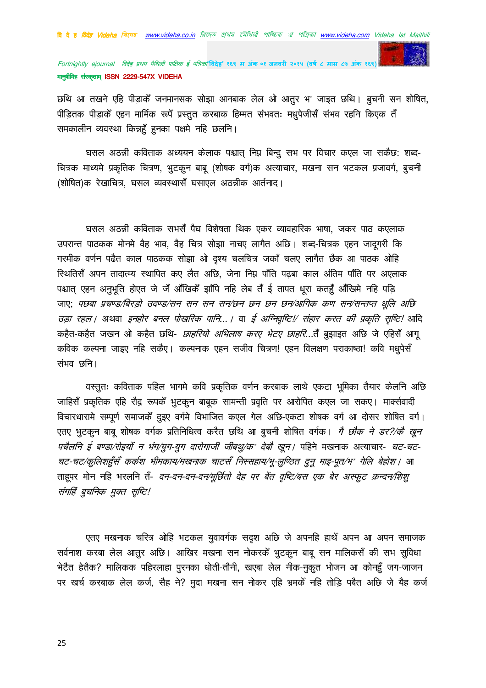Fortnightly ejournal िवद ेह थम म ैिथली पाि'क ई पि\*का**'वदेह' १६९ म अंक ०१ जनवर २०१५ (वष ८ मास ८५ अंक १६९)** मानुषीमिह संस्कृताम् ISSN 2229-547X VIDEHA

छथि आ तखने एहि पीड़ाकेँ जनमानसक सोझा आनबाक लेल ओ आतुर भ' जाइत छथि। बुचनी सन शोषित, पीड़ितक पीड़ाकेँ एहन मार्मिक रूपेँ प्रस्तुत करबाक हिम्मत संभवतः मधुपेजीसँ संभव रहनि किएक तँ समकालीन व्यवस्था किन्नहूँ हुनका पक्षमे नहि छलनि।

घसल अठन्नी कविताक अध्ययन केलाक पश्चात् निम्न बिन्दु सभ पर विचार कएल जा सकैछ: शब्द-चित्रक माध्यमे प्रकृतिक चित्रण, भुटकून बाबू (शोषक वर्ग)क अत्याचार, मखना सन भटकल प्रजावर्ग, बुचनी (शोषित)क रेखाचित्र, घसल व्यवस्थासँ घसाएल अठन्नीक आर्तनाद।

घसल अठन्नी कविताक सभसँ पैघ विशेषता थिक एकर व्यावहारिक भाषा, जकर पाठ कएलाक उपरान्त पाठकक मोनमे वैह भाव, वैह चित्र सोझा नाचए लागैत अछि। शब्द-चित्रक एहन जादूगरी कि गरमीक वर्णन पढैत काल पाठकक सोझा ओ दृश्य चलचित्र जकाँ चलए लागैत छैक आ पाठक ओहि स्थितिसँ अपन तादात्म्य स्थापित कए लैत अछि, जेना निम्न पाँति पढबा काल अंतिम पाँति पर अएलाक पश्चात एहन अनुभूति होएत जे जँ आँखिकेँ झाँपि नहि लेब तँ ई तापत धूरा कतहुँ आँखिमे नहि पड़ि जाए; पछबा प्रचण्ड/बिरड़ो उदण्ड/सन सन सन सन/छन छन छन छन/आगिक कण सन/सन्तप्त धूलि अछि उड़ा *रहल।* अथवा *इनहोर बनल पोखरिक पानि...।* वा *ई अग्निवृष्टि!/ संहार करत की प्रकृति सृष्टि!* आदि कहैत-कहैत जखन ओ कहैत छथि- *छाहरियो अभिलाष करए भेटए छाहरि..*.तँ बुझाइत अछि जे एहिसँ आगू कविक कल्पना जाइए नहि सकैए। कल्पनाक एहन सजीव चित्रण! एहन विलक्षण पराकाष्ठा! कवि मधुपेसँ संभव छिन।

वस्तुतः कविताक पहिल भागमे कवि प्रकृतिक वर्णन करबाक लाथे एकटा भूमिका तैयार केलनि अछि जाहिसँ प्रकृतिक एहि रौद्र रूपकेँ भुटकून बाबूक सामन्ती प्रवृति पर आरोपित कएल जा सकए। मार्क्सवादी विचारधारामे सम्पूर्ण समाजकेँ दुइए वर्गमे विभाजित कएल गेल अछि-एकटा शोषक वर्ग आ दोसर शोषित वर्ग। एतए भुटकुन बाबू शोषक वर्गक प्रतिनिधित्व करैत छथि आ बुचनी शोषित वर्गक। *गै छौक ने डर?/कै खून पचैलनि ई बण्डा/रोइयों न भंग/युग-युग दारोगाजी जीबथु/क' देबौ खून।* पहिने मखनाक अत्याचार- *चट-चट-*चट-चट/कूलिशहुँसँ कर्कश भीमकाय/मखनाक चाटसँ निस्सहाय/भू-लुण्ठित दुनू माइ-पूत/भ' गेलि बेहोश | आ ताहूपर मोन नहि भरलनि तँ- *दन-दन-दन-दन/मूर्छितो देह पर बेंत वृष्टि/बस एक बेर अस्फुट क्रन्दन/शिशु* संगहिं बुचनिक मुक्त सृष्टि!

एतए मखनाक चरित्र ओहि भटकल युवावर्गक सदृश अछि जे अपनहि हाथैँ अपन आ अपन समाजक सर्वनाश करबा लेल आतुर अछि। आखिर मखना सन नोकरकेँ भुटकुन बाबू सन मालिकसँ की सभ सुविधा भेटैत हेतैक? मालिकक पहिरलाहा पुरनका धोती-तौनी, खएबा लेल नीक-नुकुत भोजन आ कोनहुँ जग-जाजन पर खर्च करबाक लेल कर्ज, सैह ने? मुदा मखना सन नोकर एहि भ्रमकें नहि तोड़ि पबैत अछि जे यैह कर्ज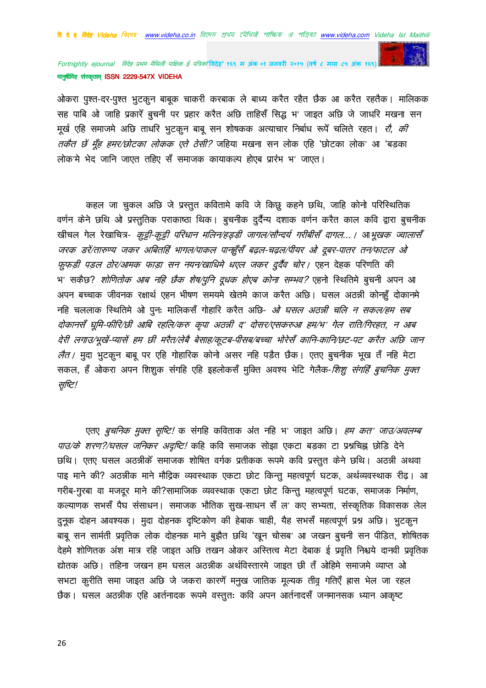Fortnightly ejournal िवद ेह थम म ैिथली पाि'क ई पि\*का**'वदेह' १६९ म अंक ०१ जनवर २०१५ (वष ८ मास ८५ अंक १६९)** मानुषीमिह संस्कृताम् ISSN 2229-547X VIDEHA

ओकरा पुश्त-दर-पुश्त भुटकून बाबुक चाकरी करबाक ले बाध्य करैत रहैत छैक आ करैत रहतैक। मालिकक सह पाबि ओ जाहि प्रकारें बुचनी पर प्रहार करैत अछि ताहिसँ सिद्ध भ' जाइत अछि जे जाधरि मखना सन मूर्ख एहि समाजमे अछि ताधरि भुटकुन बाबू सन शोषकक अत्याचार निर्बाध रूपेँ चलिते रहत। *रौ, की* त*कैत छें मूँह हमर/छोटका लोकक एते ठेसी?* जहिया मखना सन लोक एहि 'छोटका लोक' आ 'बड़का लोक'मे भेद जानि जाएत तहिए सँ समाजक कायाकल्प होएब प्रारंभ भ' जाएत।

कहल जा चुकल अछि जे प्रस्तुत कवितामे कवि जे किछू कहने छथि, जाहि कोनो परिस्थितिक वर्णन केने छथि ओ प्रस्तुतिक पराकाष्ठा थिक। बुचनीक दुर्दैन्य दशाक वर्णन करैत काल कवि द्वारा बुचनीक खीचल गेल रेखाचित्र- *कुट्टी-कूट्टी परिधान मलिन/हडुडी जागल/सौन्दर्य गरीबीसँ दागल...।* आ*भूखक ज्वालासँ* जरक डरें/तारुण्य जकर अबितर्हि भागल/पाकल पानहुँसँ बढ़ल-चढ़ल/पीयर ओ दूबर-पातर तन/फाटल ओ *फूफड़ी पड़ल ठोर/आमक फाड़ा सन नयन/खाधिमे धएल जकर दुर्दैव चोर।* एहन देहक परिणति की भ' सकैछ? *शोणितोक आब नहि छैक शेष/पुनि दूधक होएब कोना सम्भव?* एहनो स्थितिमे बुचनी अपन आ अपन बच्चाक जीवनक रक्षार्थ एहन भीषण समयमे खेतमे काज करैत अछि। घसल अठन्नी कोनहुँ दोकानमे नहि चललाक स्थितिमे ओ पुनः मालिकसँ गोहारि करैत अछि- *ओ घसल अठन्री चलि न सकल/हम सब* दोकानसँ घूमि-फीरि/छी आबि रहलि/करु कृपा अठन्नी द' दोसर/एसकरुआ हम/भ' गेल राति/गिरहत, न आब देरी लगाउ/भूखें-प्यासें हम छी मरैत/लेबै बेसाह/कूटब-पीसब/बच्चा भोरेसँ कानि-कानि/छट-पट करैत अछि जान लैत। मुदा भुटकून बाबू पर एहि गोहारिक कोनो असर नहि पड़ैत छैक। एतए बुचनीक भूख तँ नहि मेटा सकल, हँ ओकरा अपन शिशुक संगहि एहि इहलोकसँ मुक्ति अवश्य भेटि गेलैक-*शिशु संगर्हि बुचनिक मुक्त* सृष्टि!

एतए *बुचनिक मुक्त सृष्टि!* क संगहि कविताक अंत नहि भ' जाइत अछि। *हम कत' जाउ/अवलम्ब* पाउ/के शरण?/घसल जनिकर अदृष्टि! कहि कवि समाजक सोझा एकटा बड़का टा प्रश्नचिह्न छोड़ि देने छथि। एतए घसल अठन्नीकेँ समाजक शोषित वर्गक प्रतीकक रूपमे कवि प्रस्तुत केने छथि। अठन्नी अथवा पाइ माने की? अठन्नीक माने मौद्रिक व्यवस्थाक एकटा छोट किन्तु महत्वपूर्ण घटक, अर्थव्यवस्थाक रीढ़। आ गरीब-गुरबा वा मजदूर माने की?सामाजिक व्यवस्थाक एकटा छोट किन्तु महत्वपूर्ण घटक, समाजक निर्माण, कल्याणक सभसँ पैघ संसाधन। समाजक भौतिक सुख-साधन सँ ल' कए सभ्यता, संस्कृतिक विकासक लेल दुनूक दोहन आवश्यक। मुदा दोहनक दृष्टिकोण की हेबाक चाही, यैह सभसँ महत्वपूर्ण प्रश्न अछि। भुटकुन बाब ू सन सामंती वृितक लोक दोहनक माने बुझैत छिथ 'खून चोसब' आ जखन बुचनी सन पीिड़त, शोिषतक देहमे शोणितक अंश मात्र रहि जाइत अछि तखन ओकर अस्तित्व मेटा देबाक ई प्रवृति निश्चये दानवी प्रवृतिक द्योतक अछि। तहिना जखन हम घसल अठन्नीक अर्थविस्तारमे जाइत छी तँ ओहिमे समाजमे व्याप्त ओ सभटा कूरीति समा जाइत अछि जे जकरा कारणेँ मनुख जातिक मूल्यक तीवू गतिएँ ह्रास भेल जा रहल छैक। घसल अठन्नीक एहि आर्तनादक रूपमे वस्तुतः कवि अपन आर्तनादसँ जनमानसक ध्यान आकृष्ट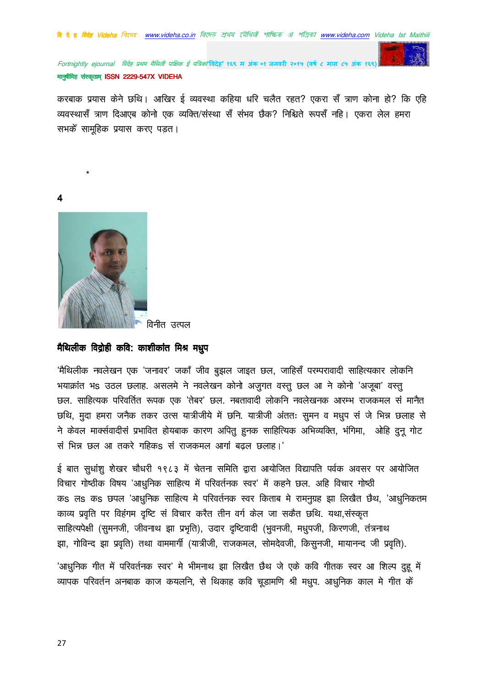

करबाक प्रयास केने छथि। आखिर ई व्यवस्था कहिया धरि चलैत रहत? एकरा सँ त्राण कोना हो? कि एहि व्यवस्थासँ त्राण दिआएब कोनो एक व्यक्ति/संस्था सँ संभव छैक? निश्चिते रूपसँ नहि। एकरा लेल हमरा सभकेँ सामूहिक प्रयास करए पड़त।

4



\*

विनीत उत्पल

#### मैथिलीक विद्रोही कवि: काशीकांत मिश्र मधुप

'मैथिलीक नवलेखन एक 'जनावर' जकाँ जीव बुझल जाइत छल, जाहिसँ परम्परावादी साहित्यकार लोकनि भयाक्रांत भs उठल छलाह. असलमे ने नवलेखन कोनो अजुगत वस्तू छल आ ने कोनो 'अजूबा' वस्तु छल. साहित्यक परिवर्तित रूपक एक 'तेबर' छल. नबतावादी लोकनि नवलेखनक आरम्भ राजकमल सं मानैत छथि, मुदा हमरा जनैक तकर उत्स यात्रीजीये में छनि. यात्रीजी अंततः सुमन व मधुप सं जे भिन्न छलाह से ने केवल मार्क्सवादीसं प्रभावित होयबाक कारण अपितु हुनक साहित्यिक अभिव्यक्ति, भंगिमा, ओहि दुनू गोट सं भिन्न छल आ तकरे गहिकs सं राजकमल आगां बढल छलाह।'

ई बात सुधांशु शेखर चौधरी १९८३ में चेतना समिति द्वारा आयोजित विद्यापति पर्वक अवसर पर आयोजित विचार गोष्ठीक विषय 'आधुनिक साहित्य में परिवर्तनक स्वर' में कहने छल. अहि विचार गोष्ठी कs लs कs छपल 'आधुनिक साहित्य मे परिवर्तनक स्वर किताब मे रामनुग्रह झा लिखैत छैथ, 'आधुनिकतम काव्य प्रवृति पर विहंगम दृष्टि सं विचार करैत तीन वर्ग केल जा सकैत छथि. यथा,संस्कृत साहित्यपेक्षी (सुमनजी, जीवनाथ झा प्रभुति), उदार दृष्टिवादी (भुवनजी, मधुपजी, किरणजी, तंत्रनाथ झा, गोविन्द झा प्रवृति) तथा वाममार्गी (यात्रीजी, राजकमल, सोमदेवजी, किसुनजी, मायानन्द जी प्रवृति).

'आधुनिक गीत में परिवर्तनक स्वर' मे भीमनाथ झा लिखैत छैथ जे एके कवि गीतक स्वर आ शिल्प दुहू में व्यापक परिवर्तन अनबाक काज कयलनि, से थिकाह कवि चूड़ामणि श्री मधुप. आधुनिक काल मे गीत कें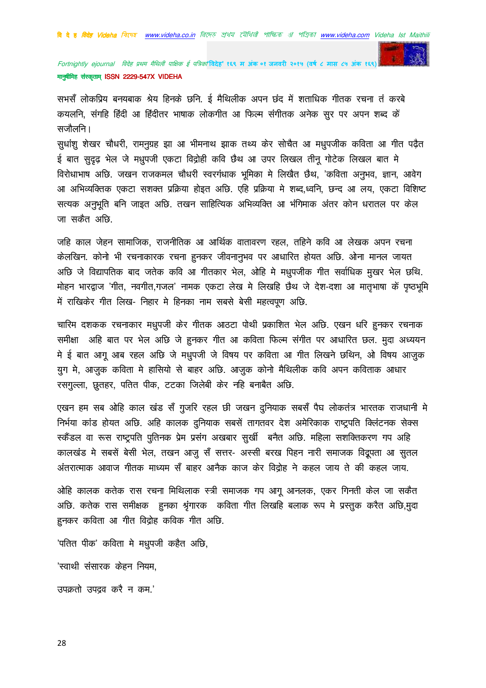Fortnightly ejournal िवद ेह थम म ैिथली पाि'क ई पि\*का**'वदेह' १६९ म अंक ०१ जनवर २०१५ (वष ८ मास ८५ अंक १६९)** मानुषीमिह संस्कृताम् ISSN 2229-547X VIDEHA

सभसँ लोकप्रिय बनयबाक श्रेय हिनके छनि. ई मैथिलीक अपन छंद में शताधिक गीतक रचना तं करबे कयलनि, संगहि हिंदी आ हिंदीतर भाषाक लोकगीत आ फिल्म संगीतक अनेक सुर पर अपन शब्द कें सजौलिन।

सुधांशु शेखर चौधरी, रामनुग्रह झा आ भीमनाथ झाक तथ्य केर सोचैत आ मधुपजीक कविता आ गीत पढ़ैत ई बात सुदृढ़ भेल जे मधुपजी एकटा विद्रोही कवि छैथ आ उपर लिखल तीनू गोटेक लिखल बात मे विरोधाभाष अछि. जखन राजकमल चौधरी स्वरगंधाक भूमिका मे लिखैत छैथ, 'कविता अनुभव, ज्ञान, आवेग आ अभिव्यक्तिक एकटा सशक्त प्रक्रिया होइत अछि. एहि प्रक्रिया मे शब्द,ध्वनि, छन्द आ लय, एकटा विशिष्ट सत्यक अनुभूति बनि जाइत अछि. तखन साहित्यिक अभिव्यक्ति आ भंगिमाक अंतर कोन धरातल पर केल जा सकैत अछि.

जहि काल जेहन सामाजिक, राजनीतिक आ आर्थिक वातावरण रहल, तहिने कवि आ लेखक अपन रचना केलिखन. कोनो भी रचनाकारक रचना हुनकर जीवनानुभव पर आधािरत होयत अिछ. ओना मानल जायत अछि जे विद्यापतिक बाद जतेक कवि आ गीतकार भेल, ओहि मे मधुपजीक गीत सर्वाधिक मुखर भेल छथि. मोहन भारद्वाज 'गीत, नवगीत,गजल' नामक एकटा लेख मे लिखहि छैथ जे देश-दशा आ मातृभाषा कें पृष्ठभूमि में राखिकेर गीत लिख- निहार मे हिनका नाम सबसे बेसी महत्वपूण अछि.

चारिम दशकक रचनाकार मधुपजी केर गीतक आठटा पोथी प्रकाशित भेल अछि. एखन धरि हुनकर रचनाक समीक्षा अहि बात पर भेल अछि जे हुनकर गीत आ कविता फिल्म संगीत पर आधारित छल. मुदा अध्ययन मे ई बात आगू आब रहल अछि जे मधुपजी जे विषय पर कविता आ गीत लिखने छथिन, ओ विषय आजुक युग मे, आजुक किवता मे हािसयो से बाहर अिछ. आजुक कोनो मैिथलीक किव अपन किवताक आधार रसगुल्ला, छुतहर, पतित पीक, टटका जिलेबी केर नहि बनाबैत अछि.

एखन हम सब ओहि काल खंड सँ गुजरि रहल छी जखन दुनियाक सबसँ पैघ लोकतंत्र भारतक राजधानी मे निर्भया कांड होयत अछि. अहि कालक दुनियाक सबसें तागतवर देश अमेरिकाक राष्ट्रपति क्लिंटनक सेक्स स्कैंडल वा रूस राष्ट्रपति पुतिनक प्रेम प्रसंग अखबार सुर्खी बनैत अछि. महिला सशक्तिकरण गप अहि कालखंड मे सबसें बेसी भेल, तखन आजु सँ सत्तर- अस्सी बरख पिहन नारी समाजक विद्रूपता आ सुतल अंतरात्माक आवाज गीतक माध्यम सँ बाहर आनैक काज केर विद्रोह ने कहल जाय ते की कहल जाय.

ओहि कालक कतेक रास रचना मिथिलाक स्त्री समाजक गप आगू आनलक, एकर गिनती केल जा सकैत अछि. कतेक रास समीक्षक हुनका श्रृंगारक कविता गीत लिखहि बलाक रूप मे प्रस्तुक करैत अछि,मुदा हुनकर कविता आ गीत विद्रोह कविक गीत अछि.

'पतित पीक' कविता मे मधुपजी कहैत अछि,

'0वाथी संसारक केहन िनयम,

उपक्रतो उपद्रव करै न कम.'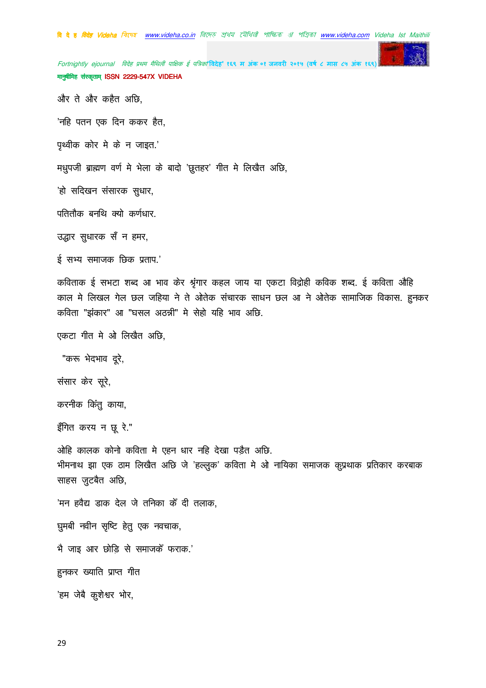**वि दे ह** *विदेह Videha दिफ्ट <u>www.videha.co.in</u> तिरमरु शेथ***य यৌथिती পাক্ষিক \$1 পত্রিকা <u>www.videha.com</u> Videha Ist Maithili** Fortnightly ejournal िवद ेह थम म ैिथली पाि'क ई पि\*का**'वदेह' १६९ म अंक ०१ जनवर २०१५ (वष ८ मास ८५ अंक १६९)** मानुषीमिह संस्कृताम् ISSN 2229-547X VIDEHA और ते और कहैत अछि. 'निह पतन एक िदन ककर हैत, पृóवीक कोर मे के न जाइत.' मधुपजी ब्राह्मण वर्ण मे भेला के बादो 'छूतहर' गीत मे लिखैत अछि, 'हो सिदखन संसारक सुधार, पतितौक बनथि क्यो कर्णधार. उ–ार सुधारक सँ न हमर, ई सभ्य समाजक छिक प्रताप.' कविताक ई सभटा शब्द आ भाव केर श्रृंगार कहल जाय या एकटा विद्रोही कविक शब्द. ई कविता औहि काल मे िलखल गेल छल जिहया ने ते ओतेक संचारक साधन छल आ ने ओतेक सामािजक िवकास. हुनकर कविता "झंकार" आ "घसल अठन्नी" मे सेहो यहि भाव अछि. एकटा गीत मे ओ िलखैत अिछ, "करू भेदभाव दूरे, संसार केर सूरे, करनीक िकंतु काया, इँिगत करय न छू रे." ओहि कालक कोनो कविता मे एहन धार नहि देखा पड़ैत अछि. भीमनाथ झा एक ठाम लिखैत अछि जे 'हल्लुक' कविता मे ओ नायिका समाजक कूप्रथाक प्रतिकार करबाक साहस जुटबैत अछि, 'मन हवैद्य डाक देल जे तनिका केँ दी तलाक, घुमबी नवीन सृष्टि हेतु एक नवचाक,  $\dot{a}$  जाइ आर छोड़ि से समाजकेँ फराक.' हुनकर ख्याति प्राप्त गीत 'हम जेबै कूशेश्वर भोर,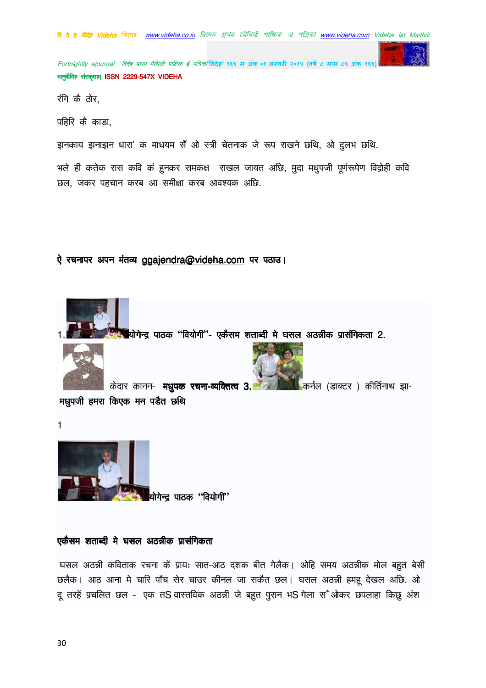**वि दे ह** *विदेह Videha दिफ्ट <u>www.videha.co.in</u> तिरमरु शेथ***य यৌथिती পাক্ষিক \$1 পত্রিকা <u>www.videha.com</u> Videha Ist Maithili** Fortnightly ejournal िवद ेह थम म ैिथली पाि'क ई पि\*का**'वदेह' १६९ म अंक ०१ जनवर २०१५ (वष ८ मास ८५ अंक १६९)** मानुषीमिह संस्कृताम् ISSN 2229-547X VIDEHA

रंगि कै ठोर.

पिहिर कै काड़ा,

झनकाय झनाझन धारा' क माधयम सँ ओ 0\*ी चेतनाक जे ½प राखने छिथ, ओ दुलभ छिथ.

भले ही कतेक रास कवि कं हुनकर समकक्ष राखल जायत अछि, मुदा मधुपजी पूर्णरूपेण विद्रोही कवि छल, जकर पहचान करब आ समीक्षा करब आवश्यक अछि.

# ऐ रचनापर अपन मंतव्य ggajendra@videha.com पर पठाउ।



एकैसम शताब्दी मे घसल अठन्नीक प्रासंगिकता

योगेन्द पाठक ''वियोगी''

घसल अठन्नी कविताक रचना कें प्रायः सात-आठ दशक बीत गेलैक। ओहि समय अठन्नीक मोल बहुत बेसी छलैक। आठ आना मे चारि पाँच सेर चाउर कीनल जा सकैत छल। घसल अठन्नी हमहू देखल अछि, ओ दू तरहें प्रचलित छल - एक तS वास्तविक अठन्नी जे बहुत पुरान भS गेला स<sup>ँ</sup> ओकर छपलाहा किछु अंश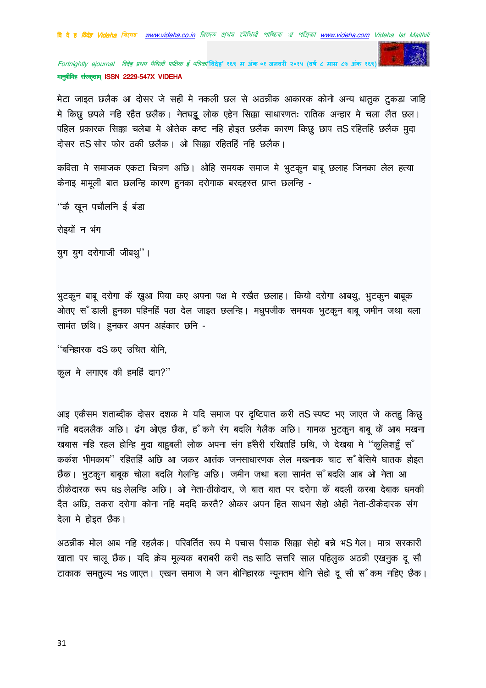Fortnightly ejournal िवद ेह थम म ैिथली पाि'क ई पि\*का**'वदेह' १६९ म अंक ०१ जनवर २०१५ (वष ८ मास ८५ अंक १६९)** मानुषीमिह संस्कृताम् ISSN 2229-547X VIDEHA

मेटा जाइत छलैक आ दोसर जे सही मे नकली छल से अठन्रीक आकारक कोनो अन्य धातुक टुकड़ा जाहि मे किछु छपले नहि रहैत छलैक। नेतघट्टू लोक एहेन सिक्का साधारणतः रातिक अन्हार मे चला लैत छल। पहिल प्रकारक सिक्का चलेबा मे ओतेक कष्ट नहि होइत छलैक कारण किछु छाप तS रहितहि छलैक मुदा दोसर तS सोर फोर ठकी छलैक। ओ सिक्का रहितहिं नहि छलैक।

कविता मे समाजक एकटा चित्रण अछि। ओहि समयक समाज मे भुटकून बाबू छलाह जिनका लेल हत्या केनाइ मामूली बात छलन्हि कारण हुनका दरोगाक बरदहस्त प्राप्त छलन्हि -

"कै खून पचौलिन ई बंडा

रोइयों न भंग

युग युग दरोगाजी जीबथु"।

भुटकून बाबू दरोगा कें खुआ पिया कए अपना पक्ष मे रखैत छलाह। कियो दरोगा आबथु, भुटकून बाबूक ओतए साँ डाली हुनका पहिनहिं पठा देल जाइत छलन्हि । मधुपजीक समयक भुटकून बाबू जमीन जथा बला सामंत छिथ। हुनकर अपन अहंकार छिन -

"बिनहारक दS कए उिचत बोिन,

कुल मे लगाएब की हमिहं दाग?"

आइ एकैसम शताब्दीक दोसर दशक मे यदि समाज पर दृष्टिपात करी तS स्पष्ट भए जाएत जे कत<u>हु</u> किछु नहि बदललैक अछि। ढंग ओएह छैक, हाँ कने रंग बदलि गेलैक अछि। गामक भुटकून बाबू कें आब मखना खबास नहि रहल होन्हि मुदा बाहुबली लोक अपना संग हँसेरी रखितर्हि छथि, जे देखबा मे "कूलिशहुँ स<sup>ँ</sup> कर्कश भीमकाय" रहितर्हि अछि आ जकर आतंक जनसाधारणक लेल मखनाक चाट स<sup>ँ</sup> बेसिये घातक होइत छैक। भुटकून बाबूक चोला बदलि गेलन्हि अछि। जमीन जथा बला सामंत साँ बदलि आब ओ नेता आ ठीकेदारक रूप धs लेलन्हि अछि। ओ नेता-ठीकेदार, जे बात बात पर दरोगा कें बदली करबा देबाक धमकी दैत अिछ, तकरा दरोगा कोना निह मदिद करतै? ओकर अपन िहत साधन सेहो ओही नेता-ठीकेदारक संग देला मे होइत छैक।

अठन्नीक मोल आब नहि रहलैक। परिवर्तित रूप मे पचास पैसाक सिक्का सेहो बन्ने भS गेल। मात्र सरकारी खाता पर चालू छैक। यदि क्रेय मूल्यक बराबरी करी तs साठि सत्तरि साल पहिलुक अठन्नी एखनुक दू सौ टाकाक समतुल्य भs जाएत। एखन समाज मे जन बोनिहारक न्यूनतम बोनि सेहो दू सौ स<sup>ँ</sup> कम नहिए छैक।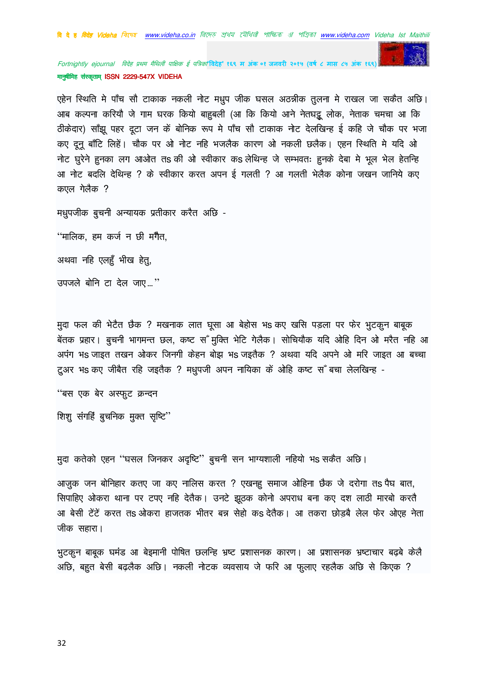Fortnightly ejournal िवद ेह थम म ैिथली पाि'क ई पि\*का**'वदेह' १६९ म अंक ०१ जनवर २०१५ (वष ८ मास ८५ अंक १६९)** मानुषीमिह संस्कृताम् ISSN 2229-547X VIDEHA

एहेन स्थिति मे पाँच सौ टाकाक नकली नोट मधुप जीक घसल अठन्नीक तुलना मे राखल जा सकैत अछि। आब कल्पना करियौ जे गाम घरक कियो बाहुबली (आ कि कियो आने नेतघट्टू लोक, नेताक चमचा आ कि ठीकेदार) साँझू पहर दूटा जन कें बोनिक रूप मे पाँच सौ टाकाक नोट देलखिन्ह ई कहि जे चौक पर भजा कए दूनू बाँटि लिहें। चौक पर ओ नोट नहि भजलैक कारण ओ नकली छलैक। एहन स्थिति मे यदि ओ नोट घुरेने हुनका लग आओत तs की ओ स्वीकार कs लेथिन्ह जे सम्भवतः हुनके देबा मे भूल भेल हेतन्हि आ नोट बदलि देथिन्ह ? के स्वीकार करत अपन ई गलती ? आ गलती भेलैक कोना जखन जानिये कए कएल गेलैक ?

मधुपजीक बुचनी अन्यायक प्रतीकार करैत अछि -

 $"$ मालिक, हम कर्ज न छी मगैत,

अथवा निह एलहु ँ भीख हेतु,

उपजल े बोिन टा देल जाए…"

मुदा फल की भेटैत छैक ? मखनाक लात घूसा आ बेहोस भs कए खसि पड़ला पर फेर भुटकून बाबूक बेंतक प्रहार। बुचनी भागमन्त छल, कष्ट साँ मुक्ति भेटि गेलैक। सोचियौक यदि ओहि दिन ओ मरैत नहि आ अपंग भs जाइत तखन ओकर जिनगी केहन बोझ भs जइतैक ? अथवा यदि अपने ओ मरि जाइत आ बच्चा टुअर भs कए जीबैत रहि जइतैक ? मधुपजी अपन नायिका कें ओहि कष्ट स<sup>ँ</sup> बचा लेलखिन्ह -

"बस एक बेर अस्फूट क्रन्दन

शिश संगर्हि बचनिक मक्त सष्टि"

मुदा कतेको एहन ''घसल जिनकर अदृष्टि'' बुचनी सन भाग्यशाली नहियो भs सकैत अछि।

आजुक जन बोिनहार कतए जा कए नािलस करत ? एखनहु समाज ओिहना छैक जे दरोगा तs पैघ बात, सिपाहिए ओकरा थाना पर टपए नहि देतैक। उनटे झूठक कोनो अपराध बना कए दश लाठी मारबो करतै आ बेसी टेंटें करत तs ओकरा हाजतक भीतर बन्न सेहो कs देतैक। आ तकरा छोड़बै लेल फेर ओएह नेता जीक सहारा।

भुटकुन बाबुक घमंड आ बेइमानी पोषित छलन्हि भ्रष्ट प्रशासनक कारण। आ प्रशासनक भ्रष्टाचार बढ़बे केलै अछि, बहुत बेसी बढ़लैक अछि। नकली नोटक व्यवसाय जे फरि आ फूलाए रहलैक अछि से किएक ?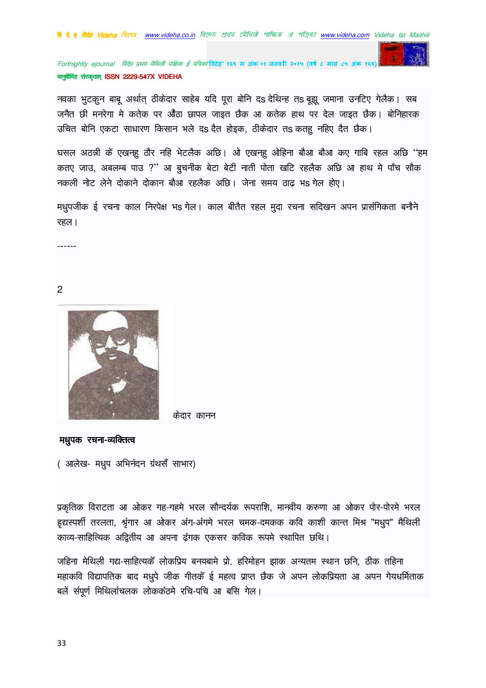Fortnightly ejournal िवद ेह थम म ैिथली पाि'क ई पि\*का**'वदेह' १६९ म अंक ०१ जनवर २०१५ (वष ८ मास ८५ अंक १६९)** मानुषीमिह संस्कृताम् ISSN 2229-547X VIDEHA

नवका भुटकून बाबू अर्थात् ठीकेदार साहेब यदि पूरा बोनि दs देथिन्ह तs बूझू जमाना उनटिए गेलैक। सब जनैत छी मनरेगा मे कतेक पर औंठा छापल जाइत छैक आ कतेक हाथ पर देल जाइत छैक। बोनिहारक उचित बोनि एकटा साधारण किसान भले दs दैत होइक, ठीकेदार तs कतहु नहिए दैत छैक।

घसल अठन्नी कें एखनहु ठौर नहि भेटलैक अछि। ओ एखनहु ओहिना बौआ बौआ कए गाबि रहल अछि ''हम कतए जाउ, अबलम्ब पाउ ?" आ बुचनीक बेटा बेटी नाती पोता खटि रहलैक अछि आ हाथ मे पाँच सौक नकली नोट लेने दोकाने दोकान बौआ रहलैक अछि। जेना समय ठाढ़ भs गेल होए।

मधुपजीक ई रचना काल निरपेक्ष भs गेल। काल बीतैत रहल मुदा रचना सदिखन अपन प्रासंगिकता बनौने रहल।

------

2



केदार कानन

# मधुपक रचना-व्यक्तित्व

( आलेख- मधुप अभिनंदन ग्रंथसँ साभार)

प्रकृतिक विराटता आ ओकर गह-गहमे भरल सौन्दर्यक रूपराशि, मानवीय करुणा आ ओकर पोर-पोरमे भरल हद्यस्पर्शी तरलता, श्रृंगार आ ओकर अंग-अंगमे भरल चमक-दमकक कवि काशी कान्त मिश्र "मधुप" मैथिली काव्य-साहित्यिक अद्वितीय आ अपना ढ़ंगक एकसर कविक रूपमे स्थापित छथि।

जहिना मेथिली गद्य-साहित्यक ँलोकप्रिय बनयबामे प्रो. हरिमोहन झाक अन्यतम स्थान छनि, ठीक तहिना महाकवि विद्यापतिक बाद मधुपे जीक गीतकेँ ई महत्व प्राप्त छैक जे अपन लोकप्रियता आ अपन गेयधर्मिताक बलें संपूर्ण मिथिलांचलक लोककंठमे रचि-पचि आ बसि गेल।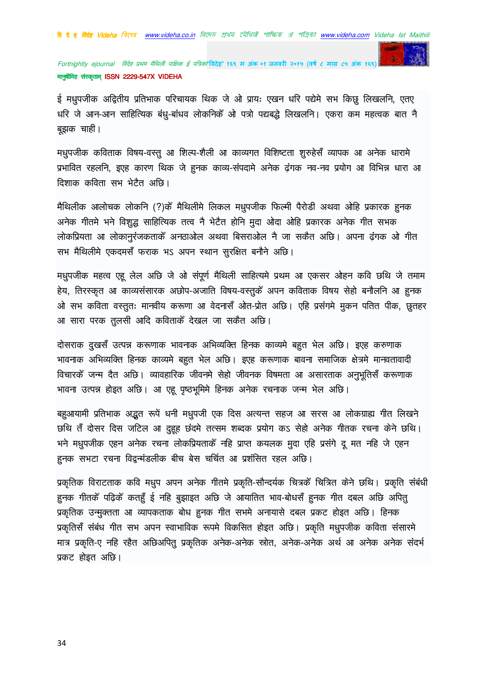Fortnightly ejournal िवद ेह थम म ैिथली पाि'क ई पि\*का**'वदेह' १६९ म अंक ०१ जनवर २०१५ (वष ८ मास ८५ अंक १६९)** मानुषीमिह संस्कृताम् ISSN 2229-547X VIDEHA

ई मधुपजीक अद्वितीय प्रतिभाक परिचायक थिक जे ओ प्रायः एखन धरि पद्येमे सभ किछु लिखलनि, एतए धरि जे आन-आन साहित्यिक बंधु-बांधव लोकनिकेँ ओ पत्रो पद्यबद्धे लिखलनि। एकरा कम महत्वक बात नै बूझक चाही।

मधुपजीक कविताक विषय-वस्तु आ शिल्प-शैली आ काव्यगत विशिष्टता शुरुहेसँ व्यापक आ अनेक धारामे प्रभावित रहलनि, इएह कारण थिक जे हुनक काव्य-संपदामे अनेक ढ़ंगक नव-नव प्रयोग आ विभिन्न धारा आ दिशाक कविता सभ भेटैत अछि।

मैथिलीक आलोचक लोकनि (?)केँ मैथिलीमे लिकल मधुपजीक फिल्मी पैरोडी अथवा ओहि प्रकारक हुनक अनेक गीतमे भने विशुद्ध साहित्यिक तत्व नै भेटैत होनि मुदा ओदा ओहि प्रकारक अनेक गीत सभक लोकप्रियता आ लोकानरंजकताकेँ अनठाओल अथवा बिसराओल नै जा सकैत अछि। अपना ढंगक ओ गीत सभ मैथिलीमे एकदमसँ फराक भऽ अपन स्थान सुरक्षित बनौने अछि।

मधुपजीक महत्व एहू लेल अछि जे ओ संपूर्ण मैथिली साहित्यमे प्रथम आ एकसर ओहन कवि छथि जे तमाम हेय, तिरस्कृत आ काव्यसंसारक अछोप-अजाति विषय-वस्तुकेँ अपन कविताक विषय सेहो बनौलनि आ हुनक ओ सभ कविता वस्तुतः मानवीय करूणा आ वेदनासँ ओत-प्रोत अछि। एहि प्रसंगमे मुकन पतित पीक, छुतहर आ सारा परक तुलसी आदि कविताकेँ देखल जा सकैत अछि।

दोसराक दुखसँ उत्पन्न करूणाक भावनाक अभिव्यक्ति हिनक काव्यमे बहुत भेल अछि। इएह करुणाक भावनाक अभिव्यक्ति हिनक काव्यमे बहुत भेल अछि। इएह करूणाक बावना समाजिक क्षेत्रमे मानवतावादी विचारकेँ जन्म दैत अछि। व्यावहारिक जीवनमे सेहो जीवनक विषमता आ असारताक अनुभूतिसँ करूणाक भावना उत्पन्न होइत अछि। आ एहू पृष्ठभूमिमे हिनक अनेक रचनाक जन्म भेल अछि।

बहुआयामी प्रतिभाक अद्भुत रूपें धनी मधुपजी एक दिस अत्यन्त सहज आ सरस आ लोकग्राह्य गीत लिखने छिथ तँ दोसर िदस जिटल आ दुहूह छंदमे तgसम शnदक योग कऽ सेहो अनेक गीतक रचना केने छिथ। भने मधुपजीक एहन अनेक रचना लोकप्रियताकेँ नहि प्राप्त कयलक मुदा एहि प्रसंगे दू मत नहि जे एहन हुनक सभटा रचना विद्वन्मंडलीक बीच बेस चर्चित आ प्रशंसित रहल अछि।

प्रकृतिक विराटताक कवि मधुप अपन अनेक गीतमे प्रकृति-सौन्दर्यक चित्रकें चित्रित केने छथि। प्रकृति संबंधी हुनक गीतकेँ पढ़िकेँ कतहुँ ई नहि बुझाइत अछि जे आयातित भाव-बोधसँ हुनक गीत दबल अछि अपितु प्रकृतिक उन्मुक्तता आ व्यापकताक बोध हुनक गीत सभमे अनायासे दबल प्रकट होइत अछि। हिनक प्रकृतिसँ संबंध गीत सभ अपन स्वाभाविक रूपमे विकसित होइत अछि। प्रकृति मधुपजीक कविता संसारमे मात्र प्रकृति-ए नहि रहैत अछिअपितु प्रकृतिक अनेक-अनेक स्रोत, अनेक-अनेक अर्थ आ अनेक अनेक संदर्भ प्रकट होइत अछि।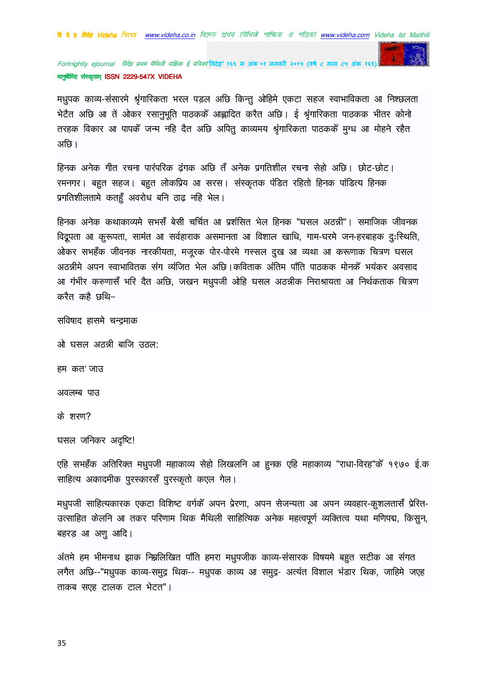Fortnightly ejournal िवद ेह थम म ैिथली पाि'क ई पि\*का**'वदेह' १६९ म अंक ०१ जनवर २०१५ (वष ८ मास ८५ अंक १६९)** मानुषीमिह संस्कृताम् ISSN 2229-547X VIDEHA

मधुपक काव्य-संसारमे श्रृंगारिकता भरल पड़ल अछि किन्तु ओहिमे एकटा सहज स्वाभाविकता आ निश्छलता भेटैत अछि आ तें ओकर रसानुभूति पाठककेँ आह्लादित करैत अछि। ई श्रृंगारिकता पाठकक भीतर कोनो तरहक विकार आ पापकेँ जन्म नहि दैत अछि अपितु काव्यमय श्रृंगारिकता पाठककेँ मुग्ध आ मोहने रहैत अिछ।

हिनक अनेक गीत रचना पारंपरिक ढंगक अछि तँ अनेक प्रगतिशील रचना सेहो अछि। छोट-छोट। रमनगर। बहुत सहज। बहुत लोकप्रिय आ सरस। संस्कृतक पंडित रहितो हिनक पांडित्य हिनक प्रगतिशीलतामे कतहुँ अवरोध बनि ठाढ़ नहि भेल।

हिनक अनेक कथाकाव्यमे सभसँ बेसी चर्चित आ प्रशंसित भेल हिनक "घसल अठन्नी"। समाजिक जीवनक विद्रूपता आ कूरूपता, सामंत आ सर्वहाराक असमानता आ विशाल खाधि, गाम-घरमे जन-हरबाहक दुःस्थिति, ओकर सभहँक जीवनक नारकीयता, मजूरक पोर-पोरमे गस्सल दुख आ व्यथा आ करूणाक चित्रण घसल अठन्नीमे अपन स्वाभावितक संग व्यंजित भेल अछि।कविताक अंतिम पाँति पाठकक मोनकेँ भयंकर अवसाद आ गंभीर करुणासँ भरि दैत अछि, जखन मधुपजी ओहि घसल अठन्नीक निराश्रायता आ निर्थकताक चित्रण करैत कहै छिथ—

सविषाद हासमे चन्द्रमाक

ओ घसल अठन्नी बाजि उठल:

हम कत' जाउ

अवलम्ब पाउ

के शरण?

घसल जनिकर अदृष्टि!

एहि सभहँक अतिरिक्त मधुपजी महाकाव्य सेहो लिखलनि आ हूनक एहि महाकाव्य "राधा-विरह"कँ १९७० ई.क साहित्य अकादमीक पुरस्कारसँ पुरस्कृतो कएल गेल।

मधुपजी साहित्यकारक एकटा विशिष्ट वर्गकें अपन प्रेरणा, अपन सेजन्यता आ अपन व्यवहार-कुशलतासँ प्रेरित-उत्साहित केलनि आ तकर परिणाम थिक मैथिली साहित्यिक अनेक महत्वपूर्ण व्यक्तित्व यथा मणिपद्म, किसुन, बहरड़ आ अणु आिद।

अंतमे हम भीमनाथ झाक निम्नलिखित पाँति हमरा मधुपजीक काव्य-संसारक विषयमे बहुत सटीक आ संगत लगैत अछि--"मधुपक काव्य-समुद्र थिक-- मधुपक काव्य आ समुद्र- अत्यंत विशाल भंडार थिक, जाहिमे जएह ताकब सएह टालक टाल भेटत"।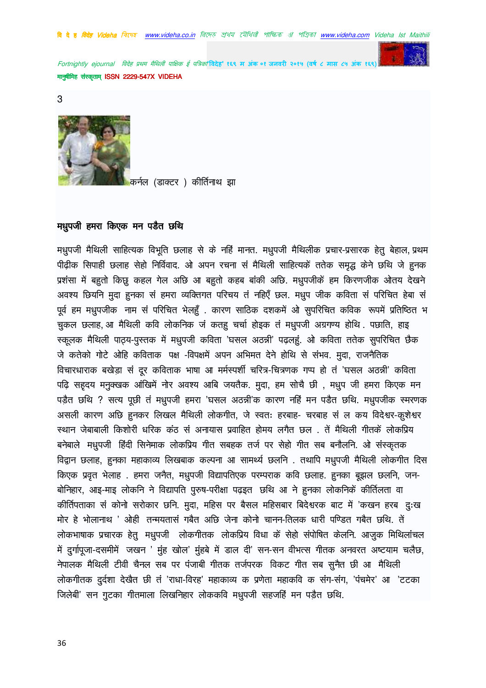Fortnightly ejournal िवद ेह थम म ैिथली पाि'क ई पि\*का**'वदेह' १६९ म अंक ०१ जनवर २०१५ (वष ८ मास ८५ अंक १६९)** मानुषीमिह संस्कृताम् ISSN 2229-547X VIDEHA

3



कर्नल (डाक्टर ) कीर्तिनाथ झा

#### मधुपजी हमरा किएक मन पडैत छथि

मधुपजी मैथिली साहित्यक विभूति छलाह से के नहिं मानत. मधुपजी मैथिलीक प्रचार-प्रसारक हेतु बेहाल, प्रथम पीढ़ीक सिपाही छलाह सेहो निर्विवाद. ओ अपन रचना सं मैथिली साहित्यकें ततेक समृद्ध केने छथि जे हुनक प्रशंसा में बहुतो किछु कहल गेल अछि आ बहुतो कहब बांकी अछि. मधुपजीकें हम किरणजीक ओतय देखने अवश्य छियनि मुदा हुनका सं हमरा व्यक्तिगत परिचय तं नहिएँ छल. मधुप जीक कविता सं परिचित हेबा सं पूर्व हम मधुपजीक नाम सं परिचित भेलहुँ . कारण साठिक दशकमें ओ सुपरिचित कविक रूपमें प्रतिष्ठित भ चुकल छलाह, आ मैथिली कवि लोकनिक जं कतहु चर्चा होइक तं मधुपजी अग्रगण्य होथि . पछाति, हाइ स्कूलक मैथिली पाठ्य-पुस्तक में मधुपजी कविता 'घसल अठन्नी' पढ़लहुं. ओ कविता ततेक सुपरिचित छैक जे कतेको गोटे ओहि कविताक पक्ष -विपक्षमें अपन अभिमत देने होथि से संभव. मुदा, राजनैतिक विचारधाराक बखेड़ा सं दूर कविताक भाषा आ मर्मस्पर्शी चरित्र-चित्रणक गप्प हो तं 'घसल अठन्नी' कविता पढ़ि सह़दय मनुक्खक आंखिमें नोर अवश्य आबि जयतैक. मुदा, हम सोचै छी , मधुप जी हमरा किएक मन पड़ैत छथि ? सत्य पूछी तं मधुपजी हमरा 'घसल अठन्नी'क कारण नहिं मन पडैत छथि. मधुपजीक स्मरणक असली कारण अछि हुनकर लिखल मैथिली लोकगीत, जे स्वतः हरबाह- चरबाह सं ल कय विदेश्वर-कूशेश्वर स्थान जेबाबाली किशोरी धरिक कंठ सं अनायास प्रवाहित होमय लगैत छल . तें मैथिली गीतकें लोकप्रिय बनेबाले मधुपजी हिंदी सिनेमाक लोकप्रिय गीत सबहक तर्ज पर सेहो गीत सब बनौलनि. ओ संस्कृतक विद्वान छलाह, हुनका महाकाव्य लिखबाक कल्पना आ सामर्थ्य छलनि . तथापि मधुपजी मैथिली लोकगीत दिस किएक प्रवृत भेलाह . हमरा जनैत, मधुपजी विद्यापतिएक परम्पराक कवि छलाह. हुनका बूझल छलनि, जन-बोनिहार, आइ-माइ लोकनि ने विद्यापति पुरुष-परीक्षा पढ़इत छथि आ ने हुनका लोकनिकें कीर्तिलता वा कीर्तिपताका सं कोनो सरोकार छनि. मुदा, महिस पर बैसल महिसबार बिदेश्वरक बाट में 'कखन हरब दुःख मोर हे भोलानाथ ' ओही तन्मयतासं गबैत अछि जेना कोनो चानन-तिलक धारी पण्डित गबैत छथि. तें लोकभाषाक प्रचारक हेतु मधुपजी लोकगीतक लोकप्रिय विधा कें सेहो संपोषित केलनि. आजुक मिथिलांचल में दुर्गापूजा-दसमीमें जखन ' मुंह खोल' मुंहबे में डाल दी' सन-सन वीभत्स गीतक अनवरत अष्टयाम चलैछ, नेपालक मैथिली टीवी चैनल सब पर पंजाबी गीतक तर्जपरक विकट गीत सब सुनैत छी आ मैथिली लोकगीतक दुर्दशा देखैत छी तं 'राधा-विरह' महाकाव्य क प्रणेता महाकवि क संग-संग, 'पंचमेर' आ 'टटका जिलेबी' सन गुटका गीतमाला लिखनिहार लोककवि मधुपजी सहजहिं मन पड़ैत छथि.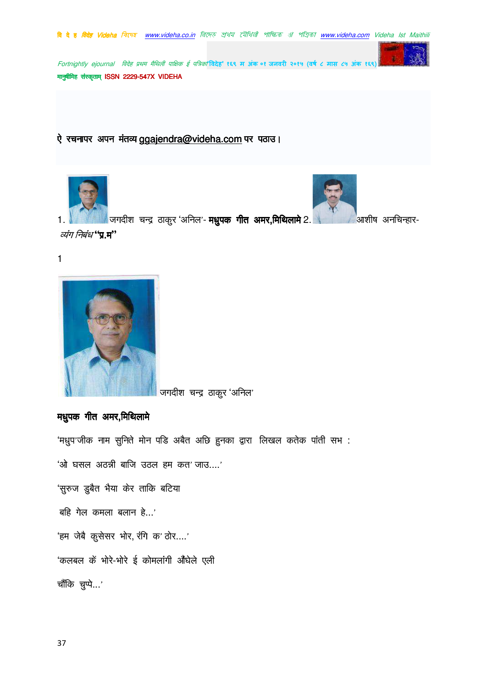

## ऐ रचनापर अपन मंतव्य ggajendra@videha.com पर पठाउ।



1. **जिल्लामा जगदीश चन्द्र ठाकुर 'अनिल'- मधुपक गीत अमर,मिथिलामे** 2. असमि अमेरी अमेरीष अनचिन्हार-

*व्यंग निबंध* "प्र.म"

1



जगदीश चन्द्र ठाकूर 'अनिल'

# मधुपक गीत अमर, मिथिलामे

'मधुप'जीक नाम सुनिते मोन पडि अबैत अछि हुनका द्वारा लिखल कतेक पांती सभ :  $'$ ओ घसल अठन्नी बाजि उठल हम कत' जाउ....' 'सुरुज डुबैत भैया केर ताकि बटिया बिह गेल कमला बलान हे...' 'हम जेबै कुसेसर भोर, रंगि क' ठोर....' 'कलबल कें भोरे-भोरे ई कोमलांगी औंघेले एली चौंकि चुप्पे $\ldots'$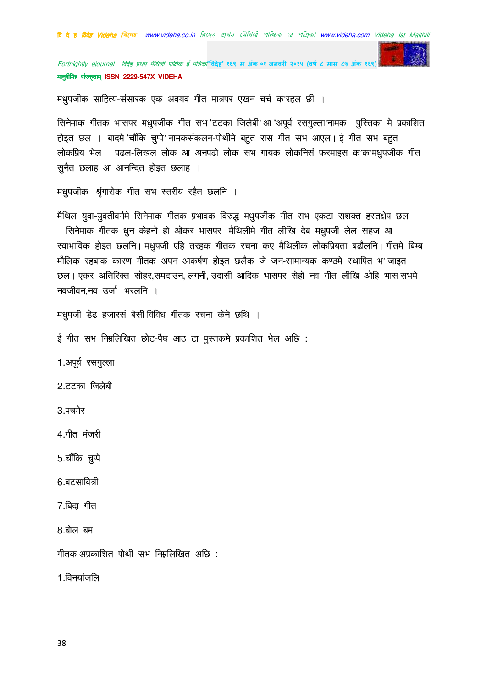मधुपजीक साहित्य-संसारक एक अवयव गीत मात्रपर एखन चर्च क'रहल छी ।

सिनेमाक गीतक भासपर मधुपजीक गीत सभ 'टटका जिलेबी' आ 'अपूर्व रसगुल्ला'नामक पुस्तिका मे प्रकाशित होइत छल । बादमे 'चौंकि चुप्पे' नामकसंकलन-पोथीमे बहुत रास गीत सभ आएल। ई गीत सभ बहुत लोकप्रिय भेल । पढल-लिखल लोक आ अनपढो लोक सभ गायक लोकनिसं फरमाइस क'क'मधुपजीक गीत सुनैत छलाह आ आनन्दित होइत छलाह ।

मधुपजीक श्रृंगारोक गीत सभ स्तरीय रहैत छलनि ।

मैथिल युवा-युवतीवर्गमे सिनेमाक गीतक प्रभावक विरुद्ध मधुपजीक गीत सभ एकटा सशक्त हस्तक्षेप छल । सिनेमाक गीतक धुन केहनो हो ओकर भासपर मैथिलीमे गीत लीखि देब मधुपजी लेल सहज आ र्स्वाभाविक होइत छलनि। मधुपजी एहि तरहक गीतक रचना कए मैथिलीक लोकप्रियता बढौलनि। गीतमे बिम्ब मौलिक रहबाक कारण गीतक अपन आकर्षण होइत छलैक जे जन-सामान्यक कण्ठमे स्थापित भ' जाइत छल। एकर अतिरिक्त सोहर,समदाउन, लगनी, उदासी आदिक भासपर सेहो नव गीत लीखि ओहि भास सभमे नवजीवन,नव उर्जा भरलनि ।

मधुपजी डेढ हजारसं बेसी विविध गीतक रचना केने छथि ।

ई गीत सभ निम्नलिखित छोट-पैघ आठ टा पुस्तकमे प्रकाशित भेल अछि :

1.अपूर्व रसगुल्ला

2.टटका िजलेबी

3.पचमेर

4.गीत मंजरी

5.चौंकि चुप्पे

6.बटसावित्री

7.िबदा गीत

8.बोल बम

गीतक अप्रकाशित पोथी सभ निम्नलिखित अछि :

1.िवनयjजिल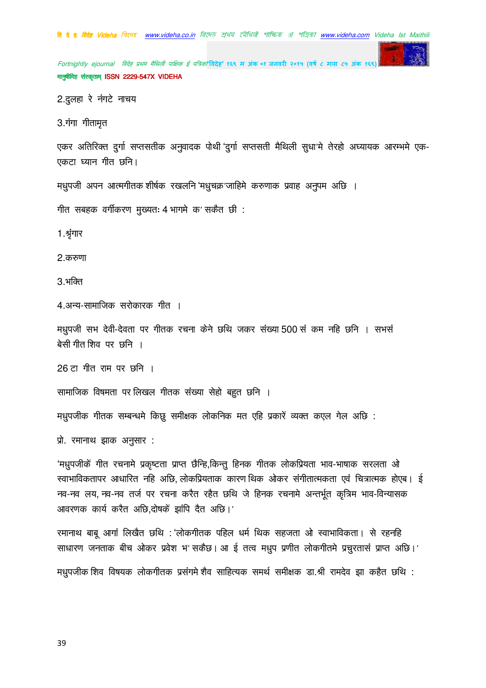**वि दे ह** *विदेह Videha दिफ्ट <u>www.videha.co.in</u> तिरमरु शेथ***य यৌथिती পাক্ষিক \$1 পত্রিকা <u>www.videha.com</u> Videha Ist Maithili** Fortnightly ejournal िवद ेह थम म ैिथली पाि'क ई पि\*का**'वदेह' १६९ म अंक ०१ जनवर २०१५ (वष ८ मास ८५ अंक १६९)** मानुषीमिह संस्कृताम् ISSN 2229-547X VIDEHA

2.दुलहा रे नंगटे नाचय

3.गंगा गीतामृत

एकर अतिरिक्त दुर्गा सप्तसतीक अनुवादक पोथी 'दुर्गा सप्तसती मैथिली सुधा'मे तेरहो अघ्यायक आरम्भमे एक-एकटा घ्यान गीत छनि।

मधुपजी अपन आत्मगीतक शीर्षक रखलनि 'मधुचक्र'जाहिमे करुणाक प्रवाह अनुपम अछि ।

गीत सबहक वर्गीकरण मुख्यतः 4 भागमे क' सकैत छी :

1.Vृंगार

2.करुणा

 $3.$ भक्ति

4.अन्य-सामाजिक सरोकारक गीत ।

मधुपजी सभ देवी-देवता पर गीतक रचना केने छथि जकर संख्या 500 सं कम नहि छनि । सभसं बेसी गीत शिव पर छनि ।

26 टा गीत राम पर छिन ।

सामाजिक विषमता पर लिखल गीतक संख्या सेहो बहुत छनि ।

मधुपजीक गीतक सम्बन्धमे किछू समीक्षक लोकनिक मत एहि प्रकारें व्यक्त कएल गेल अछि :

ो. रमानाथ झाक अनुसार :

'मधुपजीकें गीत रचनामे प्रकृष्टता प्राप्त छैन्हि,किन्तु हिनक गीतक लोकप्रियता भाव-भाषाक सरलता ओ स्वाभाविकतापर आधारित नहि अछि, लोकप्रियताक कारण थिक ओकर संगीतात्मकता एवं चित्रात्मक होएब। ई नव-नव लय, नव-नव तर्ज पर रचना करैत रहैत छथि जे हिनक रचनामे अन्तर्भूत कृत्रिम भाव-विन्यासक आवरणक कार्य करैत अछि,दोषकें झांपि दैत अछि।'

रमानाथ बाबू आगां लिखैत छथि : 'लोकगीतक पहिल धर्म थिक सहजता ओ स्वाभाविकता। से रहनहि साधारण जनताक बीच ओकर प्रवेश भ' सकैछ। आ ई तत्व मधुप प्रणीत लोकगीतमे प्रचुरतासं प्राप्त अछि।' मधुपजीक शिव विषयक लोकगीतक प्रसंगमे शैव साहित्यक समर्थ समीक्षक डा.श्री रामदेव झा कहैत छथि :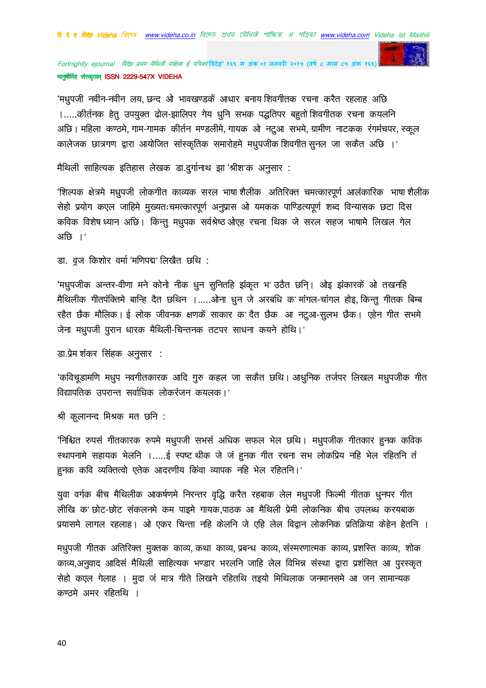'मधुपजी नवीन-नवीन लय, छन्द ओ भावखण्डकें आधार बनाय शिवगीतक रचना करैत रहलाह अछि ।.....कीर्तनक हेतु उपयुक्त ढोल-झालिपर गेय धुनि सभक पद्धतिपर बहुतो शिवगीतक रचना कयलनि अछि। महिला कण्ठमे, गाम-गामक कीर्तन मण्डलीमे, गायक ओ नटूआ सभमे, ग्रामीण नाटकक रंगमंचपर, स्कूल कालेजक छात्रगण द्वारा आयोजित सांस्कृतिक समारोहमे मधुपजीक शिवगीत सुनल जा सकैत अछि ।'

मैथिली साहित्यक इतिहास लेखक डा.दुर्गानाथ झा 'श्रीश'क अनुसार :

'शिल्पक क्षेत्रमे मधुपजी लोकगीत काव्यक सरल भाषा शैलीक अतिरिक्त चमत्कारपूर्ण आलंकारिक भाषा शैलीक सेहो प्रयोग कएल जाहिमे मुख्यतःचमत्कारपूर्ण अनुप्रास ओ यमकक पाण्डित्यपूर्ण शब्द विन्यासक छटा दिस कविक विशेष ध्यान अछि। किन्तु मधुपक सर्वश्रेष्ठ ओएह रचना थिक जे सरल सहज भाषामे लिखल गेल अिछ ।'

डा. वृज किशोर वर्मा 'मणिपद्म' लिखैत छथि :

'मधुपजीक अन्तर-वीणा मने कोनो नीक धुन सुनितहि झंकृत भ' उठैत छनि्। ओइ झंकारकें ओ तखनहि मैथिलीक गीतपंक्तिमे बान्हि दैत छथिन ।.....ओना धुन जे अरबधि क' मांगल-चांगल होइ, किन्तु गीतक बिम्ब रहैत छैक मौलिक। ई लोक जीवनक क्षणकें साकार क' दैत छैक आ नटुआ-सुलभ छैक। एहेन गीत सभमे जेना मधुपजी पुरान धारक मैथिली-चिन्तनक तटपर साधना कयने होथि।'

डा.ेम शंकर िसंहक अनुसार :

'कविचूडामणि मधुप नवगीतकारक आदि गुरु कहल जा सकैत छथि। आधुनिक तर्जपर लिखल मधुपजीक गीत विद्यापतिक उपरान्त सर्वाधिक लोकरंजन कयलक।'

श्री कृलानन्द मिश्रक मत छनि :

'निश्चित रुपसं गीतकारक रुपमे मधुपजी सभसं अधिक सफल भेल छथि। मधुपजीक गीतकार हुनक कविक स्थापनामे सहायक भेलनि ।.....ई स्पष्ट थीक जे जं हुनक गीत रचना सभ लोकप्रिय नहि भेल रहितनि तं हुनक कवि व्यक्तित्वो एतेक आदरणीय किंवा व्यापक नहि भेल रहितनि।'

युवा वर्गक बीच मैथिलीक आकर्षणमे निरन्तर वृद्धि करैत रहबाक लेल मधुपजी फिल्मी गीतक धुनपर गीत लीखि क' छोट-छोट संकलनमे कम पाइमे गायक,पाठक आ मैथिली प्रेमी लोकनिक बीच उपलब्ध करयबाक प्रयासमे लागल रहलाह। ओ एकर चिन्ता नहि केलनि जे एहि लेल विद्रान लोकनिक प्रतिक्रिया केहेन हेतनि ।

मधुपजी गीतक अतिरिक्त मुक्तक काव्य, कथा काव्य, प्रबन्ध काव्य, संस्मरणात्मक काव्य, प्रशस्ति काव्य, शोक काव्य,अनुवाद आदिसं मैथिली साहित्यक भण्डार भरलनि जाहि लेल विभिन्न संस्था द्वारा प्रशंसित आ पुरस्कृत सेहो कएल गेलाह । मुदा जं मात्र गीते लिखने रहितथि तइयो मिथिलाक जनमानसमे आ जन सामान्यक कण्ठमे अमर रहितथि ।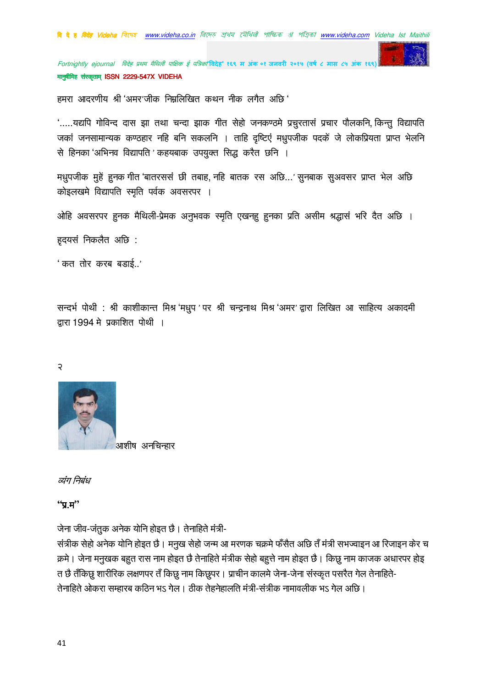

हमरा आदरणीय श्री 'अमर'जीक निम्नलिखित कथन नीक लगैत अछि '

'.....यद्यपि गोविन्द दास झा तथा चन्दा झाक गीत सेहो जनकण्ठमे प्रचुरतासं प्रचार पौलकनि, किन्तु विद्यापति जकां जनसामान्यक कण्ठहार नहि बनि सकलनि । ताहि दृष्टिएं मधुपजीक पदकें जे लोकप्रियता प्राप्त भेलनि से हिनका 'अभिनव विद्यापति ' कहयबाक उपयुक्त सिद्ध करैत छनि ।

मधुपजीक मुहें हुनक गीत 'बातरससं छी तबाह, नहि बातक रस अछि...' सुनबाक सुअवसर प्राप्त भेल अछि कोइलखमे विद्यापति स्मृति पर्वक अवसरपर ।

ओहि अवसरपर हुनक मैथिली-प्रेमक अनुभवक स्मृति एखनहु हुनका प्रति असीम श्रद्धासं भरि दैत अछि ।

हृदयसं निकलैत अछि :

 $'$  कत $\overline{\mathsf{d}}$  तोर करब बडाई..'

सन्दर्भ पोथी : श्री काशीकान्त मिश्र 'मधुप ' पर श्री चन्द्रनाथ मिश्र 'अमर' द्वारा लिखित आ साहित्य अकादमी द्वारा 1994 मे प्रकाशित पोथी ।

२



आशीष अनचिन्हार

oयंग िनबंध

".म"

जेना जीव-जंतुक अनेक योनि होइत छै । तेनाहिते मंत्री-

संत्रीक सेहो अनेक योनि होइत छै । मनुख सेहो जन्म आ मरणक चक्रमे फँसैत अछि तँ मंत्री सभज्वाइन आ रिजाइन केर च क्रमे । जेना मनुखक बहुत रास नाम होइत छै तेनाहिते मंत्रीक सेहो बहुत्ते नाम होइत छै । किछू नाम काजक अधारपर होइ त छै तँकिछु शारीरिक लक्षणपर तँ किछु नाम किछुपर। प्राचीन कालमे जेना-जेना संस्कृत पसरैत गेल तेनाहिते-तेनाहिते ओकरा सम्हारब कठिन भऽ गेल। ठीक तेहनेहालति मंत्री-संत्रीक नामावलीक भऽ गेल अछि।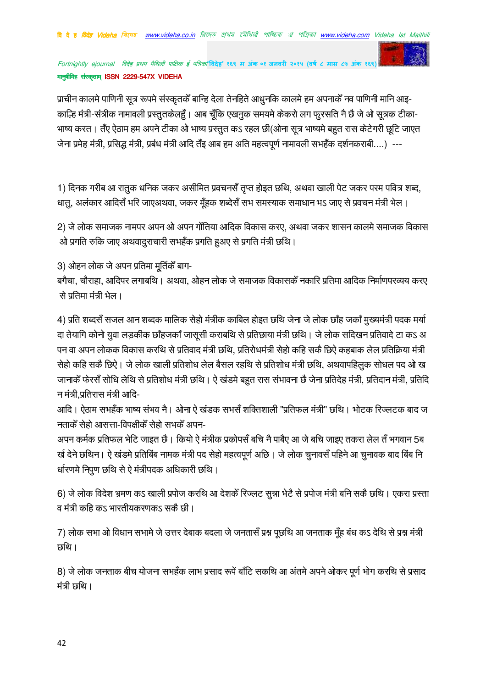प्राचीन कालमे पाणिनी सूत्र रूपमे संस्कृतकेँ बान्हि देला तेनहिते आधुनकि कालमे हम अपनाकेँ नव पाणिनी मानि आइ-काल्हि मंत्री-संत्रीक नामावली प्रस्तुतकेलहुँ । आब चूँकि एखनुक समयमे केकरो लग फुरसति नै छै जे ओ सूत्रक टीका-भाष्य करत। तँए ऐठाम हम अपने टीका ओ भाष्य प्रस्तुत कऽ रहल छी(ओना सूत्र भाष्यमे बहुत रास केटेगरी छूटि जाएत जेना प्रमेह मंत्री, प्रसिद्ध मंत्री, प्रबंध मंत्री आदि तँइ आब हम अति महत्वपूर्ण नामावली सभहँक दर्शनकराबी....) ---

1) दिनक गरीब आ रातुक धनिक जकर असीमित प्रवचनसँ तृप्त होइत छथि, अथवा खाली पेट जकर परम पवित्र शब्द, धातु, अलंकार आदिसँ भरि जाएअथवा, जकर मुँहक शब्देसँ सभ समस्याक समाधान भऽ जाए से प्रवचन मंत्री भेल।

2) जे लोक समाजक नामपर अपन ओ अपन गोंतिया आदिक विकास करए, अथवा जकर शासन कालमे समाजक विकास ओ प्रगति रुकि जाए अथवादुराचारी सभहँक प्रगति हुअए से प्रगति मंत्री छथि।

3) ओहन लोक जे अपन प्रतिमा मूर्तिकेँ बाग-

बगैचा, चौराहा, आदिपर लगाबथि । अथवा, ओहन लोक जे समाजक विकासकेँ नकारि प्रतिमा आदिक निर्माणपरव्यय करए से प्रतिमा मंत्री भेल।

4) प्रति शब्दसँ सजल आन शब्दक मालिक सेहो मंत्रीक काबिल होइत छथि जेना जे लोक छाँह जकाँ मुख्यमंत्री पदक मर्या दा तेयागि कोनो युवा लड़कीक छाँहजकाँ जासूसी कराबथि से प्रतिछाया मंत्री छथि। जे लोक सदिखन प्रतिवादे टा कऽ अ पन वा अपन लोकक विकास करथि से प्रतिवाद मंत्री छथि, प्रतिरोधमंत्री सेहो कहि सकै छिऐ कहबाक लेल प्रतिक्रिया मंत्री सेहो कहि सकै छिऐ। जे लोक खाली प्रतिशोध लेल बैसल रहथि से प्रतिशोध मंत्री छथि, अथवापहिलुक सोधल पद ओ ख जानाकँ फेरसँ सोधि लेथि से प्रतिशोध मंत्री छथि। ऐ खंडमे बहुत रास संभावना छै जेना प्रतिदेह मंत्री, प्रतिदान मंत्री, प्रतिदि न मंत्री,प्रतिरास मंत्री आदि-

आदि। ऐठाम सभहँक भाष्य संभव नै। ओना ऐ खंडक सभसँ शक्तिशाली "प्रतिफल मंत्री" छथि। भोटक रिज्लटक बाद ज नताकेँ सेहो आसत्ता-विपक्षीकेँ सेहो सभकेँ अपन-

अपन कर्मक प्रतिफल भेटि जाइत छै । कियो ऐ मंत्रीक प्रकोपसँ बचि नै पाबैए आ जे बचि जाइए तकरा लेल तँ भगवान 5ब खं देने छथिन। ऐ खंडमे प्रतिबिंब नामक मंत्री पद सेहो महत्वपूर्ण अछि। जे लोक चुनावसँ पहिने आ चुनावक बाद बिंब नि र्धारणमे निपुण छथि से ऐ मंत्रीपदक अधिकारी छथि ।

6) जे लोक विदेश भ्रमण कऽ खाली प्रपोज करथि आ देशकेँ रिज्लट सुन्ना भेटै से प्रपोज मंत्री बनि सकै छथि । एकरा प्रस्ता व मं\*ी किह कऽ भारतीयकरणकऽ सकै छी।

7) लोक सभा ओ विधान सभामे जे उत्तर देबाक बदला जे जनतासँ प्रश्न पूछथि आ जनताक मूँह बंध कऽ देथि से प्रश्न मंत्री छिथ।

8) जे लोक जनताक बीच योजना सभहँक लाभ प्रसाद रूपें बाँटि सकथि आ अंतमे अपने ओकर पूर्ण भोग करथि से प्रसाद मंत्री छथि।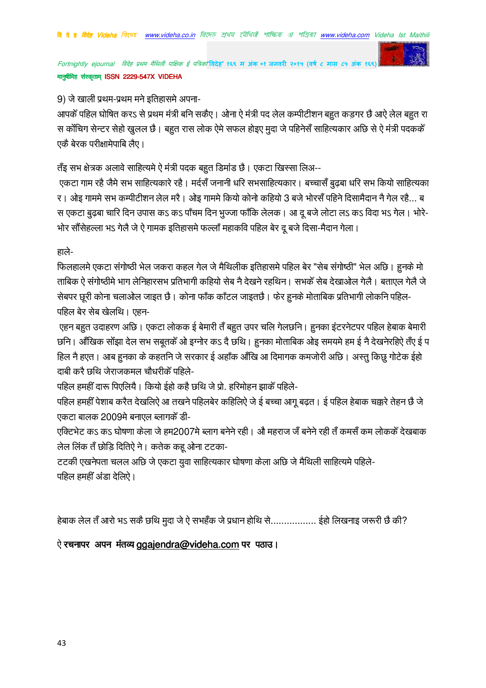# 9) जे खाली थम-थम मने इितहासमे अपना-

आपकेँ पहिल घोषित करऽ से प्रथम मंत्री बनि सकैए । ओना ऐ मंत्री पद लेल कम्पीटीशन बहुत कड़गर छै आऐ लेल बहुत रा स कॉचिग सेन्टर सेहो खुलल छै । बहुत रास लोक ऐमे सफल होइए मुदा जे पहिनेसँ साहित्यकार अछि से ऐ मंत्री पदककँ एकै बेरक परीक्षामेपाबि लैए।

तँइ सभ क्षेत्रक अलावे साहित्यमे ऐ मंत्री पदक बहुत डिमांड छै । एकटा खिस्सा लिअ--

एकटा गाम रहै जैमे सभ साहित्यकारे रहै । मर्दसँ जनानी धरि सभसाहित्यकार । बच्चासँ बुढ़बा धरि सभ कियो साहित्यका र। ओइ गाममे सभ कम्पीटीशन लेल मरै। ओइ गाममे कियो कोनो कहियो 3 बजे भोरसँ पहिने दिसामैदान नै गेल रहै... ब स एकटा बुढ़बा चारि दिन उपास कऽ कऽ पाँचम दिन भुज्जा फाँकि लेलक । आ दू बजे लोटा लऽ कऽ विदा भऽ गेल । भोरे-भोर सौंसेहल्ला भऽ गेलै जे ऐ गामक इतिहासमे फल्लाँ महाकवि पहिल बेर दू बजे दिसा-मैदान गेला।

हाले-

फिलहालमे एकटा संगोष्ठी भेल जकरा कहल गेल जे मैथिलीक इतिहासमे पहिल बेर "सेब संगोष्ठी" भेल अछि। हुनके मो ताबिक ऐ संगोष्ठीमे भाग लेनिहारसभ प्रतिभागी कहियो सेब नै देखने रहथिन। सभकेँ सेब देखाओल गेलै । बताएल गेलै जे सेबपर छूरी कोना चलाओल जाइत छै । कोना फाँक काँटल जाइतछै । फेर हुनके मोताबिक प्रतिभागी लोकनि पहिल-पहिल बेर सेब खेलथि। एहन-

एहन बहुत उदाहरण अछि। एकटा लोकक ई बेमारी तँ बहुत उपर चलि गेलछनि। हुनका इंटरनेटपर पहिल हेबाक बेमारी छनि। आँखिक सोंझा देल सभ सबूतकें ओ इग्नोर कऽ दै छथि। हुनका मोताबिक ओइ समयमे हम ई नै देखनेरहिऐ ताँए ई प हिल नै हएत। आब हुनका के कहतनि जे सरकार ई अहाँक आँखि आ दिमागक कमजोरी अछि। अस्तु किछु गोटेक ईहो दाबी करै छथि जेराजकमल चौधरीकेँ पहिले-

पहिल हमहीं दारू पिएलियै । कियो ईहो कहै छथि जे प्रो. हरिमोहन झाकेँ पहिले-

पहिल हमहीं पेशाब करैत देखलिऐ आ तखने पहिलबेर कहिलिऐ जे ई बच्चा आगू बढत । ई पहिल हेबाक चक्करे तेहन छै जे एकटा बालक 2009मे बनाएल ब्लागकें डी-

एक्टिभेट कऽ कऽ घोषणा केला जे हम2007मे ब्लाग बनेने रही। औ महराज जँ बनेने रही तँ कमसँ कम लोककँ देखबाक लेल िलंक तँ छोिड़ िदितऐ ने। कतेक कहू ओना टटका-

टटकी एखनेपता चलल अछि जे एकटा युवा साहित्यकार घोषणा केला अछि जे मैथिली साहित्यमे पहिले-पहिल हमहीं अंडा देलिऐ।

हेबाक लेल तँ आरो भऽ सकै छथि मुदा जे ऐ सभहँक जे प्रधान होथि से.................. ईहो लिखनाइ जरूरी छै की?

# $\dot{\phi}$  रचनापर अपन मंतव्य ggajendra@videha.com पर पठाउ।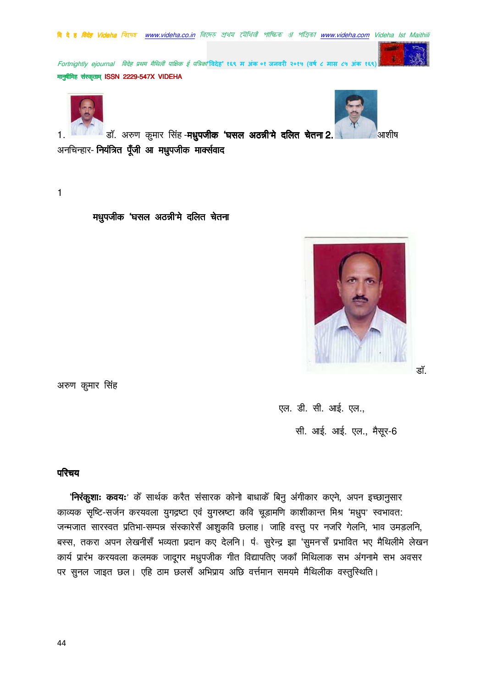



1

### मधुपजीक 'घसल अठत्री'मे दलित चेतना



अरुण कूमार सिंह

 एल. डी. सी. आई. एल., सी. आई. आई. एल., मैसूर-6

#### पिरचय

'**निरंकृशाः कवयः**' कें सार्थक करैत संसारक कोनो बाधाकें बिनु अंगीकार कएने, अपन इच्छानुसार काव्यक सृष्टि-सर्जन करयवला युगद्रष्टा एवं युगस्रष्टा कवि चूड़ामणि काशीकान्त मिश्र 'मधुप' स्वभावत: जन्मजात सारस्वत प्रतिभा-सम्पन्न संस्कारेसँ आशुकवि छलाह। जाहि वस्तु पर नजरि गेलनि, भाव उमड़लनि, बस्स, तकरा अपन लेखनीसँ भव्यता प्रदान कए देलनि। पं॰ सुरेन्द्र झा 'सुमन'सँ प्रभावित भए मैथिलीमे लेखन कार्य प्रारंभ करयवला कलमक जादूगर मधुपजीक गीत विद्यापतिए जकाँ मिथिलाक सभ अंगनामे सभ अवसर पर सुनल जाइत छल। एहि ठाम छलसँ अभिप्राय अछि वर्त्तमान समयमे मैथिलीक वस्तुस्थिति।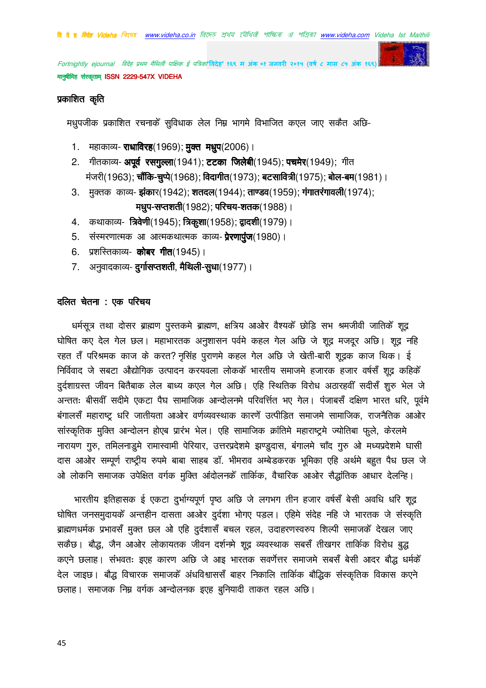**वि दे ह** *विदेह Videha दिफ्ट <u>www.videha.co.in</u> तिरमरु शेथ***य यৌथिती পাক্ষিক \$1 পত্রিকা <u>www.videha.com</u> Videha Ist Maithili** Fortnightly ejournal िवद ेह थम म ैिथली पाि'क ई पि\*का**'वदेह' १६९ म अंक ०१ जनवर २०१५ (वष ८ मास ८५ अंक १६९)** मानुषीमिह संस्कृताम् ISSN 2229-547X VIDEHA

## प्रकाशित कृति

मधुपजीक प्रकाशित रचनाकँ सुविधाक लेल निम्न भागमे विभाजित कएल जाए सकैत अछि-

- 1. महाकाव्य- **राधाविरह**(1969); **मुक्त मधुप**(2006)।
- 2. गीतकाव्य- **अपूर्व रसगुल्ला**(1941); **टटका जिलेबी**(1945); **पचमेर**(1949); गीत मंजरी(1963); चौंकि-चुप्पे(1968); विदागीत $(1973)$ ; बटसावित्री $(1975)$ ; बोल-बम $(1981)$ ।
- 3. मुक्तक काव्य- **झंका**र(1942); **शतदल**(1944); **ताण्डव**(1959); **गंगातरंगावली**(1974);

मधुप-सप्तशती $(1982)$ ; परिचय-शतक $(1988)$ ।

- 4. कथाकाव्य- त्रिवेणी (1945); त्रिकूशा (1958); द्वादशी (1979)।
- 5. संस्मरणात्मक आ आत्मकथात्मक काव्य- प्रेरणापुंज(1980)।
- 6. प्रशस्तिकाव्य- कोबर गीत(1945)।
- 7. अनुवादकाव्य- दुर्गासप्तशती, मैथिली-सुधा(1977)।

## दलित चेतना : एक परिचय

धर्मसूत्र तथा दोसर ब्राह्मण पुस्तकमे ब्राह्मण, क्षत्रिय आओर वैश्यकेँ छोड़ि सभ श्रमजीवी जातिकेँ शुद्र घोषित कए देल गेल छल। महाभारतक अनुशासन पर्वमे कहल गेल अछि जे शूद्र मजदूर अछि। शूद्र नहि रहत तँ परिश्रमक काज के करत? नृसिंह पुराणमे कहल गेल अछि जे खेती-बारी शूद्रक काज थिक। ई निर्विवाद जे सबटा औद्योगिक उत्पादन करयवला लोककेँ भारतीय समाजमे हजारक हजार वर्षसँ शूद्र कहिकेँ दुर्दशाग्रस्त जीवन बितैबाक लेल बाध्य कएल गेल अछि। एहि स्थितिक विरोध अठारहवीं सदीसँ शुरु भेल जे अन्ततः बीसवीं सदीमे एकटा पैघ सामाजिक आन्दोलनमे परिवर्त्तित भए गेल। पंजाबसँ दक्षिण भारत धरि, पूर्वमे बंगालसँ महाराष्ट्र धरि जातीयता आओर वर्णव्यवस्थाक कारणेँ उत्पीड़ित समाजमे सामाजिक, राजनैतिक आओर सांस्कृतिक मुक्ति आन्दोलन होएब प्रारंभ भेल। एहि सामाजिक क्रांतिमे महाराष्ट्रमे ज्योतिबा फूले, केरलमे नारायण गुरु, तमिलनाडुमे रामास्वामी पेरियार, उत्तरप्रदेशमे झण्डुदास, बंगालमे चाँद गुरु ओ मध्यप्रदेशमे घासी दास आओर सम्पूर्ण राष्ट्रीय रुपमे बाबा साहब डॉ. भीमराव अम्बेडकरक भूमिका एहि अर्थमे बहुत पैध छल जे ओ लोकनि समाजक उपेक्षित वर्गक मुक्ति आंदोलनकेँ तार्किक, वैचारिक आओर सैद्धांतिक आधार देलन्हि।

भारतीय इतिहासक ई एकटा दुर्भाग्यपूर्ण पृष्ठ अछि जे लगभग तीन हजार वर्षसँ बेसी अवधि धरि शूद्र घोषित जनसमुदायकेँ अन्तहीन दासता आओर दुर्दशा भोगए पड़ल। एहिमे संदेह नहि जे भारतक जे संस्कृति ब्राह्मणधर्मक प्रभावसँ मुक्त छल ओ एहि दुर्दशासँ बचल रहल, उदाहरणस्वरुप शिल्पी समाजकेँ देखल जाए सकैछ। बौद्ध, जैन आओर लोकायतक जीवन दर्शनमे शूद्र व्यवस्थाक सबसँ तीखगर तार्किक विरोध बुद्ध कएने छलाह। संभवतः इएह कारण अछि जे आइ भारतक सवर्णेत्तर समाजमे सबसँ बेसी आदर बौद्ध धर्मकँ देल जाइछ। बौद्ध विचारक समाजकेँ अंधविश्वाससँ बाहर निकालि तार्किक बौद्धिक संस्कृतिक विकास कएने छलाह। समाजक निम्न वर्गक आन्दोलनक इएह बुनियादी ताकत रहल अछि।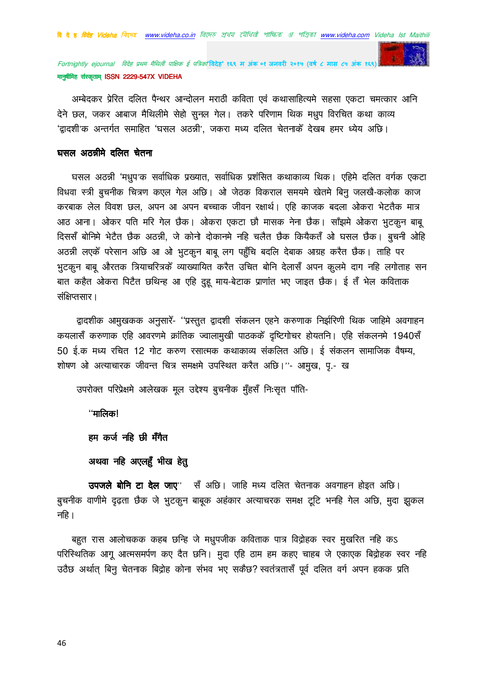Fortnightly ejournal िवद ेह थम म ैिथली पाि'क ई पि\*का**'वदेह' १६९ म अंक ०१ जनवर २०१५ (वष ८ मास ८५ अंक १६९)** मानुषीमिह संस्कृताम् ISSN 2229-547X VIDEHA

अम्बेदकर प्रेरित दलित पैन्थर आन्दोलन मराठी कविता एवं कथासाहित्यमे सहसा एकटा चमत्कार आनि देने छल, जकर आबाज मैथिलीमे सेहो सुनल गेल। तकरे परिणाम थिक मधुप विरचित कथा काव्य 'द्वादशी'क अन्तर्गत समाहित 'घसल अठन्री', जकरा मध्य दलित चेतनाकेँ देखब हमर ध्येय अछि।

## घसल अठ[ीमे दिलत चेतना चेतना

घसल अठन्नी 'मधुप'क सर्वाधिक प्रख्यात, सर्वाधिक प्रशंसित कथाकाव्य थिक। एहिमे दलित वर्गक एकटा विधवा स्त्री बुचनीक चित्रण कएल गेल अछि। ओ जेठक विकराल समयमे खेतमे बिनु जलखै-कलोक काज करबाक लेल विवश छल, अपन आ अपन बच्चाक जीवन रक्षार्थ। एहि काजक बदला ओकरा भेटतैक मात्र आठ आना। ओकर पति मरि गेल छैक। ओकरा एकटा छौ मासक नेना छैक। साँझमे ओकरा भुटकून बाबू दिससँ बोनिमे भेटैत छैक अठन्नी, जे कोनो दोकानमे नहि चलैत छैक कियैकतँ ओ घसल छैक। बुचनी ओहि अठन्नी लएकँ परेसान अछि आ ओ भुटकून बाबू लग पहुँचि बदलि देबाक आग्रह करैत छैक। ताहि पर <u>भुटक</u>ून बाबू औरतक त्रियाचरित्रकें व्याख्यायित करैत उचित बोनि देलासँ अपन कूलमे दाग नहि लगोताह सन बात कहैत ओकरा पिटैत छथिन्ह आ एहि दुहू माय-बेटाक प्राणांत भए जाइत छैक। ई तँ भेल कविताक संक्षिप्तसार।

द्वादशीक आमुखकक अनुसारें- ''प्रस्तुत द्वादशी संकलन एहने करुणाक निर्झरिणी थिक जाहिमे अवगाहन कयलासँ करुणाक एहि आवरणमे क्रांतिक ज्वालामुखी पाठककेँ दृष्टिगोचर होयतनि। एहि संकलनमे 1940सँ 50 ई.क मध्य रचित 12 गोट करुण रसात्मक कथाकाव्य संकलित अछि। ई संकलन सामाजिक वैषम्य, शोषण ओ अत्याचारक जीवन्त चित्र समक्षमे उपस्थित करैत अछि।''- आमुख, पृ.- ख

उपरोक्त परिप्रेक्षमे आलेखक मूल उद्देश्य बुचनीक मुँहसँ निःसृत पाँति-

''मािलक!

हम कजL निह छी म ँगैत हम छी ँगैतँगैत

अथवा निह अएलहुँ भीख हेत ु अथवा निह अएलहुँ भीख हेत ुअथवा निह अएलहुँ भीख ु अथवा निह अएलहुँ भीख ु

 **उपजले बोनि टा देल जाए**'' सँ अछि। जाहि मध्य दलित चेतनाक अवगाहन होइत अछि। बुचनीक वाणीमे दृढ़ता छैक जे भुटकून बाबूक अहंकार अत्याचरक समक्ष टूटि भनहि गेल अछि, मुदा झुकल निह।

बहुत रास आलोचकक कहब छन्हि जे मधुपजीक कविताक पात्र विद्रोहक स्वर मुखरित नहि कऽ परिस्थितिक आगू आत्मसमर्पण कए दैत छनि। मुदा एहि ठाम हम कहए चाहब जे एकाएक बिव्रोहक स्वर नहि उठैछ अर्थात् बिनु चेतनाक बिद्रोह कोना संभव भए सकैछ? स्वतंत्रतासँ पूर्व दलित वर्ग अपन हकक प्रति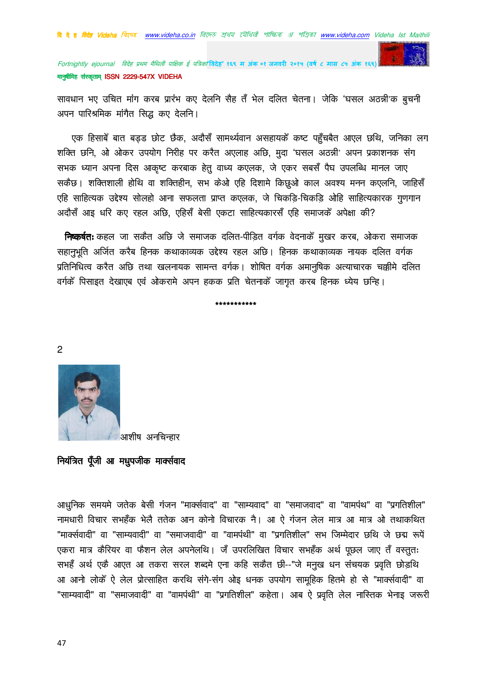सावधान भए उचित मांग करब प्रारंभ कए देलनि सैह तँ भेल दलित चेतना। जेकि 'घसल अठन्नी'क बुचनी अपन पारिश्रमिक मांगैत सिद्ध कए देलनि।

एक हिसाबैं बात बड़ड छोट छैक, अदौसँ सामर्थ्यवान असहायकैँ कष्ट पहुँचबैत आएल छथि, जनिका लग शक्ति छनि, ओ ओकर उपयोग निरीह पर करैत अएलाह अछि, मुदा 'घसल अठन्नी' अपन प्रकाशनक संग सभक ध्यान अपना दिस आकृष्ट करबाक हेतु वाध्य कएलक, जे एकर सबसँ पैघ उपलब्धि मानल जाए सकैछ। शक्तिशाली होथि वा शक्तिहीन, सभ केओ एहि दिशामे किछूओ काल अवश्य मनन कएलनि, जाहिसँ एहि साहित्यक उद्देश्य सोलहो आना सफलता प्राप्त कएलक, जे चिकड़ि-चिकड़ि ओहि साहित्यकारक गुणगान अदौसँ आइ धरि कए रहल अछि, एहिसँ बेसी एकटा साहित्यकारसँ एहि समाजकँ अपेक्षा की?

**निष्कर्षतः** कहल जा सकैत अछि जे समाजक दलित-पीड़ित वर्गक वेदनाकेँ मुखर करब, ओकरा समाजक सहानुभूति अर्जित करैब हिनक कथाकाव्यक उद्देश्य रहल अछि। हिनक कथाकाव्यक नायक दलित वर्गक प्रतिनिधित्व करैत अछि तथा खलनायक सामन्त वर्गक। शोषित वर्गक अमानुषिक अत्याचारक चक्कीमे दलित वर्गकेँ पिसाइत देखाएब एवं ओकरामे अपन हकक प्रति चेतनाकेँ जागृत करब हिनक ध्येय छन्हि।

\*\*\*\*\*\*\*\*\*\*\* \*\*\*\*\*\*\*\*\*\*\* \*\*\*\*\*\*\*\*\*\*\*

2



आशीष अनचिन्हार

नियंत्रित पूँजी आ मधुपजीक मार्क्सवाद

आधुनिक समयमे जतेक बेसी गंजन "मार्क्सवाद" वा "साम्यवाद" वा "समाजवाद" वा "वामपंथ" वा "प्रगतिशील" नामधारी विचार सभहँक भेलै ततेक आन कोनो विचारक नै। आ ऐ गंजन लेल मात्र आ मात्र ओ तथाकथित "मार्क्सवादी" वा "साम्यवादी" वा "समाजवादी" वा "वामपंथी" वा "प्रगतिशील" सभ जिम्मेदार छथि जे छद्म रूपें एकरा मात्र कैरियर वा फैशन लेल अपनेलथि। जँ उपरलिखित विचार सभहँक अर्थ पूछल जाए तँ वस्तुतः सभहँ अर्थ एकै आएत आ तकरा सरल शब्दमे एना कहि सकैत छी--"जे मनुख धन संचयक प्रवृति छोड़थि आ आनो लोकेँ ऐ लेल प्रोत्साहित करथि संगे-संग ओइ धनक उपयोग सामूहिक हितमे हो से "मार्क्सवादी" वा "साम्यवादी" वा "समाजवादी" वा "वामपंथी" वा "प्रगतिशील" कहेता। आब ऐ प्रवृति लेल नास्तिक भेनाइ जरूरी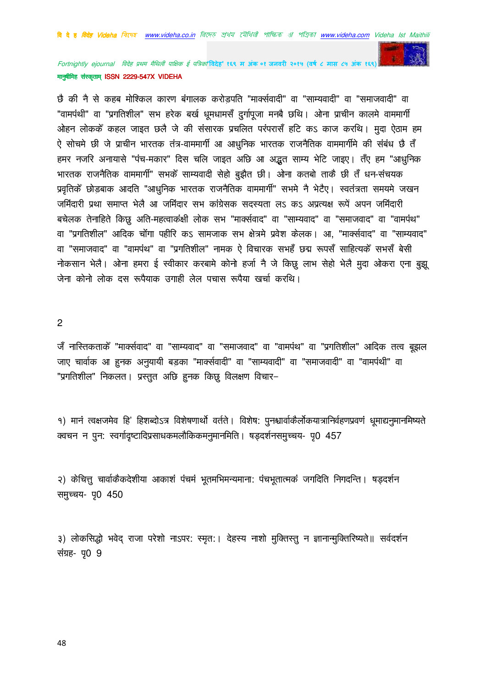# Fortnightly ejournal िवद ेह थम म ैिथली पाि'क ई पि\*का**'वदेह' १६९ म अंक ०१ जनवर २०१५ (वष ८ मास ८५ अंक १६९)** मानुषीमिह संस्कृताम् ISSN 2229-547X VIDEHA

छै की नै से कहब मोश्किल कारण बंगालक करोड़पति "मार्क्सवादी" वा "साम्यवादी" वा "समाजवादी" वा "वामपंथी" वा "प्रगतिशील" सभ हरेक बर्ख धूमधामसँ दुर्गापूजा मनबै छथि। ओना प्राचीन कालमे वाममार्गी ओहन लोककेँ कहल जाइत छलै जे की संसारक प्रचलित परंपरासँ हटि कऽ काज करथि। मुदा ऐठाम हम ऐ सोचमे छी जे प्राचीन भारतक तंत्र-वाममार्गी आ आधुनिक भारतक राजनैतिक वाममार्गीमे की संबंध छै तँ हमर नजरि अनायासे "पंच-मकार" दिस चलि जाइत अछि आ अद्भुत साम्य भेटि जाइए। ताँए हम "आधुनिक भारतक राजनैतिक वाममार्गी" सभकेँ साम्यवादी सेहो बुझैत छी। ओना कतबो ताकै छी तँ धन-संचयक प्रवृतिकँ छोड़बाक आदति "आधुनिक भारतक राजनैतिक वाममार्गी" सभमे नै भेटैए। स्वतंंत्रता समयमे जखन जमिंदारी प्रथा समाप्त भेलै आ जमिंदार सभ कांग्रेसक सदस्यता लऽ कऽ अप्रत्यक्ष रूपें अपन जमिंदारी बचेलक तेनाहिते किछु अति-महत्वाकंक्षी लोक सभ "मार्क्सवाद" वा "साम्यवाद" वा "समाजवाद" वा "वामपंथ" वा "प्रगतिशील" आदिक चोंगा पहीरि कऽ सामजाक सभ क्षेत्रमे प्रवेश केलक। आ, "मार्क्सवाद" वा "साम्यवाद" वा "समाजवाद" वा "वामपंथ" वा "प्रगतिशील" नामक ऐ विचारक सभहँ छद्म रूपसँ साहित्यकँ सभसँ बेसी नोकसान भेलै। ओना हमरा ई स्वीकार करबामे कोनो हर्जा नै जे किछू लाभ सेहो भेलै मुदा ओकरा एना बुझू जेना कोनो लोक दस रूपैयाक उगाही लेल पचास रूपैया खर्चा करथि।

2

जँ नास्तिकताकेँ "मार्क्सवाद" वा "साम्यवाद" वा "समाजवाद" वा "वामपंथ" वा "प्रगतिशील" आदिक तत्व बूझल जाए चार्वाक आ हुनक अनुयायी बड़का "मार्क्सवादी" वा "साम्यवादी" वा "समाजवादी" वा "वामपंथी" वा "प्रगतिशील" निकलत। प्रस्तुत अछि हुनक किछू विलक्षण विचार–

१) मानं त्वक्षजमेव हि' हिशब्दोऽत्र विशेषणार्थो वर्तते। विशेष: पुनश्चार्वाकैर्लोकयात्रानिर्वहणप्रवणं धूमाद्यनुमानमिष्यते क्वचन न पुन: स्वर्गादृष्टादिप्रसाधकमलौकिकमनुमानमिति। षड़दर्शनसमुच्चय- पृ0 457

२) केचित्तू चार्वाकैकदेशीया आकाशं पंचमं भूतमभिमन्यमाना: पंचभूतात्मकं जगदिति निगदन्ति । षड़दर्शन समुच्चय- पृ0 450

३) लोकसिद्धो भवेद् राजा परेशो नाऽपर: स्मृत:। देहस्य नाशो मुक्तिस्तु न ज्ञानान्मुक्तिरिष्यते॥ सर्वदर्शन संग्रह- पृ0 9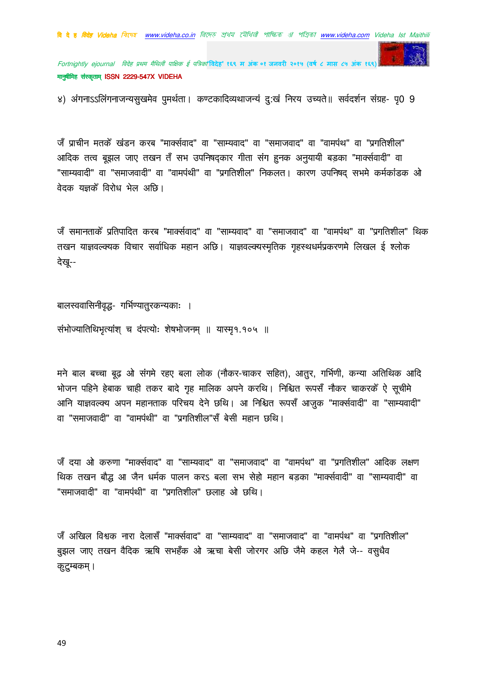४) अंगनाऽऽलिंगनाजन्यसुखमेव पुमर्थता। कण्टकादिव्यथाजन्यं दु:खं निरय उच्यते॥ सर्वदर्शन संग्रह- पृ0 9

जैं प्राचीन मतकेँ खंडन करब "मार्क्सवाद" वा "साम्यवाद" वा "समाजवाद" वा "वामपंथ" वा "प्रगतिशील" आदिक तत्व बुझल जाए तखन तँ सभ उपनिषद्कार गीता संग हुनक अनुयायी बड़का "मार्क्सवादी" वा "साम्यवादी" वा "समाजवादी" वा "वामपंथी" वा "प्रगतिशील" निकलत। कारण उपनिषद् सभमे कर्मकांडक ओ वेदक यज्ञकेँ विरोध भेल अछि।

जैं समानताकेँ प्रतिपादित करब "मार्क्सवाद" वा "साम्यवाद" वा "समाजवाद" वा "वामपंथ" वा "प्रगतिशील" थिक तखन याज्ञवल्क्यक विचार सर्वाधिक महान अछि। याज्ञवल्क्यस्मतिक गृहस्थधर्मप्रकरणमे लिखल ई श्लोक देखू--

बालस्ववासिनीवृद्ध- गर्भिण्यातुरकन्यकाः ।

संभोज्यातिथिभृत्यांश् च दंपत्योः शेषभोजनम् ॥ यास्मृ१.१०५ ॥

मने बाल बच्चा बूढ़ ओ संगमे रहए बला लोक (नौकर-चाकर सहित), आतुर, गर्भिणी, कन्या अतिथिक आदि भोजन पहिने हेबाक चाही तकर बादे गृह मालिक अपने करथि। निश्चित रूपसँ नौकर चाकरकेँ ऐ सूचीमे आनि याज्ञवल्क्य अपन महानताक परिचय देने छथि। आ निश्चित रूपसँ आज़ुक "मार्क्सवादी" वा "साम्यवादी" वा "समाजवादी" वा "वामपंथी" वा "गितशील"सँ बेसी महान छिथ।

जँ दया ओ करुणा "मार्क्सवाद" वा "साम्यवाद" वा "समाजवाद" वा "वामपंथ" वा "प्रगतिशील" आदिक लक्षण थिक तखन बौद्ध आ जैन धर्मक पालन करऽ बला सभ सेहो महान बड़का "मार्क्सवादी" वा "साम्यवादी" वा "समाजवादी" वा "वामपंथी" वा "गितशील" छलाह ओ छिथ।

जैं अखिल विश्वक नारा देलासँ "मार्क्सवाद" वा "साम्यवाद" वा "समाजवाद" वा "वामपंथ" वा "प्रगतिशील" बुझल जाए तखन वैदिक ऋषि सभहँक ओ ऋचा बेसी जोरगर अछि जैमे कहल गेलै जे-- वसुधैव कुटु¶बकम्।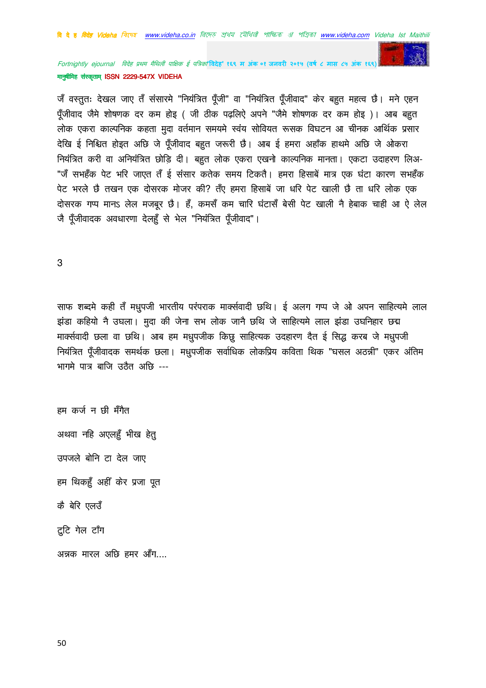Fortnightly ejournal िवद ेह थम म ैिथली पाि'क ई पि\*का**'वदेह' १६९ म अंक ०१ जनवर २०१५ (वष ८ मास ८५ अंक १६९)** मानुषीमिह संस्कृताम् ISSN 2229-547X VIDEHA

जँ वस्तुतः देखल जाए तँ संसारमे "नियंत्रित पूँजी" वा "नियंत्रित पूँजीवाद" केर बहुत महत्व छै। मने एहन पूँजीवाद जैमे शोषणक दर कम होइ ( जी ठीक पढ़िलऐ अपने "जैमे शोषणक दर कम होइ )। आब बहुत लोक एकरा काल्पनिक कहता मुदा वर्तमान समयमे स्वंय सोवियत रूसक विघटन आ चीनक आर्थिक प्रसार देखि ई निश्चित होइत अछि जे पूँजीवाद बहुत जरूरी छै। आब ई हमरा अहाँक हाथमे अछि जे ओकरा नियंत्रित करी वा अनियंत्रित छोड़ि दी। बहुत लोक एकरा एखनो काल्पनिक मानता। एकटा उदाहरण लिअ-"जैं सभहँक पेट भरि जाएत तँ ई संसार कतेक समय टिकतै। हमरा हिसाबें मात्र एक घंटा कारण सभहँक पेट भरले छै तखन एक दोसरक मोजर की? तँए हमरा हिसाबें जा धरि पेट खाली छै ता धरि लोक एक दोसरक गप्प मानऽ लेल मजबूर छै। हँ, कमसँ कम चारि घंटासँ बेसी पेट खाली नै हेबाक चाही आ ऐ लेल जै पूँजीवादक अवधारणा देलहूँ से भेल "नियंत्रित पूँजीवाद"।

3

साफ शब्दमे कही तँ मधुपजी भारतीय परंपराक मार्क्सवादी छथि। ई अलग गप्प जे ओ अपन साहित्यमे लाल झंडा कहियो नै उघला। मुदा की जेना सभ लोक जानै छथि जे साहित्यमे लाल झंडा उघनिहार छद्म मार्क्सवादी छला वा छथि। आब हम मधुपजीक किछु साहित्यक उदहारण दैत ई सिद्ध करब जे मधुपजी नियंत्रित पूँजीवादक समर्थक छला। मधुपजीक सर्वाधिक लोकप्रिय कविता थिक "घसल अठन्नी" एकर अंतिम भागमे पात्र बाजि उठैत अछि ---

हम कर्ज न छी मँगैत अथवा निह अएलहु ँ भीख हेतु उपजल े बोिन टा देल जाए हम थिकहूँ अहीं केर प्रजा पूत कै बेिर एलउ ँ टूटि गेल टॉंग अन्नक मारल अछि हमर आँग....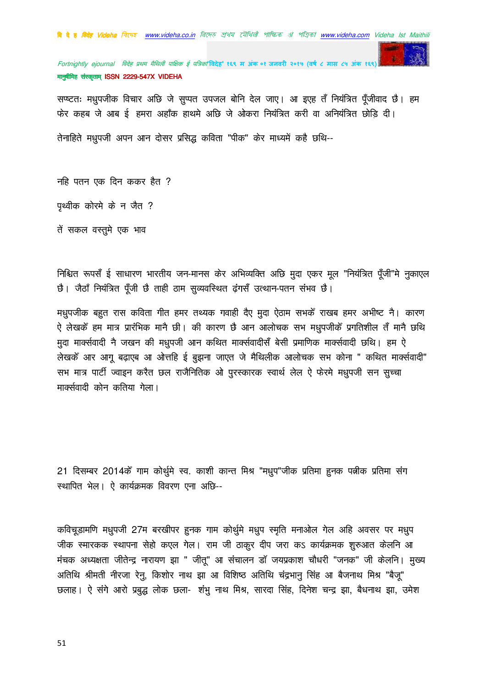**वि दे ह** *विदेह Videha दिफ्ट <u>www.videha.co.in</u> तिरमरु शेथ***य यৌथिती পাক্ষিক \$1 পত্রিকা <u>www.videha.com</u> Videha Ist Maithili** Fortnightly ejournal िवद ेह थम म ैिथली पाि'क ई पि\*का**'वदेह' १६९ म अंक ०१ जनवर २०१५ (वष ८ मास ८५ अंक १६९)** मानुषीमिह संस्कृताम् ISSN 2229-547X VIDEHA

सप्स्टतः मधुपजीक विचार अछि जे सुप्पत उपजल बोनि देल जाए। आ इएह तँ नियंत्रित पूँजीवाद छै। हम फेर कहब जे आब ई हमरा अहाँक हाथमे अछि जे ओकरा नियंत्रित करी वा अनियंत्रित छोड़ि दी।

तेनाहिते मधुपजी अपन आन दोसर प्रसिद्ध कविता "पीक" केर माध्यमें कहै छथि--

निह पतन एक िदन ककर हैत ?

पृóवीक कोरमे के न जैत ?

तें सकल वस्तुमे एक भाव

निश्चित रूपसँ ई साधारण भारतीय जन-मानस केर अभिव्यक्ति अछि मुदा एकर मूल "नियंत्रित पूँजी"मे नुकाएल छै। जैठाँ नियंत्रित पूँजी छै ताही ठाम सुव्यवस्थित ढ़ंगसँ उत्थान-पतन संभव छै।

मधुपजीक बहुत रास कविता गीत हमर तथ्यक गवाही दैए मुदा ऐठाम सभकेँ राखब हमर अभीष्ट नै। कारण ऐ लेखकेँ हम मात्र प्रारंभिक मानै छी। की कारण छै आन आलोचक सभ मधुपजीकेँ प्रगतिशील तँ मानै छथि मुदा मार्क्सवादी नै जखन की मधुपजी आन कथित मार्क्सवादीसँ बेसी प्रमाणिक मार्क्सवादी छथि। हम ऐ लेखकेँ आर आगू बढ़ाएब आ ओत्तहि ई बुझना जाएत जे मैथिलीक आलोचक सभ कोना " कथित मार्क्सवादी" सभ मात्र पार्टी ज्वाइन करैत छल राजैनितिक ओ पुरस्कारक स्वार्थ लेल ऐ फेरमे मधुपजी सन सुच्चा मार्क्सवादी कोन कतिया गेला।

21 दिसम्बर 2014कें गाम कोर्थुमे स्व. काशी कान्त मिश्र "मधुप"जीक प्रतिमा हुनक पत्नीक प्रतिमा संग स्थापित भेल। ऐ कार्यक्रमक विवरण एना अछि--

कविचूड़ामणि मधुपजी 27म बरखीपर हुनक गाम कोर्थुमे मधुप स्मृति मनाओल गेल अहि अवसर पर मधुप जीक स्मारकक स्थापना सेहो कएल गेल। राम जी ठाकूर दीप जरा कऽ कार्यक्रमक शुरुआत केलनि आ मंचक अध्यक्षता जीतेन्द्र नारायण झा " जीतू" आ संचालन डॉ जयप्रकाश चौधरी "जनक" जी केलनि। मुख्य अतिथि श्रीमती नीरजा रेनु, किशोर नाथ झा आ विशिष्ठ अतिथि चंद्रभानु सिंह आ बैजनाथ मिश्र "बैजू" छलाह। ऐ संगे आरो प्रबुद्ध लोक छला- शंभु नाथ मिश्र, सारदा सिंह, दिनेश चन्द्र झा, बैधनाथ झा, उमेश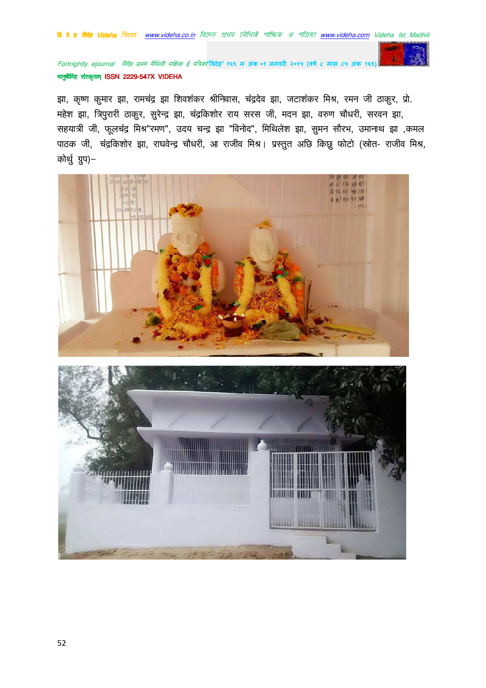Fortnightly ejournal िवद ेह थम म ैिथली पाि'क ई पि\*का**'वदेह' १६९ म अंक ०१ जनवर २०१५ (वष ८ मास ८५ अंक १६९)** मानुषीमिह संस्कृताम् ISSN 2229-547X VIDEHA

झा, कृष्ण कूमार झा, रामचंद्र झा शिवशंकर श्रीनिवास, चंद्रदेव झा, जटाशंकर मिश्र, रमन जी ठाकूर, प्रो. महेश झा, त्रिपुरारी ठाकुर, सुरेन्द्र झा, चंद्रकिशोर राय सरस जी, मदन झा, वरुण चौधरी, सरवन झा, सहयात्री जी, फूलचंद्र मिश्र"रमण", उदय चन्द्र झा "विनोद", मिथिलेश झा, सुमन सौरभ, उमानाथ झा ,कमल पाठक जी, चंद्रकिशोर झा, राघवेन्द्र चौधरी, आ राजीव मिश्र। प्रस्तुत अछि किछु फोटो (स्रोत- राजीव मिश्र, कोर्थु ग्रुप)–



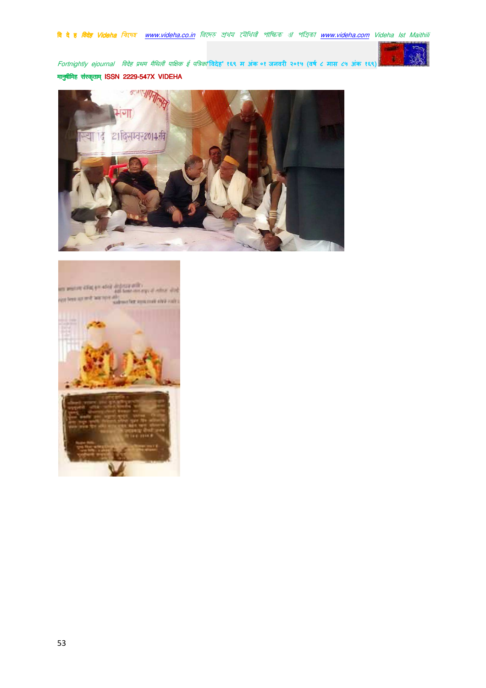Fortnightly ejournal िवद ेह थम म ैिथली पाि'क ई पि\*का**'वदेह' १६९ म अंक ०१ जनवर २०१५ (वष ८ मास ८५ अंक १६९)** मानुषीमिह संस्कृताम् ISSN 2229-547X VIDEHA



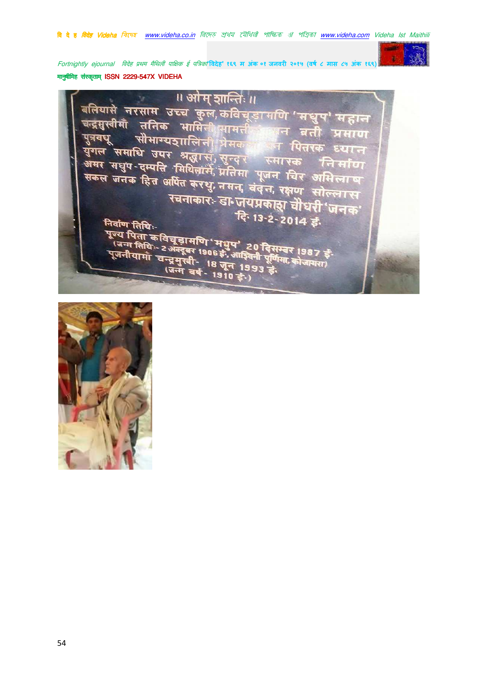Fortnightly ejournal िवद ेह थम म ैिथली पाि'क ई पि\*का**'वदेह' १६९ म अंक ०१ जनवर २०१५ (वष ८ मास ८५ अंक १६९)** मानुषीमिह संस्कृताम् ISSN 2229-547X VIDEHA



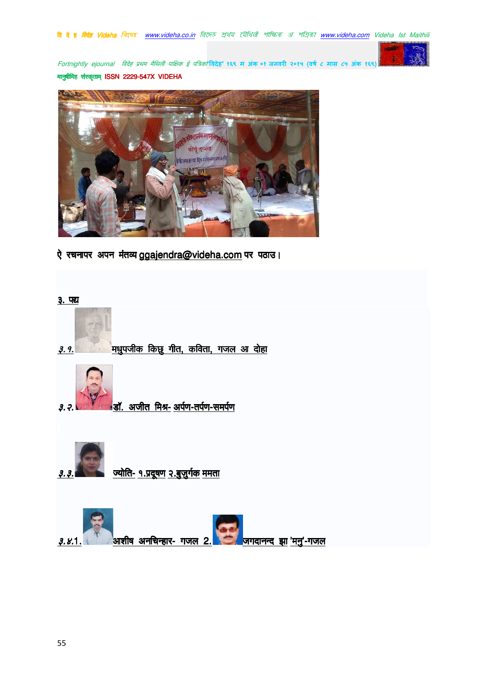Fortnightly ejournal िवद ेह थम म ैिथली पाि'क ई पि\*का**'वदेह' १६९ म अंक ०१ जनवर २०१५ (वष ८ मास ८५ अंक १६९)** मानुषीमिह संस्कृताम् ISSN 2229-547X VIDEHA



ऐ रचनापर अपन मंतव्य ggajendra@videha.com पर पठाउ।





<u>३.१. मधुपजीक किछु गीत, कविता, गजल आ दोहा</u>



३.२. <u>४ % ब्रॉ. अजीत मिश्र-</u> अर्पण-तर्पण-समर्पण



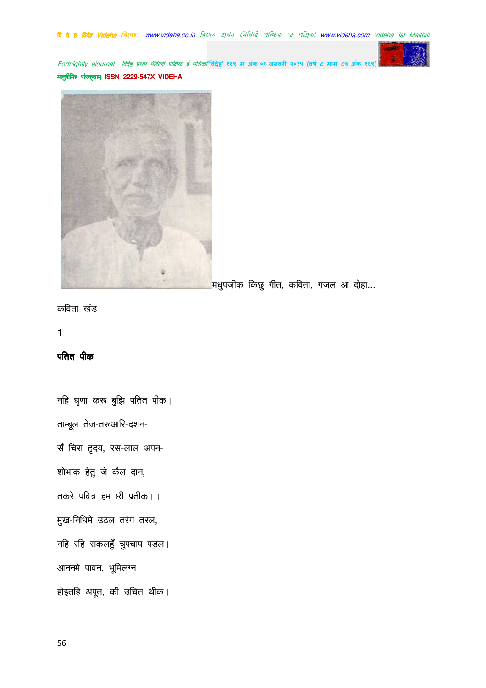Fortnightly ejournal िवद ेह थम म ैिथली पाि'क ई पि\*का**'वदेह' १६९ म अंक ०१ जनवर २०१५ (वष ८ मास ८५ अंक १६९)** मानुषीमिह संस्कृताम् ISSN 2229-547X VIDEHA



.<br>मधुपजीक किछु गीत, कविता, गजल आ दोहा...

किवता खंड

#### 1

# पितत पीक पीक

नहि घृणा करू बुझि पतित पीक। ताम्बूल तेज-तरूआरि-दशन-सँ िचरा हृदय, रस-लाल अपन-शोभाक हेतु जे कैल दान, तकरे पवित्र हम छी प्रतीक।। मुख-िनिधमे उठल तरंग तरल, निह रिह सकलहु ँ चुपचाप पड़ल। आननमे पावन, भूमिलग्न होइतिह अपूत, की उिचत थीक।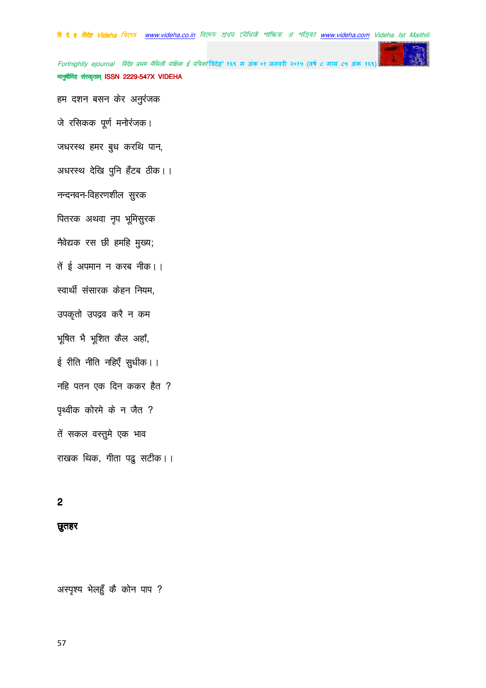Fortnightly ejournal िवद ेह थम म ैिथली पाि'क ई पि\*का**'वदेह' १६९ म अंक ०१ जनवर २०१५ (वष ८ मास ८५ अंक १६९)** मानुषीमिह संस्कृताम् ISSN 2229-547X VIDEHA

हम दशन बसन केर अनुरंजक

जे रसिकक पूर्ण मनोरंजक।

जधरस्थ हमर बुध करथि पान,

अधरस्थ देखि पुनि हँटब ठीक।।

नन्दनवन-विहरणशील सुरक

पितरक अथवा नृप भूमिसुरक

नैवेद्यक रस छी हमहि मुख्य;

तें ई अपमान न करब नीक।।

0वाथÿ संसारक केहन िनयम,

उपकृतो उपद्रव करै न कम

भूषित भै भूशित कैल अहाँ,

ई रीति नीति नहिएँ सुधीक।।

निह पतन एक िदन ककर हैत ?

पृóवीक कोरमे के न जैत ?

तें सकल वस्तूमे एक भाव

राखक िथक, गीता पढु सटीक।।

2

#### छुतहर

अस्पृश्य भेलहुँ कै कोन पाप ?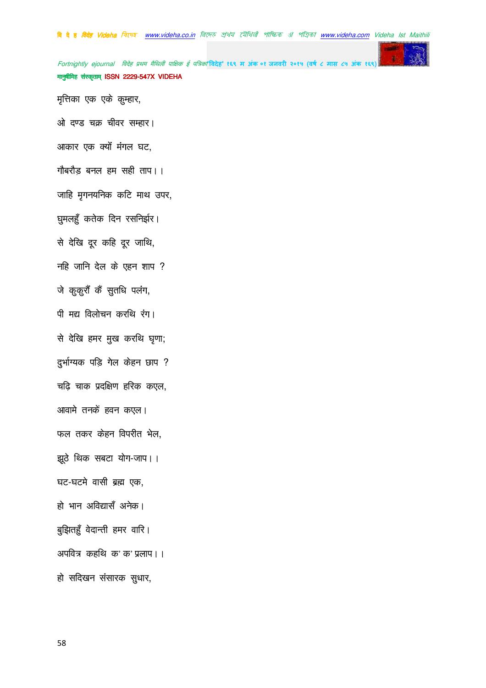Fortnightly ejournal िवद ेह थम म ैिथली पाि'क ई पि\*का**'वदेह' १६९ म अंक ०१ जनवर २०१५ (वष ८ मास ८५ अंक १६९)** मानुषीमिह संस्कृताम् ISSN 2229-547X VIDEHA

मृत्तिका एक एके कुम्हार,

ओ दण्ड चक्र चीवर सम्हार।

आकार एक क्यों मंगल घट,

गौबरौड़ बनल हम सही ताप।।

जाहि मृगनयनिक कटि माथ उपर,

घुमलहुँ कतेक दिन रसनिर्झर।

से देखि दूर कहि दूर जाथि,

निह जािन देल के एहन शाप ?

जे कूकूरौं कें सुतधि पलंग,

पी मद्य विलोचन करथि रंग।

से देखि हमर मुख करथि घृणा;

दुर्भाग्यक पड़ि गेल केहन छाप ?

चढ़ि चाक प्रदक्षिण हरिक कएल,

आवामे तनकें हवन कएल।

फल तकर केहन िवपरीत भेल,

झूठ े िथक सबटा योग-जाप।।

घट-घटमे वासी ब्रह्म एक.

हो भान अविद्यासँ अनेक।

बुझितहुँ वेदान्ती हमर वारि।

अपवित्र कहथि क' क' प्रलाप।।

हो सिदखन संसारक सुधार,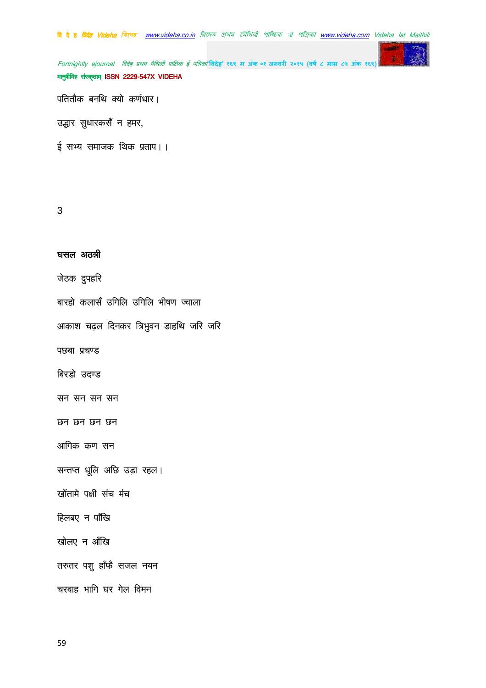Fortnightly ejournal िवद ेह थम म ैिथली पाि'क ई पि\*का**'वदेह' १६९ म अंक ०१ जनवर २०१५ (वष ८ मास ८५ अंक १६९)** मानुषीमिह संस्कृताम् ISSN 2229-547X VIDEHA

पतितौक बनथि क्यो कर्णधार।

उद्घार सुधारकसँ न हमर,

ई सभ्य समाजक थिक प्रताप।।

3

घसल अठन्नी जेठक दुपहिर बारहो कलासँ उगिलि उगिलि भीषण ज्वाला आकाश चढ़ल दिनकर त्रिभुवन डाहथि जरि जरि पछबा प्रचण्ड बिरड़ो उदण्ड सन सन सन सन छन छन छन छन आिगक कण सन सन्तप्त धूलि अछि उड़ा रहल। खोतामे पक्षी संच मंच हिलबए न पाँखि खोलए न आँिख तरुतर पशु हाँफै सजल नयन चरबाह भािग घर गेल िवमन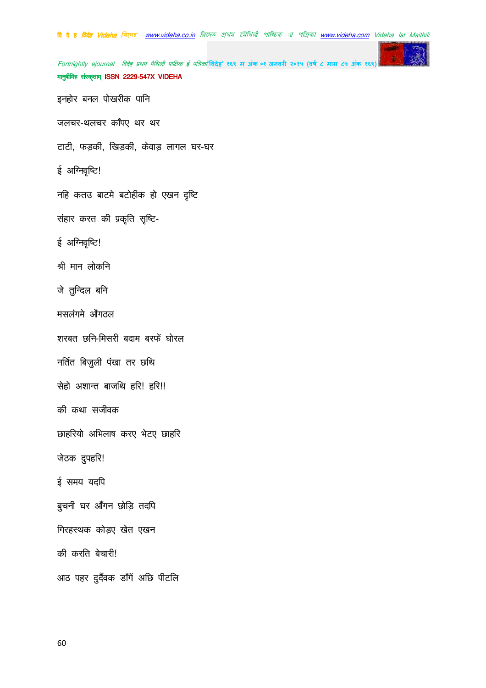**वि दे ह** *विदेह Videha दिफ्ट <u>www.videha.co.in</u> तिरमरु शेथ***य यৌथिती পাক্ষিক \$1 পত্রিকা <u>www.videha.com</u> Videha Ist Maithili** Fortnightly ejournal िवद ेह थम म ैिथली पाि'क ई पि\*का**'वदेह' १६९ म अंक ०१ जनवर २०१५ (वष ८ मास ८५ अंक १६९)** मानुषीमिह संस्कृताम् ISSN 2229-547X VIDEHA इनहोर बनल पोखरीक पािन जलचर-थलचर कÜपए थर थर टाटी, फड़की, िखड़की, केवाड़ लागल घर-घर ई अग्निवृष्टि! नहि कतउ बाटमे बटोहीक हो एखन दृष्टि संहार करत की प्रकृति सृष्टि-ई अग्निवृष्टि! Vी मान लोकिन जे तुन्दिल बनि मसलंगमे ओंगठल शरबत छनि-मिसरी बदाम बरफें घोरल नर्तित बिजुली पंखा तर छथि सेहो अशान्त बाजथि हरि! हरि!! की कथा सजीवक छाहिरयो अिभलाष करए भेटए छाहिर जेठक दुपहिर! ई समय यदिप बुचनी घर आँगन छोिड़ तदिप गिरहस्थक कोड़ए खेत एखन की करित बेचारी! आठ पहर दुर्दैवक डाँगें अछि पीटलि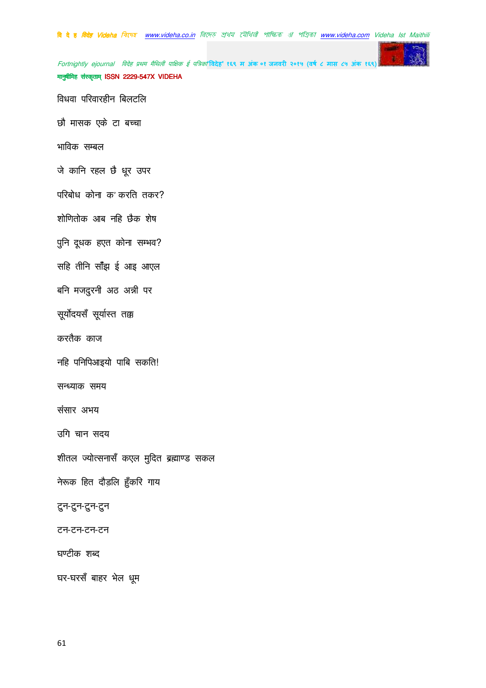Fortnightly ejournal िवद ेह थम म ैिथली पाि'क ई पि\*का**'वदेह' १६९ म अंक ०१ जनवर २०१५ (वष ८ मास ८५ अंक १६९)** मानुषीमिह संस्कृताम् ISSN 2229-547X VIDEHA

िवधवा पिरवारहीन िबलटिल

छौ मासक एके टा बच्चा

भाविक सम्बल

जे कानि रहल छै धूर उपर

पिरबोध कोना क' करित तकर?

शोणितोक आब नहि छैक शेष

पुनि दूधक हएत कोना सम्भव?

सहि तीनि साँँझ ई आइ आएल

बनि मजदुरनी अठ अन्नी पर

सूर्योदयसँ सूर्यास्त तक्क

करतैक काज

निह पिनिपआइयो पािब सकित!

सन्ध्याक समय

संसार अभय

उगि चान सदय

शीतल ज्योत्सनासँ कएल मुदित ब्रह्माण्ड सकल

नेरूक हित दौड़लि हुँकरि गाय

टुन-टुन-टुन-टुन

टन-टन-टन-टन

घण्टीक शब्द

घर-घरसँ बाहर भेल धूम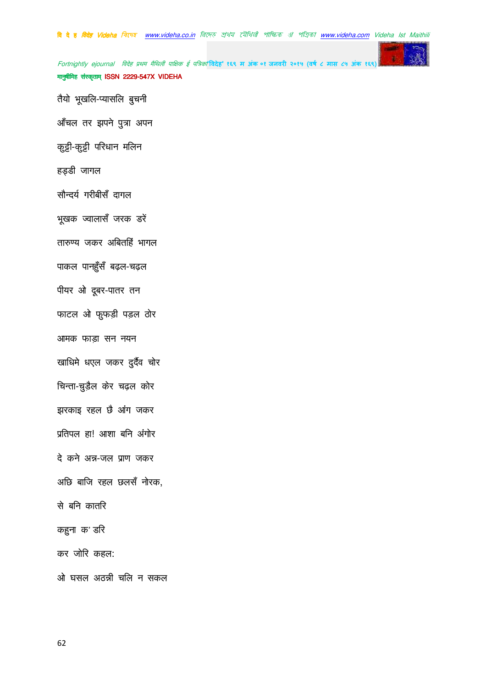Fortnightly ejournal िवद ेह थम म ैिथली पाि'क ई पि\*का**'वदेह' १६९ म अंक ०१ जनवर २०१५ (वष ८ मास ८५ अंक १६९)** मानुषीमिह संस्कृताम् ISSN 2229-547X VIDEHA

तैयो भूखलि-प्यासलि बुचनी

आँचल तर झपने पुत्रा अपन

कुæी-कुæी पिरधान मिलन

हøडी जागल

सौन्दर्य गरीबीसँ दागल

भूखक ज्वालासँ जरक डरें

तारुण्य जकर अबितर्हि भागल

पाकल पानहुँसँ बढ़ल-चढ़ल

पीयर ओ दूबर-पातर तन

फाटल ओ फुफड़ी पड़ल ठोर

आमक फाड़ा सन नयन

खाधिमे धएल जकर दुर्दैव चोर

चिन्ता-चुड़ैल केर चढ़ल कोर

झरकाइ रहल छ ै आंग जकर

ितपल हा! आशा बिन अंगोर

दे कने अन्न-जल प्राण जकर

अिछ बािज रहल छलसँ नोरक,

से बिन कातिर

कहुना क' डरि

कर जोिर कहल:

ओ घसल अठन्नी चलि न सकल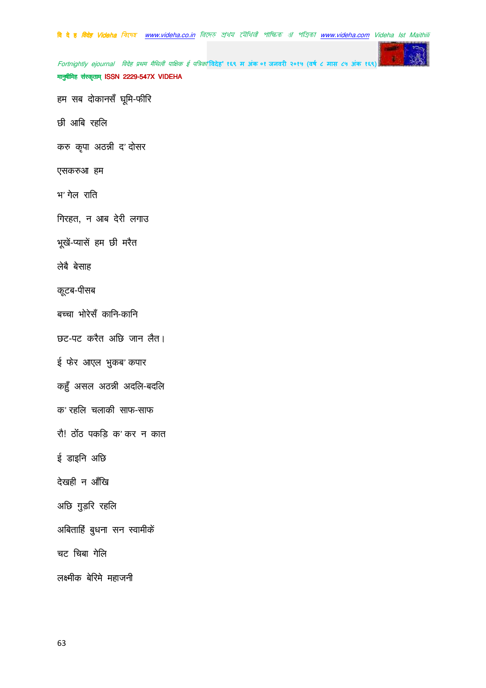Fortnightly ejournal िवद ेह थम म ैिथली पाि'क ई पि\*का**'वदेह' १६९ म अंक ०१ जनवर २०१५ (वष ८ मास ८५ अंक १६९)** मानुषीमिह संस्कृताम् ISSN 2229-547X VIDEHA

हम सब दोकानसँ घूमि-फीरि

छी आिब रहिल

करु कृपा अठन्नी द' दोसर

एसकरुआ हम

भ' गेल राित

िगरहत, न आब देरी लगाउ

भूखें-प्यासें हम छी मरैत

लेबै बेसाह

कूटब-पीसब

बच्चा भोरेसँ कानि-कानि

छट-पट करैत अछि जान लैत।

ई फेर आएल भुकब' कपार

कहुँ असल अठन्नी अदलि-बदलि

क' रहिल चलाकी साफ-साफ

रौ! ठोंठ पकड़ि क' कर न कात

ई डाइिन अिछ

देखही न आँिख

अिछ गुड़िर रहिल

अबिताहिं बुधना सन स्वामीकें

चट चिबा गेलि

ल¿मीक बेिरमे महाजनी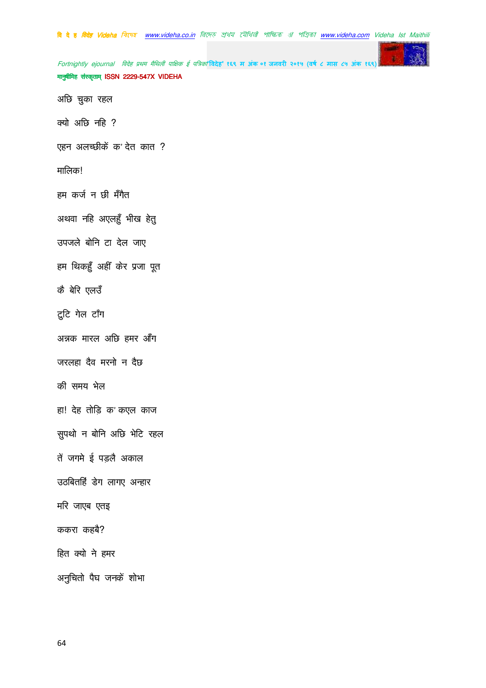Fortnightly ejournal िवद ेह थम म ैिथली पाि'क ई पि\*का**'वदेह' १६९ म अंक ०१ जनवर २०१५ (वष ८ मास ८५ अंक १६९)** मानुषीमिह संस्कृताम् ISSN 2229-547X VIDEHA

अछि चुका रहल

क्यो अछि नहि ?

एहन अलच्छीकें क' देत कात ?

मालिक!

हम कर्ज न छी मँगैत

अथवा निह अएलहु ँ भीख हेतु

उपजल े बोिन टा देल जाए

हम थिकहूँ अहीं केर प्रजा पूत

कै बेिर एलउ ँ

टुटि गेल टाँग

अन्नक मारल अछि हमर आँग

जरलहा दैव मरनो न दैछ

की समय भेल

हा! देह तोिड़ क' कएल काज

सुपथो न बोनि अछि भेटि रहल

तें जगमे ई पड़लै अकाल

उठबितर्हि डेग लागए अन्हार

मिर जाएब एतइ

ककरा कहबै?

िहत pयो ने हमर

अनुचितो पैघ जनकें शोभा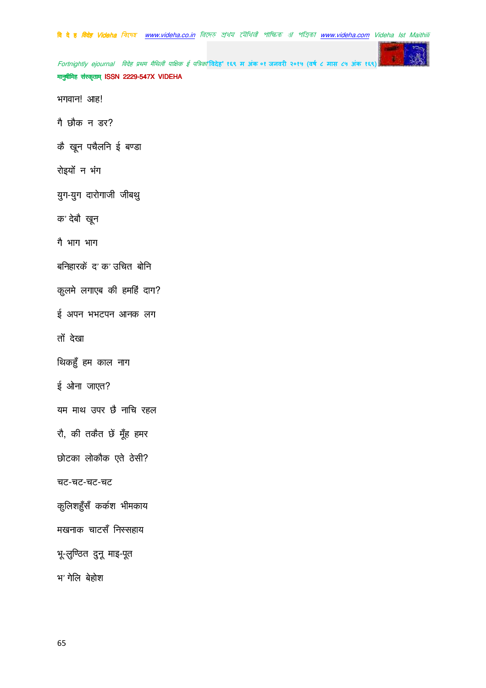Fortnightly ejournal िवद ेह थम म ैिथली पाि'क ई पि\*का**'वदेह' १६९ म अंक ०१ जनवर २०१५ (वष ८ मास ८५ अंक १६९)** मानुषीमिह संस्कृताम् ISSN 2229-547X VIDEHA

भगवान! आह!

गै छौक न डर?

कै खुन पचैलनि ई बण्डा

रोइयों न भंग

युग-युग दारोगाजी जीबथु

क' देबौ खून

गै भाग भाग

बनिहारकें द' क' उचित बोनि

कुलमे लगाएब की हमिहं दाग?

ई अपन भभटपन आनक लग

तों देखा

िथकहु ँ हम काल नाग

ई ओना जाएत?

यम माथ उपर छ ै नािच रहल

रौ, की तकैत छें मूँह हमर

छोटका लोकौक एते ठेसी?

चट-चट-चट-चट

कुलिशहुँसँ कर्कश भीमकाय

मखनाक चाटसँ निस्सहाय

भू-लुिØठत दुनू माइ-पूत

भ' गेिल बेहोश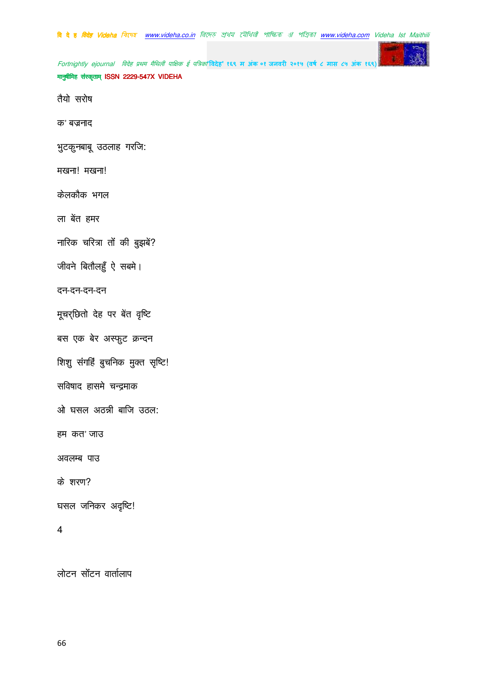Fortnightly ejournal िवद ेह थम म ैिथली पाि'क ई पि\*का**'वदेह' १६९ म अंक ०१ जनवर २०१५ (वष ८ मास ८५ अंक १६९)** मानुषीमिह संस्कृताम् ISSN 2229-547X VIDEHA

त ैयो सरोष

क' बज्रनाद

भुटकुनबाबू उठलाह गरिज:

मखना! मखना!

केलकौक भगल

ला बेंत हमर

नारिक चरित्रा तों की बुझबें?

जीवने बितौलहुँ ऐ सबमे।

दन-दन-दन-दन

मूचर्छितो देह पर बेंत वृष्टि

बस एक बेर अस्फुट क्रन्दन

शिशु संगर्हि बुचनिक मुक्त सृष्टि!

सविषाद हासमे चन्द्रमाक

ओ घसल अठन्नी बाजि उठल:

हम कत' जाउ

अवल¶ब पाउ

के शरण?

घसल जनिकर अदृष्टि!

#### 4

लोटन सोंटन वार्तालाप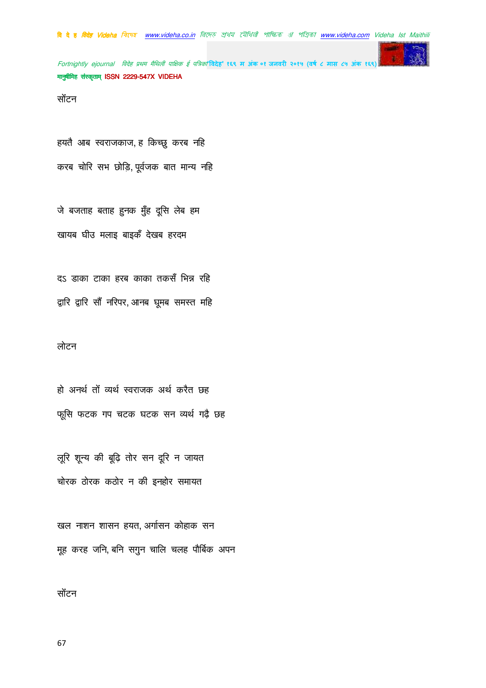**वि दे ह** *विदेह Videha दिफ्ट <u>www.videha.co.in</u> तिरमरु शेथ***य यৌथिती পাক্ষিক \$1 পত্রিকা <u>www.videha.com</u> Videha Ist Maithili** Fortnightly ejournal िवद ेह थम म ैिथली पाि'क ई पि\*का**'वदेह' १६९ म अंक ०१ जनवर २०१५ (वष ८ मास ८५ अंक १६९)**

मानुषीमिह संस्कृताम् ISSN 2229-547X VIDEHA

#### सोंटन

हयतै आब स्वराजकाज, ह किच्छु करब नहि करब चोरि सभ छोड़ि, पूर्वजक बात मान्य नहि

जे बजताह बताह हुनक मुँह दुसि लेब हम खायब घीउ मलाइ बाइकँ देखब हरदम

दऽ डाका टाका हरब काका तकसँ भिन्न रहि द्वारि द्वारि सौं नरिपर, आनब घूमब समस्त महि

## लोटन

हो अनर्थ तों व्यर्थ स्वराजक अर्थ करैत छह फूसि फटक गप चटक घटक सन व्यर्थ गढ़ै छह

लूरि शून्य की बूढ़ि तोर सन दूरि न जायत चोरक ठोरक कठोर न की इनहोर समायत

खल नाशन शासन हयत, अर्गासन कोहाक सन मूह करह जनि, बनि सगुन चालि चलह पौर्बिक अपन

## सोंटन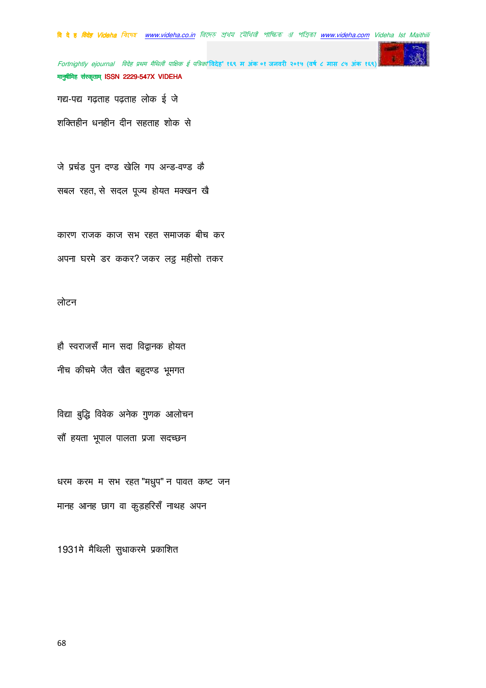Fortnightly ejournal िवद ेह थम म ैिथली पाि'क ई पि\*का**'वदेह' १६९ म अंक ०१ जनवर २०१५ (वष ८ मास ८५ अंक १६९)** मानुषीमिह संस्कृताम् ISSN 2229-547X VIDEHA

गद्य-पद्य गढ़ताह पढ़ताह लोक ई जे

शिpतहीन धनहीन दीन सहताह शोक से

जे प्रचंड पुन दण्ड खेलि गप अन्ड-वण्ड कै सबल रहत, से सदल पूज्य होयत मक्खन खै

कारण राजक काज सभ रहत समाजक बीच कर अपना घरमे डर ककर? जकर लट्ठ महीसो तकर

लोटन

हौ स्वराजसँ मान सदा विद्वानक होयत नीच कीचमे जैत खैत बहुदण्ड भूमगत

विद्या बुद्धि विवेक अनेक गुणक आलोचन सौं हयता भूपाल पालता प्रजा सदच्छन

धरम करम म सभ रहत "मधुप" न पावत कष्ट जन मानह आनह छाग वा कुड़हिरसँ नाथह अपन

1931मे मैिथली सुधाकरमे कािशत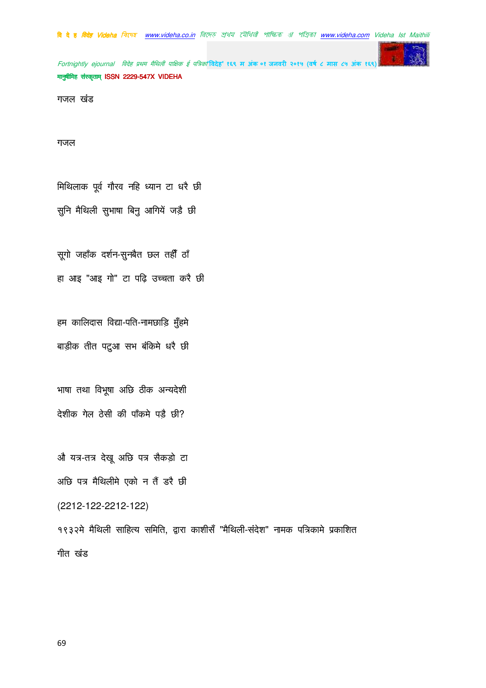Fortnightly ejournal िवद ेह थम म ैिथली पाि'क ई पि\*का**'वदेह' १६९ म अंक ०१ जनवर २०१५ (वष ८ मास ८५ अंक १६९)** मानुषीमिह संस्कृताम् ISSN 2229-547X VIDEHA

गजल खंड

#### गजल

मिथिलाक पूर्व गौरव नहि ध्यान टा धरै छी सुनि मैथिली सुभाषा बिनु आगियें जड़ै छी

सूगो जहाँक दर्शन-सुनबैत छल तहीँ ठाँ

हा आइ "आइ गो" टा पढ़ि उच्चता करै छी

हम कालिदास विद्या-पति-नामछाड़ि मुँहमे बाड़ीक तीत पटुआ सभ बंकिमे धरै छी

भाषा तथा विभूषा अछि ठीक अन्यदेशी देशीक गेल ठेसी की पाँकमे पड़ै छी?

औ यत्र-तत्र देखू अछि पत्र सैकड़ो टा

अछि पत्र मैथिलीमे एको न तैं डरै छी

(2212-122-2212-122)

१९३२मे मैथिली साहित्य समिति, द्वारा काशीसँ "मैथिली-संदेश" नामक पत्रिकामे प्रकाशित गीत खंड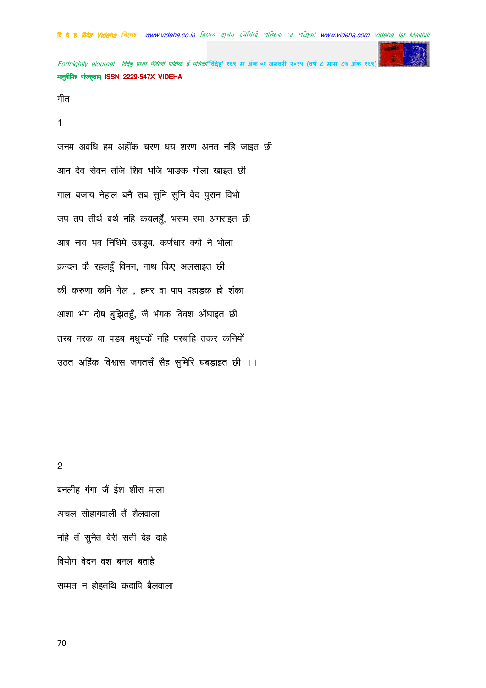**वि दे ह** *विदेह Videha दिफ्ट <u>www.videha.co.in</u> तिरमरु शेथ***य यৌथिती পাক্ষিক \$1 পত্রিকা <u>www.videha.com</u> Videha Ist Maithili** Fortnightly ejournal िवद ेह थम म ैिथली पाि'क ई पि\*का**'वदेह' १६९ म अंक ०१ जनवर २०१५ (वष ८ मास ८५ अंक १६९)** मानुषीमिह संस्कृताम् ISSN 2229-547X VIDEHA

## गीत

1

जनम अवधि हम अहींक चरण धय शरण अनत नहि जाइत छी आन देव सेवन तिज िशव भिज भाङक गोला खाइत छी गाल बजाय नेहाल बनै सब सुनि सुनि वेद पुरान विभो जप तप तीर्थ बर्थ नहि कयलहुँ, भसम रमा अगराइत छी आब नाव भव निधिमे उबड़ूब, कर्णधार क्यो नै भोला क्रन्दन कै रहलहुँ विमन, नाथ किए अलसाइत छी की करुणा कमि गेल , हमर वा पाप पहाड़क हो शंका आशा भंग दोष बुझितहुँ, जै भंगक विवश ओंघाइत छी तरब नरक वा पड़ब मधुपकें नहि परबाहि तकर कनियों उठत अर्हिक विश्वास जगतसँ सैह सुमिरि घबड़ाइत छी ।।

2

बनलीह गंगा जैं ईश शीस माला अचल सोहागवाली तैं शैलवाला नहि तँ सुनैत देरी सती देह दाहे िवयोग वेदन वश बनल बताहे सम्मत न होइतथि कदापि बैलवाला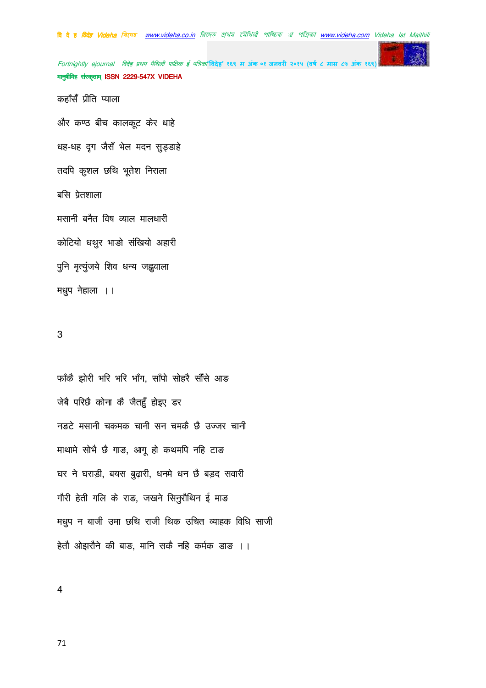Fortnightly ejournal िवद ेह थम म ैिथली पाि'क ई पि\*का**'वदेह' १६९ म अंक ०१ जनवर २०१५ (वष ८ मास ८५ अंक १६९)** मानुषीमिह संस्कृताम् ISSN 2229-547X VIDEHA

कहाँसँ प्रीति प्याला

और कण्ठ बीच कालकूट केर धाहे

धह-धह दुग जैसँ भेल मदन सुड़डाहे

तदपि कुशल छथि भूतेश निराला

बिस ेतशाला

मसानी बनैत िवष oयाल मालधारी

कोटियो धथुर भाड़ो संखियो अहारी

पुनि मृत्युंजये शिव धन्य जह्वुवाला

मधुप नेहाला ।।

3

फाँकै झोरी भरि भरि भाँग, साँपो सोहरै सौंसे आङ जेबै पिरछ ै कोना कै जैतहु ँ होइए डर नङटे मसानी चकमक चानी सन चमकै छै उzजर चानी माथामे सोभै छै गाङ, आगू हो कथमिप निह टाङ घर ने घराड़ी, बयस बुढ़ारी, धनमे धन छै बड़द सवारी गौरी हेती गिल के राङ, जखने िसनुरौिथन ई माङ मधुप न बाजी उमा छथि राजी थिक उचित व्याहक विधि साजी हेतौ ओझरौने की बाङ, मानि सकै नहि कर्मक डाङ ।।

4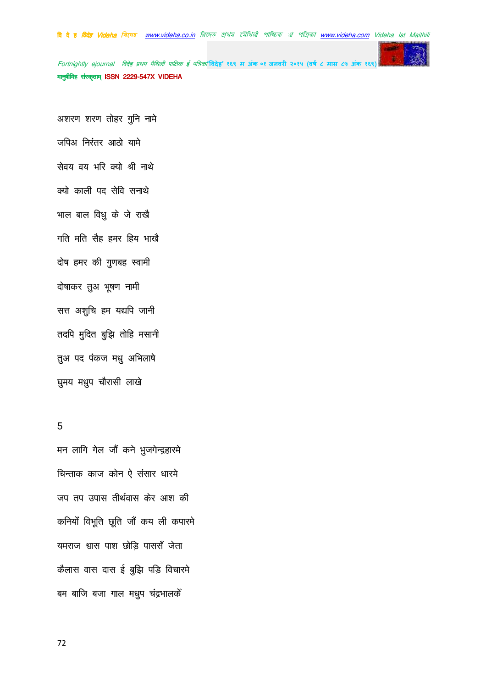Fortnightly ejournal िवद ेह थम म ैिथली पाि'क ई पि\*का**'वदेह' १६९ म अंक ०१ जनवर २०१५ (वष ८ मास ८५ अंक १६९)** मानुषीमिह संस्कृताम् ISSN 2229-547X VIDEHA

अशरण शरण तोहर गुिन नामे जिपअ िनरंतर आठो यामे सेवय वय भरि क्यो श्री नाथे pयो काली पद सेिव सनाथे भाल बाल विधु के जे राखै गित मित सैह हमर िहय भाखै दोष हमर की गुणबह 0वामी दोषाकर तुअ भूषण नामी सत्त अशुचि हम यद्यपि जानी तदपि मुदित बुझि तोहि मसानी तुअ पद पंकज मधु अभिलाषे घुमय मधुप चौरासी लाखे

## 5

मन लागि गेल जौं कने भुजगेन्द्रहारमे चिन्ताक काज कोन ऐ संसार धारमे जप तप उपास तीर्थवास केर आश की कनियों विभूति छूति जौं कय ली कपारमे यमराज श्वास पाश छोड़ि पाससँ जेता कैलास वास दास ई बुिझ पिड़ िवचारमे बम बाजि बजा गाल मधुप चंद्रभालकेँ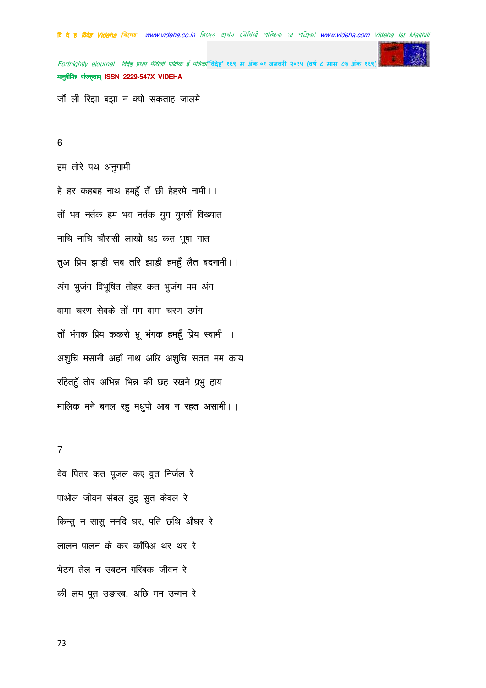**वि दे ह** *विदेह Videha दिफ्ट <u>www.videha.co.in</u> तिरमरु शेथ***य यৌथिती পাক্ষিক \$1 পত্রিকা <u>www.videha.com</u> Videha Ist Maithili** Fortnightly ejournal िवद ेह थम म ैिथली पाि'क ई पि\*का**'वदेह' १६९ म अंक ०१ जनवर २०१५ (वष ८ मास ८५ अंक १६९)**

मानुषीमिह संस्कृताम् ISSN 2229-547X VIDEHA

जॱ ली िरझा बझा न pयो सकताह जालमे

## 6

हम तोरे पथ अनुगामी हे हर कहबह नाथ हमहु ँ तँ छी हेहरमे नामी।। तों भव नर्तक हम भव नर्तक युग युगसँ विख्यात नािच नािच चौरासी लाखो धऽ कत भूषा गात तुअ प्रिय झाड़ी सब तरि झाड़ी हमहुँ लैत बदनामी।। अंग भुजंग विभूषित तोहर कत भुजंग मम अंग वामा चरण सेवके तों मम वामा चरण उमंग तों भंगक प्रिय ककरो भ्रू भंगक हमहूँ प्रिय स्वामी।। अशुचि मसानी अहाँ नाथ अछि अशुचि सतत मम काय रहितहुँ तोर अभिन्न भिन्न की छह रखने प्रभु हाय मालिक मने बनल रहू मधुपो आब न रहत असामी।।

### 7

देव पितर कत पूजल कए वृत निर्जल रे पाओल जीवन संबल दुइ सुत केवल रे किन्तु न सासु ननदि घर, पति छथि औघर रे लालन पालन के कर कÜिपअ थर थर रे भेटय तेल न उबटन गरिबक जीवन रे की लय पूत उङारब, अछि मन उन्मन रे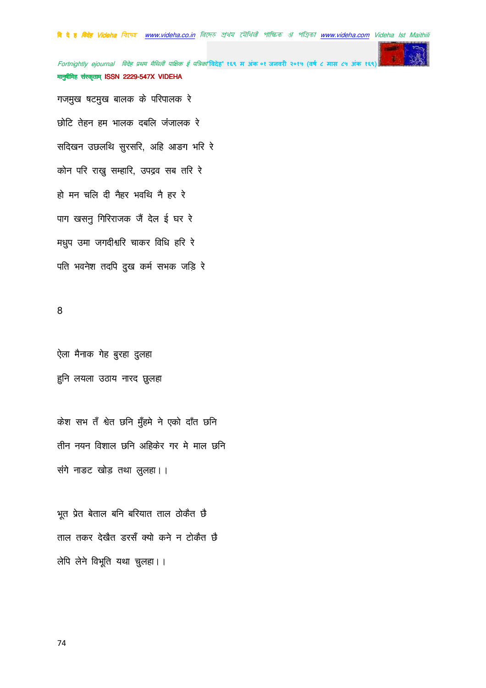Fortnightly ejournal िवद ेह थम म ैिथली पाि'क ई पि\*का**'वदेह' १६९ म अंक ०१ जनवर २०१५ (वष ८ मास ८५ अंक १६९)** मानुषीमिह संस्कृताम् ISSN 2229-547X VIDEHA

गजमुख षटमुख बालक के पिरपालक रे छोिट तेहन हम भालक दबिल जंजालक रे सदिखन उछलथि सुरसरि, अहि आडग भरि रे कोन परि राखु सम्हारि, उपद्रव सब तरि रे हो मन चिल दी नैहर भविथ नै हर रे पाग खसनु िगिरराजक ज' देल ई घर रे मधुप उमा जगदीश्वरि चाकर विधि हरि रे पति भवनेश तदपि दुख कर्म सभक जड़ि रे

8

ऐला मैनाक गेह बुरहा दुलहा हुनि लयला उठाय नारद छुलहा

केश सभ तँ श्वेत छनि मुँहमे ने एको दाँत छनि तीन नयन विशाल छनि अहिकेर गर मे माल छनि संगे नाङट खोड़ तथा लुलहा।।

भूत प्रेत बेताल बनि बरियात ताल ठोकैत छै ताल तकर देखैत डरसँ pयो कने न टोकैत छै लेपि लेने विभूति यथा चुलहा।।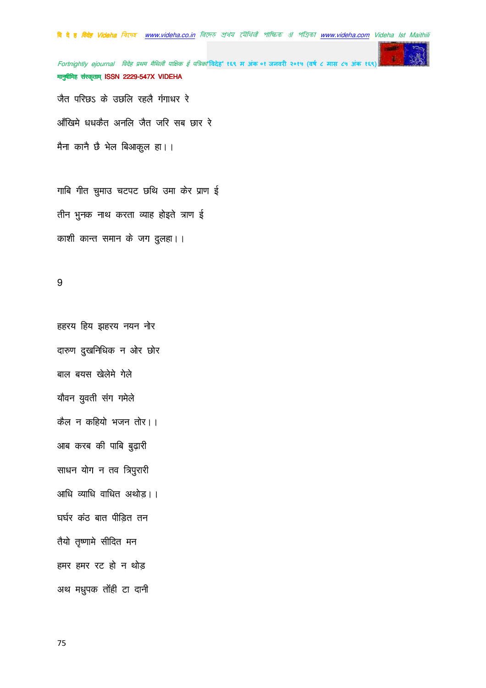**वि दे ह** *विदेह Videha दिफ्ट <u>www.videha.co.in</u> तिरमरु शेथ***य यৌथिती পাক্ষিক \$1 পত্রিকা <u>www.videha.com</u> Videha Ist Maithili** Fortnightly ejournal िवद ेह थम म ैिथली पाि'क ई पि\*का**'वदेह' १६९ म अंक ०१ जनवर २०१५ (वष ८ मास ८५ अंक १६९)** मानुषीमिह संस्कृताम् ISSN 2229-547X VIDEHA

जैत पिरछऽ के उछिल रहलै गंगाधर रे आँिखमे धधकैत अनिल जैत जिर सब छार रे मैना कानै छै भेल िबआकुल हा।।

गािब गीत चुमाउ चटपट छिथ उमा केर ाण ई तीन भुनक नाथ करता व्याह होइते त्राण ई काशी कान्त समान के जग दुलहा।।

9

हहरय िहय झहरय नयन नोर दारुण दुखनिधिक न ओर छोर बाल बयस खेलेमे गेले यौवन युवती संग गमेले कैल न किहयो भजन तोर।। आब करब की पािब बुढ़ारी साधन योग न तव त्रिपुरारी आिध oयािध वािधत अथोड़।। घर्घर कंठ बात पीडित तन तैयो तृष्णामे सीदित मन हमर हमर रट हो न थोड़ अथ मधुपक तोंही टा दानी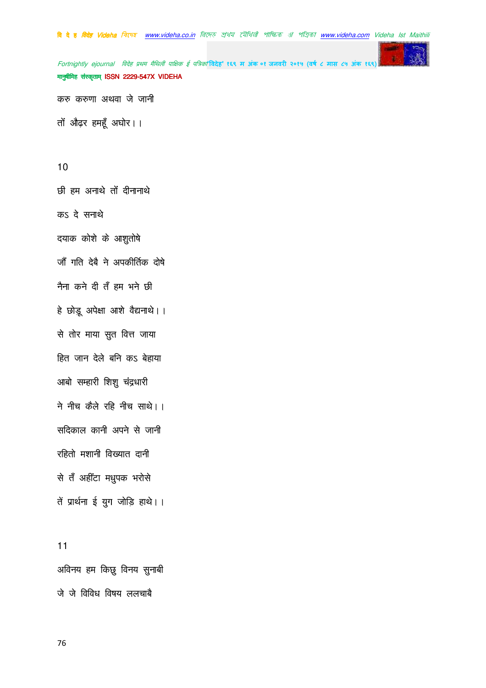Fortnightly ejournal िवद ेह थम म ैिथली पाि'क ई पि\*का**'वदेह' १६९ म अंक ०१ जनवर २०१५ (वष ८ मास ८५ अंक १६९)** मानुषीमिह संस्कृताम् ISSN 2229-547X VIDEHA

करु करुणा अथवा जे जानी

तों औढ़र हमहूँ अघोर।।

10

छी हम अनाथे तों दीनानाथे

कऽ दे सनाथे

दयाक कोशे के आशुतोषे

जों गति देबै ने अपकीर्तिक दोषे

नैना कने दी तँ हम भने छी

हे छोड़ू अपेक्षा आशे वैद्यनाथे।।

से तोर माया सुत वित्त जाया

हित जान देले बनि कऽ बेहाया

आबो सम्हारी शिशु चंद्रधारी

ने नीच कैले रिह नीच साथे।।

सिदकाल कानी अपने से जानी

रिहतो मशानी िव»यात दानी

से तँ अहींटा मधुपक भरोसे

तें प्रार्थना ई युग जोड़ि हाथे।।

### 11

अविनय हम किछू विनय सुनाबी जे जे िविवध िवषय ललचाबै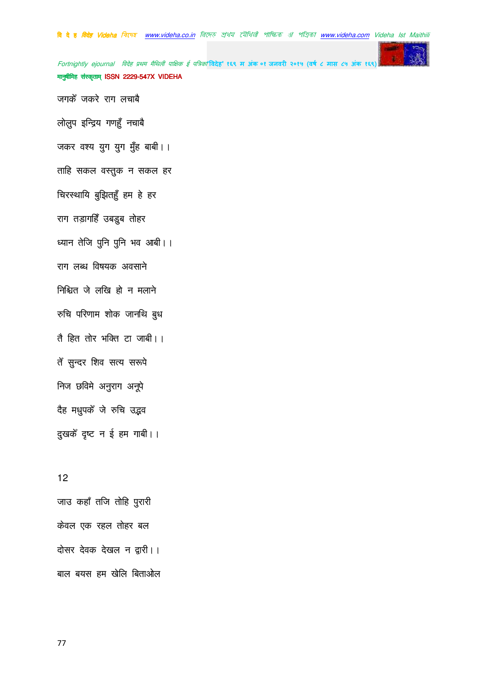Fortnightly ejournal िवद ेह थम म ैिथली पाि'क ई पि\*का**'वदेह' १६९ म अंक ०१ जनवर २०१५ (वष ८ मास ८५ अंक १६९)**

मानुषीमिह संस्कृताम् ISSN 2229-547X VIDEHA

जगकेँ जकरे राग लचाबै

लोलुप इन्द्रिय गणहुँ नचाबै

- जकर वश्य युग युग मुँह बाबी।।
- ताहि सकल वस्तुक न सकल हर

चिरस्थायि बुझितहुँ हम हे हर

राग तड़ागहिँ उबड़ुब तोहर

ºयान त ेिज पुिन पुिन भव आबी।।

राग लब्ध विषयक अवसाने

िनिÅत जे लिख हो न मलाने

vिच पिरणाम शोक जानिथ बुध

तै हित तोर भक्ति टा जाबी।।

तेँ सुन्दर शिव सत्य सरूपे

िनज छिवमे अनुराग अनूपे

दैह मधुपकें जे रुचि उद्भव

दुखकें दृष्ट न ई हम गाबी।।

## 12

जाउ कहाँ तजि तोहि पुरारी केवल एक रहल तोहर बल दोसर देवक देखल न द्वारी।। बाल बयस हम खेिल िबताओल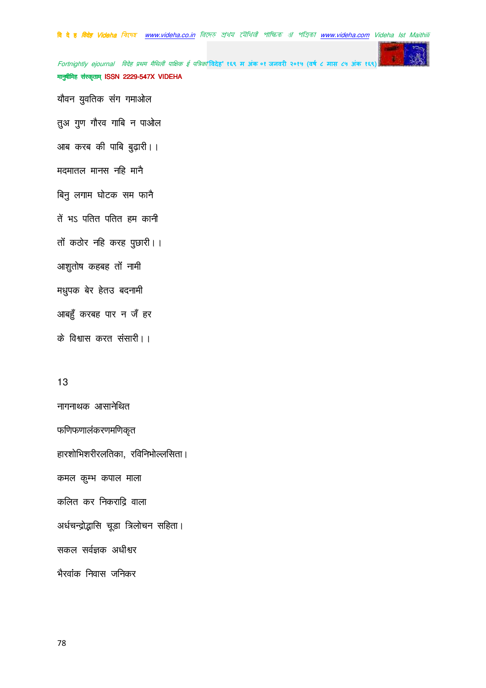Fortnightly ejournal िवद ेह थम म ैिथली पाि'क ई पि\*का**'वदेह' १६९ म अंक ०१ जनवर २०१५ (वष ८ मास ८५ अंक १६९)** मानुषीमिह संस्कृताम् ISSN 2229-547X VIDEHA

यौवन युवितक संग गमाओल

तुअ गुण गौरव गाबि न पाओल

आब करब की पािब बुढ़ारी।।

# मदमातल मानस निह मानै

िबनु लगाम घोटक सम फानै

तें भऽ पतित पतित हम कानी

तों कठोर नहि करह पुछारी।।

आशुतोष कहबह तों नामी

मधुपक बेर हेतउ बदनामी

आबहुँ करबह पार न जँ हर

के विश्वास करत संसारी।।

## 13

नागनाथक आसानेिथत फिणफणालंकरणमिणकृत हारशोभिशरीरलतिका, रविनिभोल्लसिता। कमल कूम्भ कपाल माला कलित कर निकराद्रि वाला अर्धचन्द्रोद्भासि चूड़ा त्रिलोचन सहिता। सकल सर्वज्ञक अधीश्वर भैरवjक िनवास जिनकर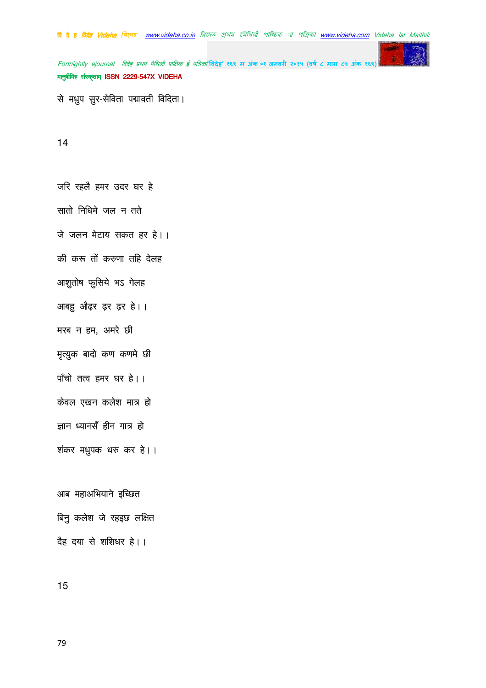**वि दे ह** *विदेह Videha दिफ्ट <u>www.videha.co.in</u> तिरमरु शेथ***य यৌथिती পাক্ষিক \$1 পত্রিকা <u>www.videha.com</u> Videha Ist Maithili** Fortnightly ejournal िवद ेह थम म ैिथली पाि'क ई पि\*का**'वदेह' १६९ म अंक ०१ जनवर २०१५ (वष ८ मास ८५ अंक १६९)** मानुषीमिह संस्कृताम् ISSN 2229-547X VIDEHA

से मधुप सुर-सेविता पद्मावती विदिता।

14

जिर रहलै हमर उदर घर हे

सातो िनिधमे जल न तते

जे जलन मेटाय सकत हर हे।।

की करू तों करुणा तहि देलह

आशुतोष फुिसये भऽ गेलह

आबहु औढ़र ढ़र ढ़र हे।।

मरब न हम, अमरे छी

मृgयुक बादो कण कणमे छी

पाँचो तत्व हमर घर हे।।

केवल एखन कलेश मात्र हो

ज्ञान ध्यानसँ हीन गात्र ह<u>ो</u>

शंकर मधुपक धरु कर हे।।

आब महाअभियाने इच्छित बिनु कलेश जे रहइछ लक्षित दैह दया से शिशधर हे।।

15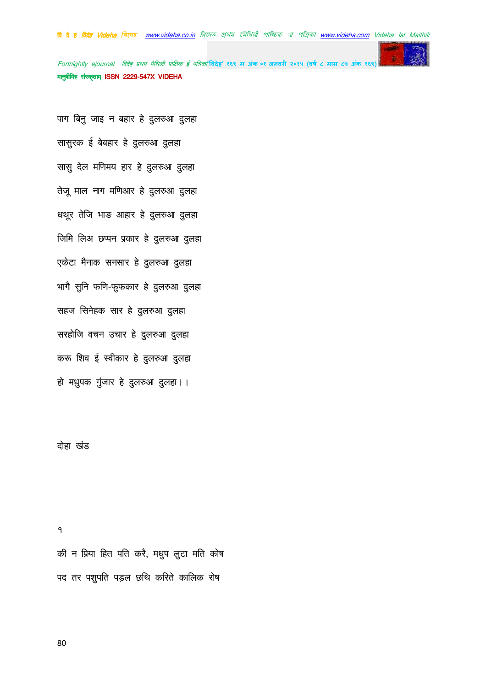की न प्रिया हित पति करै, मधुप लूटा मति कोष पद तर पशुपित पड़ल छिथ किरते कािलक रोष

दोहा खंड

पाग बिनु जाइ न बहार हे दुलरुआ दुलहा सासुरक ई बेबहार हे दुलरुआ दुलहा सासु देल मणिमय हार हे दुलरुआ दुलहा तेजू माल नाग मणिआर हे दुलरुआ दुलहा धथूर तेजि भाङ आहार हे दुलरुआ दुलहा जिमि लिअ छप्पन प्रकार हे दुलरुआ दुलहा एकेटा मैनाक सनसार हे दुलरुआ दुलहा भागै सुनि फणि-फुफकार हे दुलरुआ दुलहा सहज सिनेहक सार हे दुलरुआ दुलहा सरहोजि वचन उचार हे दुलरुआ दुलहा करू शिव ई स्वीकार हे दुलरुआ दुलहा हो मधुपक गुंजार हे दुलरुआ दुलहा।।

### मानुषीमिह संस्कृताम् ISSN 2229-547X VIDEHA

Fortnightly ejournal िवद ेह थम म ैिथली पाि'क ई पि\*का**'वदेह' १६९ म अंक ०१ जनवर २०१५ (वष ८ मास ८५ अंक १६९)**

**वि दे ह** *विदेह Videha दिफ्ट <u>www.videha.co.in</u> तिरमरु शेथ***य यৌथिती পাক্ষিক \$1 পত্রিকা <u>www.videha.com</u> Videha Ist Maithili** 

80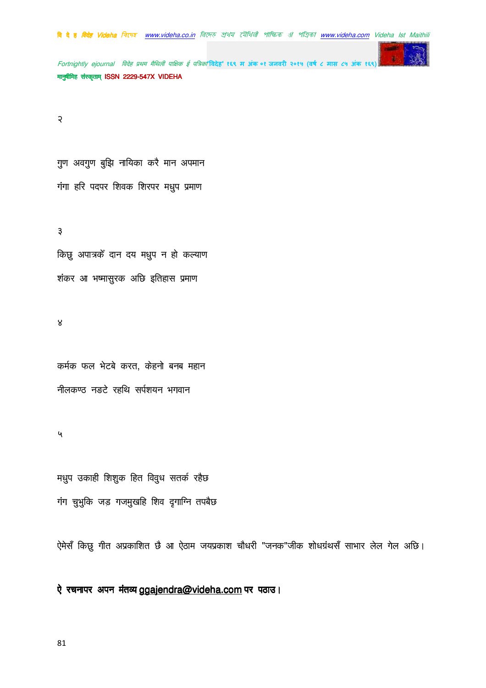Fortnightly ejournal िवद ेह थम म ैिथली पाि'क ई पि\*का**'वदेह' १६९ म अंक ०१ जनवर २०१५ (वष ८ मास ८५ अंक १६९)** मानुषीमिह संस्कृताम् ISSN 2229-547X VIDEHA

२

गुण अवगुण बुिझ नाियका करै मान अपमान गंगा हरि पदपर शिवक शिरपर मधुप प्रमाण

## ३

किछू अपात्रकें दान दय मधुप न हो कल्याण शंकर आ भष्मासुरक अछि इतिहास प्रमाण

#### ४

कर्मक फल भेटबे करत, केहनो बनब महान नीलकण्ठ नङटे रहथि सर्पशयन भगवान

#### ५

मधुप उकाही शिशुक हित विवुध सतर्क रहैछ गंग चुभुकि जड़ गजमुखहि शिव दृगाग्नि तपबैछ

ऐमेसँ किछु गीत अप्रकाशित छै आ ऐठाम जयप्रकाश चौधरी "जनक"जीक शोधग्रंथसँ साभार लेल गेल अछि।

ऐ रचनापर अपन मंतव्य ggajendra@videha.com पर पठाउ।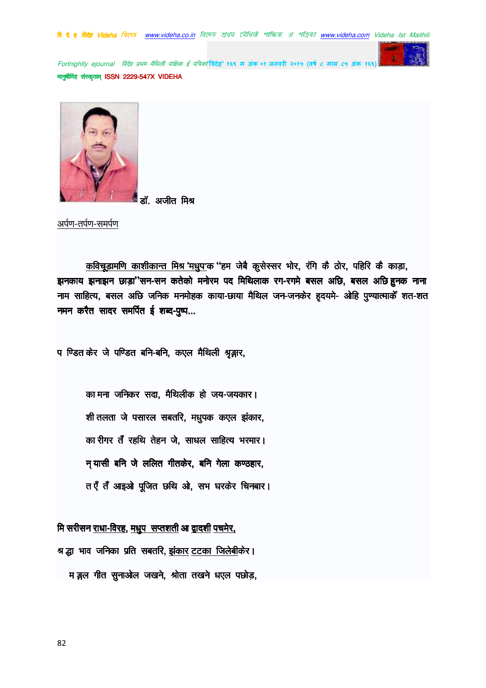Fortnightly ejournal िवद ेह थम म ैिथली पाि'क ई पि\*का**'वदेह' १६९ म अंक ०१ जनवर २०१५ (वष ८ मास ८५ अंक १६९)** मानुषीमिह संस्कृताम् ISSN 2229-547X VIDEHA



डॉ. अजीत मिश्र $\,$ 

अर्पण-तर्पण-समर्पण

<u>कविचूड़ामणि काशीकान्त मिश्र 'मधुप'</u>क ''हम जेबै कुसेस्सर भोर, रंगि कै ठोर, पहिरि कै काड़ा, झनकाय झनाझन छाड़ा"सन-सन कतेको मनोरम पद मिथिलाक रग-रगमे बसल अछि, बसल अछि हुनक नाना नाम साहित्य, बसल अछि जनिक मनमोहक काया-छाया मैथिल जन-जनकेर हृदयमे- ओहि पुण्यात्माकेँ शत-शत नमन करैत सादर समर्पित ई शब्द-पुष्प...

प ण्डित केर जे पण्डित बनि-बनि, कएल मैथिली श्रृङ्गार,

का मना जनिकर सदा, मैथिलीक हो जय-जयकार। शी तलता जे पसारल सबतरि, मधुपक कएल झंकार, का रीगर तैँ रहथि तेहन जे, साधल साहित्य भरमार। न् यासी बनि जे ललित गीतकेर, बनि गेला कण्ठहार, त एँ तँ आइओ पूजित छथि ओ, सभ घरकेर चिनबार।

मि सरीसन राधा-विरह, मधुप सप्तशती आ द्वादशी पचमेर, श्र द्धा भाव जनिका प्रति सबतरि, झंकार टटका जिलेबीकेर। म ङ्गल गीत सुनाओल जखने, श्रोता तखने धएल पछोड़,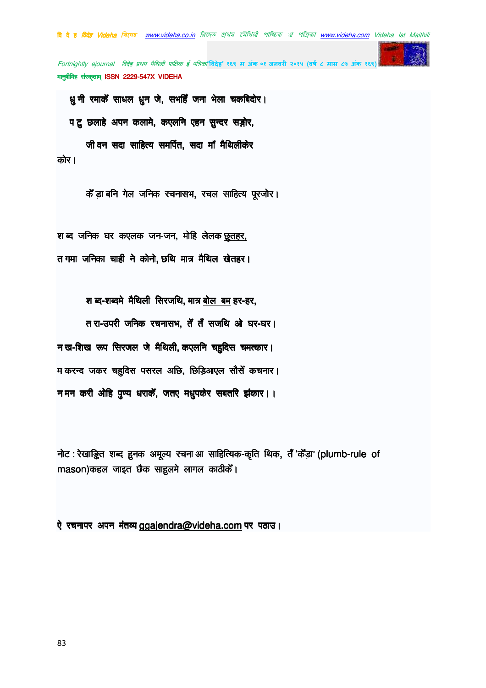Fortnightly ejournal िवद ेह थम म ैिथली पाि'क ई पि\*का**'वदेह' १६९ म अंक ०१ जनवर २०१५ (वष ८ मास ८५ अंक १६९)** मानुषीमिह संस्कृताम् ISSN 2229-547X VIDEHA

<u>धु</u> नी रमाकँ साधल धुन जे, सभहिँ जना भेला चकबिदोर। प टू छलाहे अपन कलामे, कएलनि एहन सुन्दर सङ्गोर,

**जी वन सदा साहित्य समर्पित, सदा माँ मैथिलीकेर** कोर।

क ँडा बनि गेल जनिक रचनासभ, रचल साहित्य पुरजोर।

श ब्द जनिक घर कएलक जन-जन, मोहि लेलक छूतहर,

त गमा जनिका चाही ने कोनो, छथि मात्र मैथिल खेतहर।

श ब्द-शब्दमे मैथिली सिरजथि. मात्र बोल बम हर-हर, त रा-उपरी जनिक रचनासभ, तेँ तँ सजथि ओ घर-घर। न ख-शिख रूप सिरजल जे मैथिली कएलनि चहुदिस चमत्कार। म करन्द जकर चहुदिस पसरल अछि, छिड़िआएल सौसँ कचनार। न मन करी ओहि पुण्य धराकें, जतए मधुपकेर सबतरि झंकार।।

नोट : रेखाङ्कित शब्द हुनक अमूल्य रचना आ साहित्यिक-कृति थिक, तँ 'कँड़ा' (plumb-rule of mason)कहल जाइत छैक साहुलमे लागल काठीक<sup>8</sup>।

ऐ रचनापर अपन मंतव्य ggajendra@videha.com पर पठाउ।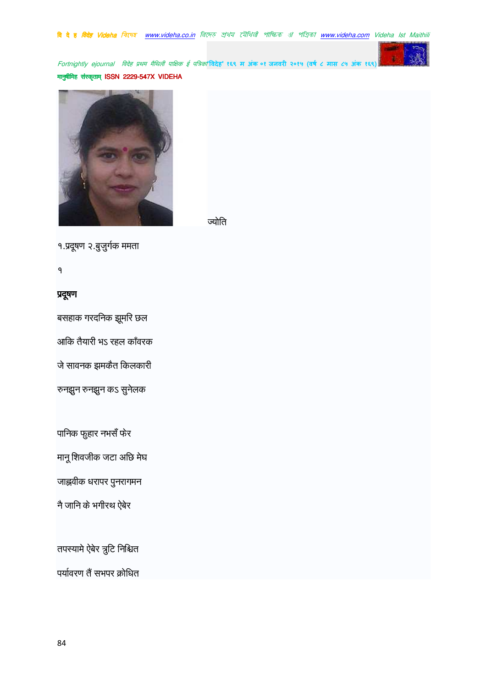Fortnightly ejournal िवद ेह थम म ैिथली पाि'क ई पि\*का**'वदेह' १६९ म अंक ०१ जनवर २०१५ (वष ८ मास ८५ अंक १६९)** मानुषीमिह संस्कृताम् ISSN 2229-547X VIDEHA



zयोित

१.प्रदूषण २.बुजुर्गक ममता

### १

# प्रदूषण

बसहाक गरदिनक झूमिर छल आकि तैयारी भऽ रहल काँवरक जे सावनक झमकैत िकलकारी

vनझुन vनझुन कऽ सुनेलक

पािनक फुहार नभसँ फेर

मानू शिवजीक जटा अछि मेघ

जाह्नवीक धरापर पुनरागमन

नै जािन के भगीरथ ऐबेर

तपस्यामे ऐबेर त्रुटि निश्चित

पर्यावरण तैं सभपर क्रोधित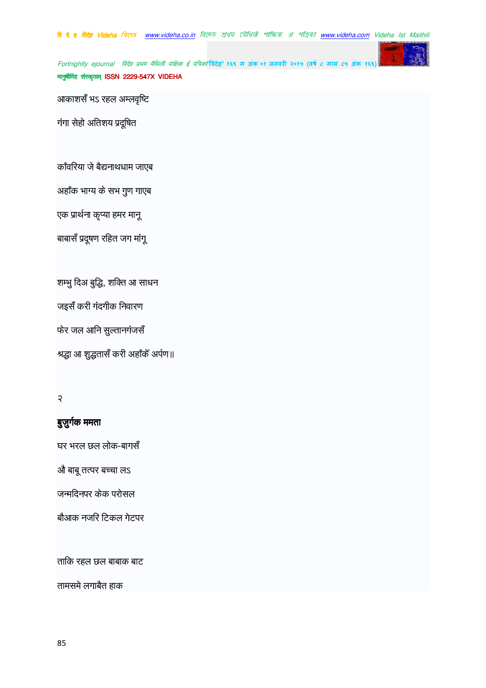Fortnightly ejournal िवद ेह थम म ैिथली पाि'क ई पि\*का**'वदेह' १६९ म अंक ०१ जनवर २०१५ (वष ८ मास ८५ अंक १६९)** मानुषीमिह संस्कृताम् ISSN 2229-547X VIDEHA

आकाशसँ भऽ रहल अम्लवृष्टि

गंगा सेहो अतिशय प्रदूषित

काँवरिया जे बैद्यनाथधाम जाएब

अहाँक भाग्य के सभ गुण गाएब

एक प्रार्थना कृप्या हमर मानू

बाबासँ दूषण रिहत जग मjगू

शम्भु दिअ बुद्धि, शक्ति आ साधन

जइसँ करी गंदगीक िनवारण

फेर जल आनि सुल्तानगंजसँ

श्रद्धा आ शुद्धतासँ करी अहाँकेँ अर्पण॥

२

# बुजुर्गक ममता

घर भरल छल लोक-बागसँ

औ बाबू तत्पर बच्चा लऽ

जन्मदिनपर केक परोसल

बौआक नजिर िटकल गेटपर

तािक रहल छल बाबाक बाट

तामसमे लगाबैत हाक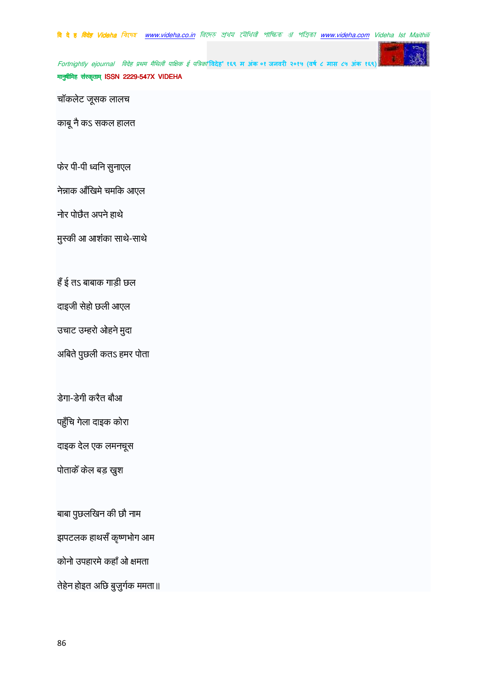Fortnightly ejournal िवद ेह थम म ैिथली पाि'क ई पि\*का**'वदेह' १६९ म अंक ०१ जनवर २०१५ (वष ८ मास ८५ अंक १६९)** मानुषीमिह संस्कृताम् ISSN 2229-547X VIDEHA

चॉकलेट जूसक लालच

काब ू नै कऽ सकल हालत

फेर पी-पी ºविन सुनाएल

नेन्नाक आँखिमे चमकि आएल

नोर पोछैत अपने हाथे

मुस्की आ आशंका साथे-साथे

हँ ई तऽ बाबाक गाड़ी छल

दाइजी सेहो छली आएल

उचाट उ¶हरो ओहने मुदा

अबिते पुछली कतऽ हमर पोता

डेगा-डेगी करैत बौआ

पहुँचि गेला दाइक कोरा

दाइक देल एक लमनचूस

पोताकेँ केल बड़ खुश

बाबा पुछलिखन की छौ नाम झपटलक हाथसँ कृष्णभोग आम कोनो उपहारमे कहाँ ओ क्षमता तेहेन होइत अछि बुजुर्गक ममता॥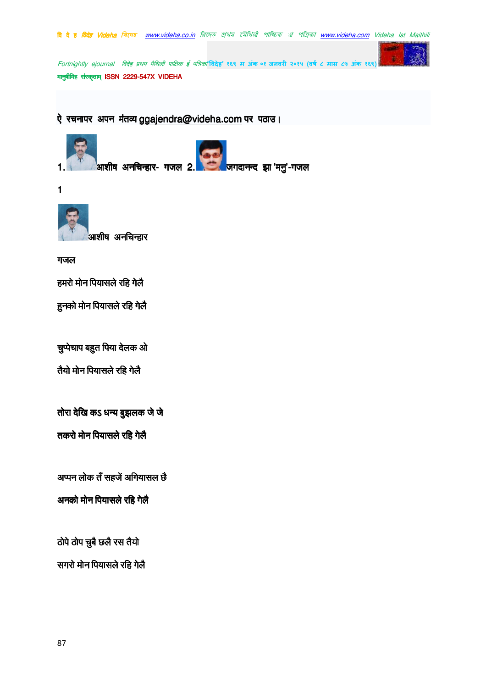

# ऐ रचनापर अपन मंतव्य ggajendra@videha.com पर पठाउ।



1



आशीष अनचिन्हार

गजल

हमरो मोन पियासले रहि गेलै

हुनको मोन पियासले रहि गेलै

चुîपेचाप बहुत िपया देलक ओ

तैयो मोन पियासले रहि गेलै

तोरा देखि कऽ धन्य बुझलक जे जे

तकरो मोन िपयासल े रिह गेलै

अप्पन लोक तँ सहजें अगियासल छै अनको मोन िपयासले िपयासले रिह गेलै

ठोपे ठोप चुबै छलै रस तैयो

सगरो मोन िपयासले रिह गेलै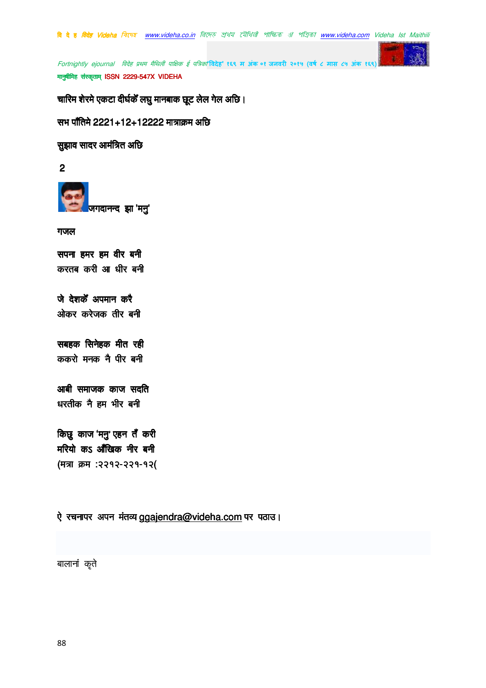

# चारिम शेरमे एकटा दीर्घकेँ लघु मानबाक छूट लेल गेल अछि।

सभ पाँतिमे 2221+12+12222 मात्राक्रम अछि

सुझाव सादर आमंत्रित अछि

 $\mathfrak{p}$ 



गजल

सपना हमर हम वीर बनी करतब करी आ धीर बनी करतब करी बनी

जे देशकेँ अपमान करै ओकर करेजक तीर बनी

सबहक सिनेहक मीत रही ककरो मनक नै पीर बनी

आबी समाजक काज सदति धरतीक नै हम भीर बनी

किछू काज 'मनु' एहन तँ करी मिरयो कऽआँिखक नीर बनी बनी (मत्रा क्रम :२२१२-२२१-१२(

# ऐ रचनापर अपन मंतव्य ggajendra@videha.com पर पठाउ।

बालानां कृते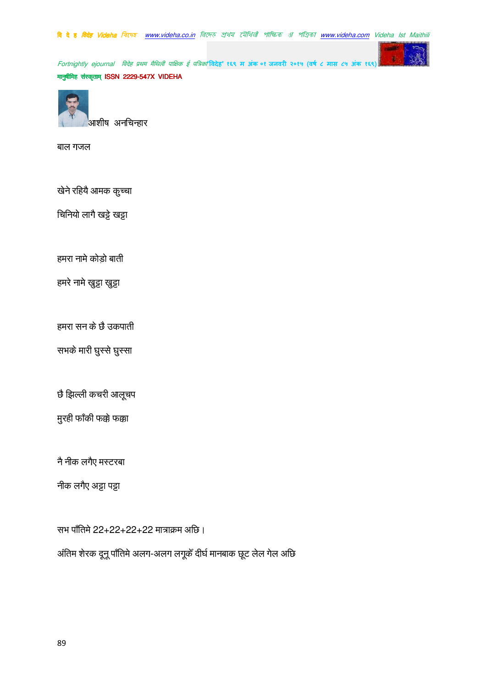Fortnightly ejournal िवद ेह थम म ैिथली पाि'क ई पि\*का**'वदेह' १६९ म अंक ०१ जनवर २०१५ (वष ८ मास ८५ अंक १६९)** मानुषीमिह संस्कृताम् ISSN 2229-547X VIDEHA



आशीष अनचिन्हार

बाल गजल

खेने रहियै आमक कुच्चा

चिनियो लागै खट्टे खट्टा

हमरा नामे कोड़ो बाती

हमरे नामे खुæा खुæा

हमरा सन के छ ै उकपाती

सभके मारी घुस्से घुस्सा

छै झिल्ली कचरी आलूचप

मुरही फाँकी फक्के फक्का

नै नीक लगैए मस्टरबा

नीक लगैए अæा पæा

सभ पाँतिमे 22+22+22+22 मात्राक्रम अछि।

अंतिम शेरक दूनू पाँतिमे अलग-अलग लगूकेँ दीर्घ मानबाक छूट लेल गेल अछि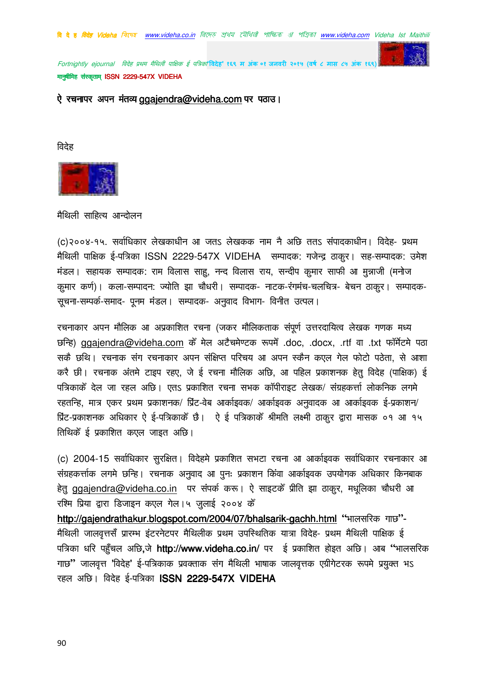

Fortnightly ejournal िवद ेह थम म ैिथली पाि'क ई पि\*का**'वदेह' १६९ म अंक ०१ जनवर २०१५ (वष ८ मास ८५ अंक १६९)** मानुषीमिह संस्कृताम् ISSN 2229-547X VIDEHA

## ऐ रचनापर अपन मंतव्य ggajendra@videha.com पर पठाउ।

िवदेह



मैथिली साहित्य आन्दोलन

(c)२००४-१५. सर्वाधिकार लेखकाधीन आ जतऽ लेखकक नाम नै अछि ततऽ संपादकाधीन। विदेह- प्रथम मैथिली पाक्षिक ई-पत्रिका ISSN 2229-547X VIDEHA सम्पादक: गजेन्द्र ठाकुर। सह-सम्पादक: उमेश मंडल। सहायक सम्पादक: राम विलास साहू, नन्द विलास राय, सन्दीप कुमार साफी आ मुन्नाजी (मनोज कृमार कर्ण)। कला-सम्पादन: ज्योति झा चौधरी। सम्पादक- नाटक-रंगमंच-चलचित्र- बेचन ठाकुर। सम्पादक-सूचना-सम्पर्क-समाद- पूनम मंडल। सम्पादक- अनुवाद विभाग- विनीत उत्पल।

रचनाकार अपन मौलिक आ अप्रकाशित रचना (जकर मौलिकताक संपूर्ण उत्तरदायित्व लेखक गणक मध्य छन्हि) ggajendra@videha.com के मेल अटैचमेण्टक रूपमें .doc, .docx, .rtf वा .txt फॉर्मेटमे पठा सकै छथि। रचनाक संग रचनाकार अपन संक्षिप्त परिचय आ अपन स्कैन कएल गेल फोटो पठेता, से आशा करै छी। रचनाक अंतमे टाइप रहए, जे ई रचना मौलिक अछि, आ पहिल प्रकाशनक हेतु विदेह (पाक्षिक) ई पत्रिकाकैं देल जा रहल अछि। एतऽ प्रकाशित रचना सभक कॉपीराइट लेखक/ संग्रहकर्त्ता लोकनिक लगमे रहतन्हि, मात्र एकर प्रथम प्रकाशनक/ प्रिंट-वेब आर्काइवक/ आर्काइवक अनुवादक आ आर्काइवक ई-प्रकाशन/ प्रिंट-प्रकाशनक अधिकार ऐ ई-पत्रिकाकेँ छै। ऐ ई पत्रिकाकेँ श्रीमति लक्ष्मी ठाकूर द्वारा मासक ०१ आ १५ तिथिकेँ ई प्रकाशित कएल जाइत अछि।

(c) 2004-15 सर्वाधिकार सुरक्षित। विदेहमे प्रकाशित सभटा रचना आ आर्काइवक सर्वाधिकार रचनाकार आ संग्रहकर्त्ताक लगमे छन्हि। रचनाक अनुवाद आ पुनः प्रकाशन किंवा आर्काइवक उपयोगक अधिकार किनबाक हेतु ggajendra@videha.co.in पर संपर्क करू। ऐ साइटकें प्रीति झा ठाकुर, मधूलिका चौधरी आ रश्मि प्रिया द्वारा डिजाइन कएल गेल।५ जुलाई २००४ केँ

http://gajendrathakur.blogspot.com/2004/07/bhalsarik-gachh.html "भालसरिक गाछ"-मैथिली जालवृत्तसँ प्रारम्भ इंटरनेटपर मैथिलीक प्रथम उपस्थितिक यात्रा विदेह- प्रथम मैथिली पाक्षिक ई पत्रिका धरि पहुँचल अछि,जे http://www.videha.co.in/ पर ई प्रकाशित होइत अछि। आब "भालसरिक गाछ" जालवृत्त 'विदेह' ई-पत्रिकाक प्रवक्ताक संग मैथिली भाषाक जालवृत्तक एग्रीगेटरक रूपमे प्रयुक्त भऽ रहल अछि। विदेह ई-पत्रिका ISSN 2229-547X VIDEHA